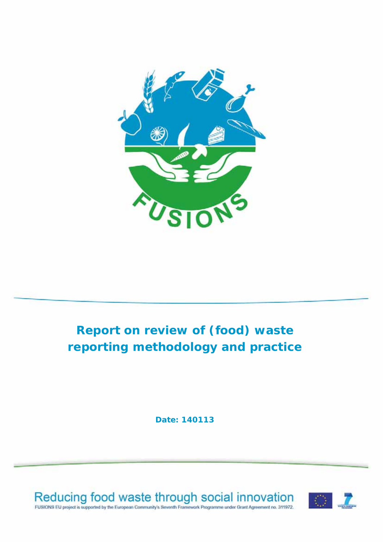

## **Report on review of (food) waste reporting methodology and practice**

**Date: 140113** 



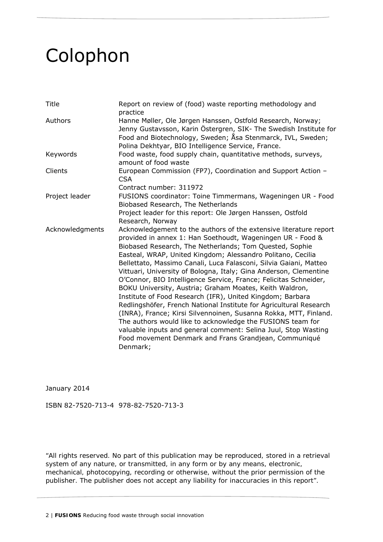## Colophon

| <b>Title</b>    | Report on review of (food) waste reporting methodology and<br>practice                                                                                                                                                                                                                                                                                                                                                                                                                                                                                                                                                                                                                                                                                                                                                                                                                                                                         |
|-----------------|------------------------------------------------------------------------------------------------------------------------------------------------------------------------------------------------------------------------------------------------------------------------------------------------------------------------------------------------------------------------------------------------------------------------------------------------------------------------------------------------------------------------------------------------------------------------------------------------------------------------------------------------------------------------------------------------------------------------------------------------------------------------------------------------------------------------------------------------------------------------------------------------------------------------------------------------|
| Authors         | Hanne Møller, Ole Jørgen Hanssen, Ostfold Research, Norway;<br>Jenny Gustavsson, Karin Östergren, SIK- The Swedish Institute for<br>Food and Biotechnology, Sweden; Åsa Stenmarck, IVL, Sweden;<br>Polina Dekhtyar, BIO Intelligence Service, France.                                                                                                                                                                                                                                                                                                                                                                                                                                                                                                                                                                                                                                                                                          |
| Keywords        | Food waste, food supply chain, quantitative methods, surveys,<br>amount of food waste                                                                                                                                                                                                                                                                                                                                                                                                                                                                                                                                                                                                                                                                                                                                                                                                                                                          |
| Clients         | European Commission (FP7), Coordination and Support Action -<br><b>CSA</b>                                                                                                                                                                                                                                                                                                                                                                                                                                                                                                                                                                                                                                                                                                                                                                                                                                                                     |
|                 | Contract number: 311972                                                                                                                                                                                                                                                                                                                                                                                                                                                                                                                                                                                                                                                                                                                                                                                                                                                                                                                        |
| Project leader  | FUSIONS coordinator: Toine Timmermans, Wageningen UR - Food<br>Biobased Research, The Netherlands                                                                                                                                                                                                                                                                                                                                                                                                                                                                                                                                                                                                                                                                                                                                                                                                                                              |
|                 | Project leader for this report: Ole Jørgen Hanssen, Ostfold<br>Research, Norway                                                                                                                                                                                                                                                                                                                                                                                                                                                                                                                                                                                                                                                                                                                                                                                                                                                                |
| Acknowledgments | Acknowledgement to the authors of the extensive literature report<br>provided in annex 1: Han Soethoudt, Wageningen UR - Food &<br>Biobased Research, The Netherlands; Tom Quested, Sophie<br>Easteal, WRAP, United Kingdom; Alessandro Politano, Cecilia<br>Bellettato, Massimo Canali, Luca Falasconi, Silvia Gaiani, Matteo<br>Vittuari, University of Bologna, Italy; Gina Anderson, Clementine<br>O'Connor, BIO Intelligence Service, France; Felicitas Schneider,<br>BOKU University, Austria; Graham Moates, Keith Waldron,<br>Institute of Food Research (IFR), United Kingdom; Barbara<br>Redlingshöfer, French National Institute for Agricultural Research<br>(INRA), France; Kirsi Silvennoinen, Susanna Rokka, MTT, Finland.<br>The authors would like to acknowledge the FUSIONS team for<br>valuable inputs and general comment: Selina Juul, Stop Wasting<br>Food movement Denmark and Frans Grandjean, Communiqué<br>Denmark; |

January 2014

ISBN 82-7520-713-4 978-82-7520-713-3

*"All rights reserved. No part of this publication may be reproduced, stored in a retrieval system of any nature, or transmitted, in any form or by any means, electronic, mechanical, photocopying, recording or otherwise, without the prior permission of the publisher. The publisher does not accept any liability for inaccuracies in this report".*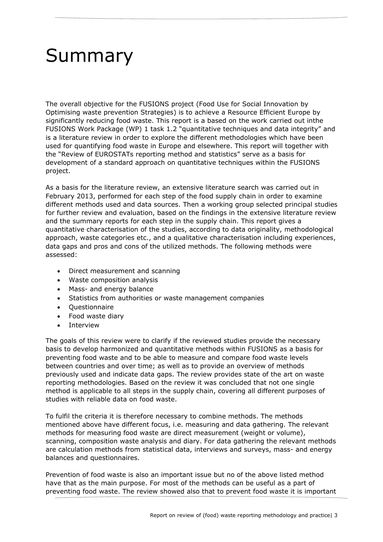# Summary

The overall objective for the FUSIONS project (Food Use for Social Innovation by Optimising waste prevention Strategies) is to achieve a Resource Efficient Europe by significantly reducing food waste. This report is a based on the work carried out inthe FUSIONS Work Package (WP) 1 task 1.2 "quantitative techniques and data integrity" and is a literature review in order to explore the different methodologies which have been used for quantifying food waste in Europe and elsewhere. This report will together with the "Review of EUROSTATs reporting method and statistics" serve as a basis for development of a standard approach on quantitative techniques within the FUSIONS project.

As a basis for the literature review, an extensive literature search was carried out in February 2013, performed for each step of the food supply chain in order to examine different methods used and data sources. Then a working group selected *principal studies* for further review and evaluation, based on the findings in the extensive literature review and the summary reports for each step in the supply chain. This report gives a quantitative characterisation of the studies, according to data originality, methodological approach, waste categories etc., and a qualitative characterisation including experiences, data gaps and pros and cons of the utilized methods. The following methods were assessed:

- Direct measurement and scanning
- Waste composition analysis
- Mass- and energy balance
- Statistics from authorities or waste management companies
- Ouestionnaire
- Food waste diary
- Interview

The goals of this review were to clarify if the reviewed studies provide the necessary basis to develop harmonized and quantitative methods within FUSIONS as a basis for preventing food waste and to be able to measure and compare food waste levels between countries and over time; as well as to provide an overview of methods previously used and indicate data gaps. The review provides state of the art on waste reporting methodologies. Based on the review it was concluded that not one single method is applicable to all steps in the supply chain, covering all different purposes of studies with reliable data on food waste.

To fulfil the criteria it is therefore necessary to combine methods. The methods mentioned above have different focus, i.e. measuring and data gathering. The relevant methods for measuring food waste are direct measurement (weight or volume), scanning, composition waste analysis and diary. For data gathering the relevant methods are calculation methods from statistical data, interviews and surveys, mass- and energy balances and questionnaires.

Prevention of food waste is also an important issue but no of the above listed method have that as the main purpose. For most of the methods can be useful as a part of preventing food waste. The review showed also that to prevent food waste it is important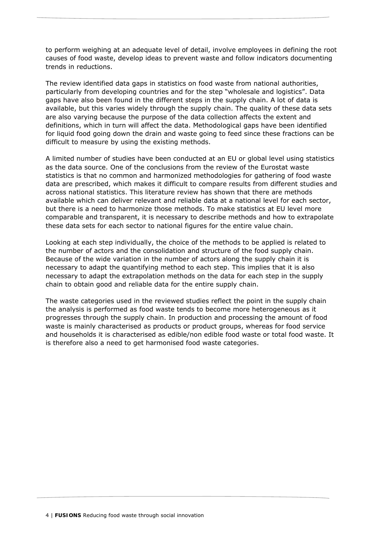to perform weighing at an adequate level of detail, involve employees in defining the root causes of food waste, develop ideas to prevent waste and follow indicators documenting trends in reductions.

The review identified data gaps in statistics on food waste from national authorities, particularly from developing countries and for the step "wholesale and logistics". Data gaps have also been found in the different steps in the supply chain. A lot of data is available, but this varies widely through the supply chain. The quality of these data sets are also varying because the purpose of the data collection affects the extent and definitions, which in turn will affect the data. Methodological gaps have been identified for liquid food going down the drain and waste going to feed since these fractions can be difficult to measure by using the existing methods.

A limited number of studies have been conducted at an EU or global level using statistics as the data source. One of the conclusions from the review of the Eurostat waste statistics is that no common and harmonized methodologies for gathering of food waste data are prescribed, which makes it difficult to compare results from different studies and across national statistics. This literature review has shown that there are methods available which can deliver relevant and reliable data at a national level for each sector, but there is a need to harmonize those methods. To make statistics at EU level more comparable and transparent, it is necessary to describe methods and how to extrapolate these data sets for each sector to national figures for the entire value chain.

Looking at each step individually, the choice of the methods to be applied is related to the number of actors and the consolidation and structure of the food supply chain. Because of the wide variation in the number of actors along the supply chain it is necessary to adapt the quantifying method to each step. This implies that it is also necessary to adapt the extrapolation methods on the data for each step in the supply chain to obtain good and reliable data for the entire supply chain.

The waste categories used in the reviewed studies reflect the point in the supply chain the analysis is performed as food waste tends to become more heterogeneous as it progresses through the supply chain. In production and processing the amount of food waste is mainly characterised as products or product groups, whereas for food service and households it is characterised as edible/non edible food waste or total food waste. It is therefore also a need to get harmonised food waste categories.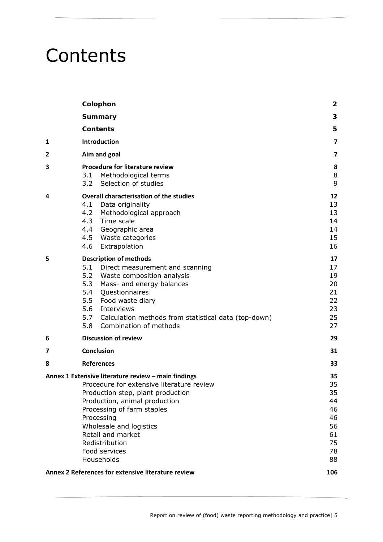## **Contents**

|   | Colophon                                                                                                                                                                                                                                                                                                               | $\mathbf{2}$                                                   |
|---|------------------------------------------------------------------------------------------------------------------------------------------------------------------------------------------------------------------------------------------------------------------------------------------------------------------------|----------------------------------------------------------------|
|   | <b>Summary</b>                                                                                                                                                                                                                                                                                                         | 3                                                              |
|   | <b>Contents</b>                                                                                                                                                                                                                                                                                                        | 5                                                              |
| 1 | <b>Introduction</b>                                                                                                                                                                                                                                                                                                    | 7                                                              |
| 2 | Aim and goal                                                                                                                                                                                                                                                                                                           | $\overline{\mathbf{z}}$                                        |
| 3 | Procedure for literature review<br>Methodological terms<br>3.1<br>Selection of studies<br>3.2                                                                                                                                                                                                                          | 8<br>8<br>9                                                    |
| 4 | <b>Overall characterisation of the studies</b><br>Data originality<br>4.1<br>4.2<br>Methodological approach<br>Time scale<br>4.3<br>4.4<br>Geographic area<br>4.5 Waste categories<br>4.6<br>Extrapolation                                                                                                             | 12<br>13<br>13<br>14<br>14<br>15<br>16                         |
| 5 | <b>Description of methods</b><br>5.1<br>Direct measurement and scanning<br>5.2 Waste composition analysis<br>5.3<br>Mass- and energy balances<br>5.4<br>Questionnaires<br>5.5<br>Food waste diary<br>5.6<br>Interviews<br>5.7<br>Calculation methods from statistical data (top-down)<br>Combination of methods<br>5.8 | 17<br>17<br>19<br>20<br>21<br>22<br>23<br>25<br>27             |
| 6 | <b>Discussion of review</b>                                                                                                                                                                                                                                                                                            | 29                                                             |
| 7 | <b>Conclusion</b>                                                                                                                                                                                                                                                                                                      | 31                                                             |
| 8 | <b>References</b>                                                                                                                                                                                                                                                                                                      | 33                                                             |
|   | Annex 1 Extensive literature review - main findings<br>Procedure for extensive literature review<br>Production step, plant production<br>Production, animal production<br>Processing of farm staples<br>Processing<br>Wholesale and logistics<br>Retail and market<br>Redistribution<br>Food services<br>Households    | 35<br>35<br>35<br>44<br>46<br>46<br>56<br>61<br>75<br>78<br>88 |
|   | Annex 2 References for extensive literature review                                                                                                                                                                                                                                                                     | 106                                                            |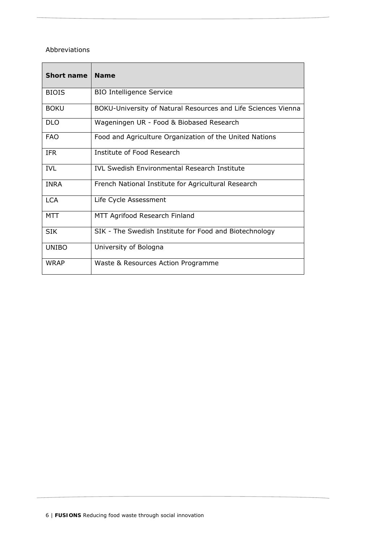#### Abbreviations

| <b>Short name</b> | <b>Name</b>                                                   |
|-------------------|---------------------------------------------------------------|
| <b>BIOIS</b>      | <b>BIO Intelligence Service</b>                               |
| <b>BOKU</b>       | BOKU-University of Natural Resources and Life Sciences Vienna |
| <b>DLO</b>        | Wageningen UR - Food & Biobased Research                      |
| <b>FAO</b>        | Food and Agriculture Organization of the United Nations       |
| <b>IFR</b>        | Institute of Food Research                                    |
| <b>IVL</b>        | <b>IVL Swedish Environmental Research Institute</b>           |
| <b>INRA</b>       | French National Institute for Agricultural Research           |
| LCA               | Life Cycle Assessment                                         |
| <b>MTT</b>        | MTT Agrifood Research Finland                                 |
| <b>SIK</b>        | SIK - The Swedish Institute for Food and Biotechnology        |
| <b>UNIBO</b>      | University of Bologna                                         |
| <b>WRAP</b>       | Waste & Resources Action Programme                            |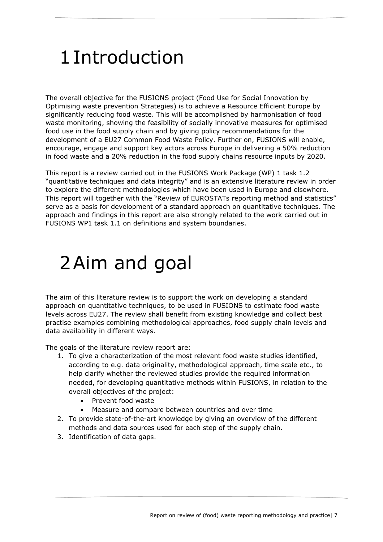## 1Introduction

The overall objective for the FUSIONS project (Food Use for Social Innovation by Optimising waste prevention Strategies) is to achieve a Resource Efficient Europe by significantly reducing food waste. This will be accomplished by harmonisation of food waste monitoring, showing the feasibility of socially innovative measures for optimised food use in the food supply chain and by giving policy recommendations for the development of a EU27 Common Food Waste Policy. Further on, FUSIONS will enable, encourage, engage and support key actors across Europe in delivering a 50% reduction in food waste and a 20% reduction in the food supply chains resource inputs by 2020.

This report is a review carried out in the FUSIONS Work Package (WP) 1 task 1.2 "quantitative techniques and data integrity" and is an extensive literature review in order to explore the different methodologies which have been used in Europe and elsewhere. This report will together with the "Review of EUROSTATs reporting method and statistics" serve as a basis for development of a standard approach on quantitative techniques. The approach and findings in this report are also strongly related to the work carried out in FUSIONS WP1 task 1.1 on definitions and system boundaries.

## 2Aim and goal

The aim of this literature review is to support the work on developing a standard approach on quantitative techniques, to be used in FUSIONS to estimate food waste levels across EU27. The review shall benefit from existing knowledge and collect best practise examples combining methodological approaches, food supply chain levels and data availability in different ways.

The goals of the literature review report are:

- 1. To give a characterization of the most relevant food waste studies identified, according to e.g. data originality, methodological approach, time scale etc., to help clarify whether the reviewed studies provide the required information needed, for developing quantitative methods within FUSIONS, in relation to the overall objectives of the project:
	- Prevent food waste
	- Measure and compare between countries and over time
- 2. To provide state-of-the-art knowledge by giving an overview of the different methods and data sources used for each step of the supply chain.
- 3. Identification of data gaps.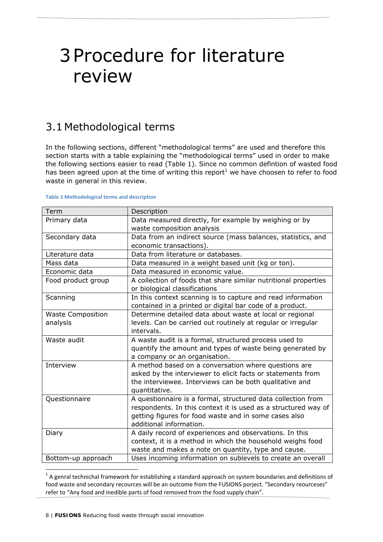## 3Procedure for literature review

## 3.1 Methodological terms

In the following sections, different "methodological terms" are used and therefore this section starts with a table explaining the "methodological terms" used in order to make the following sections easier to read (Table 1). Since no common defintion of wasted food has been agreed upon at the time of writing this report<sup>1</sup> we have choosen to refer to food waste in general in this review.

#### **Table 1 Methodological terms and description**

| Term                     | Description                                                     |
|--------------------------|-----------------------------------------------------------------|
| Primary data             | Data measured directly, for example by weighing or by           |
|                          | waste composition analysis                                      |
| Secondary data           | Data from an indirect source (mass balances, statistics, and    |
|                          | economic transactions).                                         |
| Literature data          | Data from literature or databases.                              |
| Mass data                | Data measured in a weight based unit (kg or ton).               |
| Economic data            | Data measured in economic value.                                |
| Food product group       | A collection of foods that share similar nutritional properties |
|                          | or biological classifications                                   |
| Scanning                 | In this context scanning is to capture and read information     |
|                          | contained in a printed or digital bar code of a product.        |
| <b>Waste Composition</b> | Determine detailed data about waste at local or regional        |
| analysis                 | levels. Can be carried out routinely at regular or irregular    |
|                          | intervals.                                                      |
| Waste audit              | A waste audit is a formal, structured process used to           |
|                          | quantify the amount and types of waste being generated by       |
|                          | a company or an organisation.                                   |
| Interview                | A method based on a conversation where questions are            |
|                          | asked by the interviewer to elicit facts or statements from     |
|                          | the interviewee. Interviews can be both qualitative and         |
|                          | quantitative.                                                   |
| Questionnaire            | A questionnaire is a formal, structured data collection from    |
|                          | respondents. In this context it is used as a structured way of  |
|                          | getting figures for food waste and in some cases also           |
|                          | additional information.                                         |
| Diary                    | A daily record of experiences and observations. In this         |
|                          | context, it is a method in which the household weighs food      |
|                          | waste and makes a note on quantity, type and cause.             |
| Bottom-up approach       | Uses incoming information on sublevels to create an overall     |

 $1$  A genral technichal framework for establishing a standard approach on system boundaries and definitions of food waste and secondary recources will be an outcome from the FUSIONS porject. "Secondary reourceses" refer to "Any food and inedible parts of food removed from the food supply chain".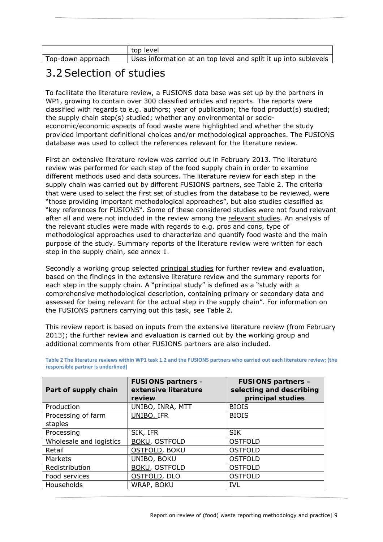|                   | top level                                                       |
|-------------------|-----------------------------------------------------------------|
| Top-down approach | Uses information at an top level and split it up into sublevels |

## 3.2Selection of studies

To facilitate the literature review, a FUSIONS data base was set up by the partners in WP1, growing to contain over 300 classified articles and reports. The reports were classified with regards to e.g. authors; year of publication; the food product(s) studied; the supply chain step(s) studied; whether any environmental or socioeconomic/economic aspects of food waste were highlighted and whether the study provided important definitional choices and/or methodological approaches. The FUSIONS database was used to collect the references relevant for the literature review.

First an extensive literature review was carried out in February 2013. The literature review was performed for each step of the food supply chain in order to examine different methods used and data sources. The literature review for each step in the supply chain was carried out by different FUSIONS partners, see Table 2. The criteria that were used to select the first set of studies from the database to be reviewed, were "those providing important methodological approaches", but also studies classified as "key references for FUSIONS". Some of these *considered studies* were not found relevant after all and were not included in the review among the *relevant studies*. An analysis of the relevant studies were made with regards to e.g. pros and cons, type of methodological approaches used to characterize and quantify food waste and the main purpose of the study. Summary reports of the literature review were written for each step in the supply chain, see annex 1.

Secondly a working group selected *principal studies* for further review and evaluation, based on the findings in the extensive literature review and the summary reports for each step in the supply chain. A "principal study" is defined as a "study with a comprehensive methodological description, containing primary or secondary data and assessed for being relevant for the actual step in the supply chain". For information on the FUSIONS partners carrying out this task, see Table 2.

This review report is based on inputs from the extensive literature review (from February 2013); the further review and evaluation is carried out by the working group and additional comments from other FUSIONS partners are also included.

| <b>FUSIONS partners -</b><br>extensive literature | <b>FUSIONS partners -</b><br>selecting and describing<br>principal studies |  |
|---------------------------------------------------|----------------------------------------------------------------------------|--|
|                                                   | <b>BIOIS</b>                                                               |  |
| UNIBO, IFR                                        | <b>BIOIS</b>                                                               |  |
|                                                   |                                                                            |  |
| SIK, IFR                                          | <b>SIK</b>                                                                 |  |
| <b>BOKU, OSTFOLD</b>                              | <b>OSTFOLD</b>                                                             |  |
| <b>OSTFOLD, BOKU</b>                              | <b>OSTFOLD</b>                                                             |  |
| UNIBO, BOKU                                       | <b>OSTFOLD</b>                                                             |  |
| <b>BOKU, OSTFOLD</b>                              | <b>OSTFOLD</b>                                                             |  |
| OSTFOLD, DLO                                      | <b>OSTFOLD</b>                                                             |  |
| <b>WRAP, BOKU</b>                                 | <b>IVL</b>                                                                 |  |
|                                                   | review<br>UNIBO, INRA, MTT                                                 |  |

Table 2 The literature reviews within WP1 task 1.2 and the FUSIONS partners who carried out each literature review; (the **responsible partner is underlined)**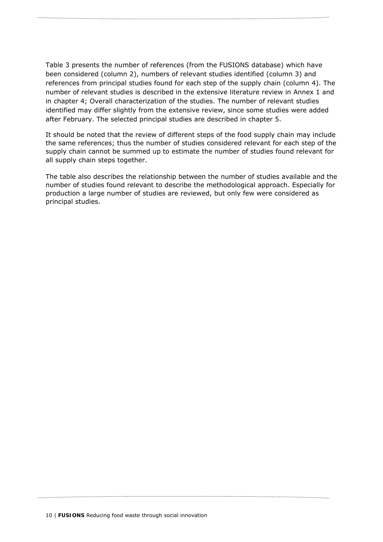Table 3 presents the number of references (from the FUSIONS database) which have been considered (column 2), numbers of relevant studies identified (column 3) and references from principal studies found for each step of the supply chain (column 4). The number of relevant studies is described in the extensive literature review in Annex 1 and in chapter 4; Overall characterization of the studies. The number of relevant studies identified may differ slightly from the extensive review, since some studies were added after February. The selected principal studies are described in chapter 5.

It should be noted that the review of different steps of the food supply chain may include the same references; thus the number of studies considered relevant for each step of the supply chain cannot be summed up to estimate the number of studies found relevant for all supply chain steps together.

The table also describes the relationship between the number of studies available and the number of studies found relevant to describe the methodological approach. Especially for production a large number of studies are reviewed, but only few were considered as principal studies.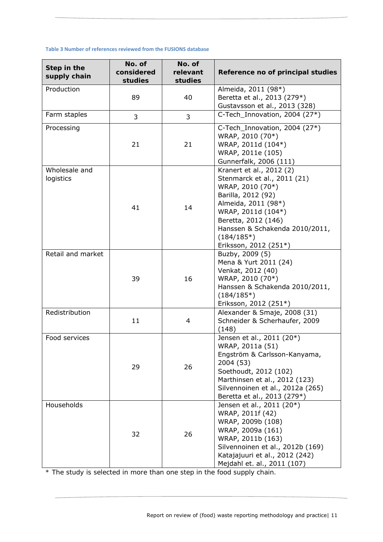#### **Table 3 Number of references reviewed from the FUSIONS database**

| Step in the<br>supply chain | No. of<br>considered<br>studies | No. of<br>relevant<br>studies | Reference no of principal studies                                                                                                                                                                                                                |
|-----------------------------|---------------------------------|-------------------------------|--------------------------------------------------------------------------------------------------------------------------------------------------------------------------------------------------------------------------------------------------|
| Production                  | 89                              | 40                            | Almeida, 2011 (98*)<br>Beretta et al., 2013 (279*)<br>Gustavsson et al., 2013 (328)                                                                                                                                                              |
| Farm staples                | 3                               | 3                             | C-Tech_Innovation, 2004 (27*)                                                                                                                                                                                                                    |
| Processing                  | 21                              | 21                            | C-Tech Innovation, 2004 (27*)<br>WRAP, 2010 (70*)<br>WRAP, 2011d (104*)<br>WRAP, 2011e (105)<br>Gunnerfalk, 2006 (111)                                                                                                                           |
| Wholesale and<br>logistics  | 41                              | 14                            | Kranert et al., 2012 (2)<br>Stenmarck et al., 2011 (21)<br>WRAP, 2010 (70*)<br>Barilla, 2012 (92)<br>Almeida, 2011 (98*)<br>WRAP, 2011d (104*)<br>Beretta, 2012 (146)<br>Hanssen & Schakenda 2010/2011,<br>$(184/185*)$<br>Eriksson, 2012 (251*) |
| Retail and market           | 39                              | 16                            | Buzby, 2009 (5)<br>Mena & Yurt 2011 (24)<br>Venkat, 2012 (40)<br>WRAP, 2010 (70*)<br>Hanssen & Schakenda 2010/2011,<br>$(184/185*)$<br>Eriksson, 2012 (251*)                                                                                     |
| Redistribution              | 11                              | $\overline{4}$                | Alexander & Smaje, 2008 (31)<br>Schneider & Scherhaufer, 2009<br>(148)                                                                                                                                                                           |
| Food services               | 29                              | 26                            | Jensen et al., 2011 (20*)<br>WRAP, 2011a (51)<br>Engström & Carlsson-Kanyama,<br>2004 (53)<br>Soethoudt, 2012 (102)<br>Marthinsen et al., 2012 (123)<br>Silvennoinen et al., 2012a (265)<br>Beretta et al., 2013 (279*)                          |
| Households                  | 32                              | 26                            | Jensen et al., 2011 (20*)<br>WRAP, 2011f (42)<br>WRAP, 2009b (108)<br>WRAP, 2009a (161)<br>WRAP, 2011b (163)<br>Silvennoinen et al., 2012b (169)<br>Katajajuuri et al., 2012 (242)<br>Mejdahl et. al., 2011 (107)                                |

*\* The study is selected in more than one step in the food supply chain.*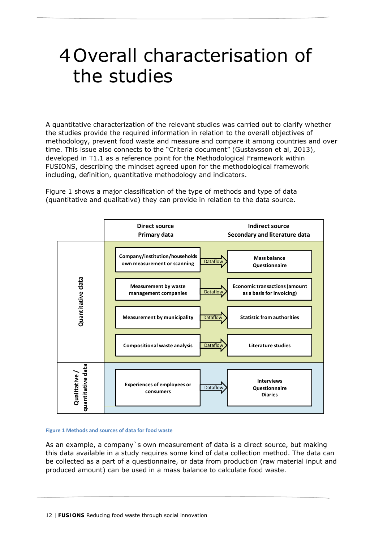## 4Overall characterisation of the studies

A quantitative characterization of the relevant studies was carried out to clarify whether the studies provide the required information in relation to the overall objectives of methodology, prevent food waste and measure and compare it among countries and over time. This issue also connects to the "Criteria document" (Gustavsson et al, 2013), developed in T1.1 as a reference point for the Methodological Framework within FUSIONS, describing the mindset agreed upon for the methodological framework including, definition, quantitative methodology and indicators.

Figure 1 shows a major classification of the type of methods and type of data (quantitative and qualitative) they can provide in relation to the data source.



#### **Figure 1 Methods and sources of data for food waste**

As an example, a company`s own measurement of data is a direct source, but making this data available in a study requires some kind of data collection method. The data can be collected as a part of a questionnaire, or data from production (raw material input and produced amount) can be used in a mass balance to calculate food waste.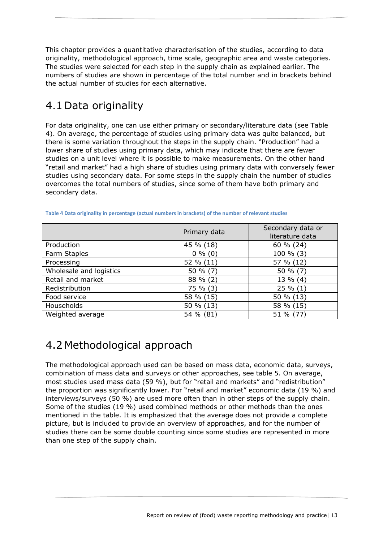This chapter provides a quantitative characterisation of the studies, according to data originality, methodological approach, time scale, geographic area and waste categories. The studies were selected for each step in the supply chain as explained earlier. The numbers of studies are shown in percentage of the total number and in brackets behind the actual number of studies for each alternative.

## 4.1 Data originality

For data originality, one can use either primary or secondary/literature data (see Table 4). On average, the percentage of studies using primary data was quite balanced, but there is some variation throughout the steps in the supply chain. "Production" had a lower share of studies using primary data, which may indicate that there are fewer studies on a unit level where it is possible to make measurements. On the other hand "retail and market" had a high share of studies using primary data with conversely fewer studies using secondary data. For some steps in the supply chain the number of studies overcomes the total numbers of studies, since some of them have both primary and secondary data.

|                         | Primary data | Secondary data or<br>literature data |
|-------------------------|--------------|--------------------------------------|
| Production              | 45 % (18)    | 60 % (24)                            |
| Farm Staples            | $0\%$ (0)    | $100 \% (3)$                         |
| Processing              | 52 % (11)    | 57 % (12)                            |
| Wholesale and logistics | 50 $% (7)$   | 50 $% (7)$                           |
| Retail and market       | 88 % (2)     | $13\%$ (4)                           |
| Redistribution          | 75 % (3)     | $25\%(1)$                            |
| Food service            | 58 % (15)    | 50 % (13)                            |
| Households              | 50 % (13)    | 58 % (15)                            |
| Weighted average        | 54 % (81)    | 51 % (77)                            |

**Table 4 Data originality in percentage (actual numbers in brackets) of the number of relevant studies**

## 4.2 Methodological approach

The methodological approach used can be based on mass data, economic data, surveys, combination of mass data and surveys or other approaches, see table 5. On average, most studies used mass data (59 %), but for "retail and markets" and "redistribution" the proportion was significantly lower. For "retail and market" economic data (19 %) and interviews/surveys (50 %) are used more often than in other steps of the supply chain. Some of the studies (19 %) used combined methods or other methods than the ones mentioned in the table. It is emphasized that the average does not provide a complete picture, but is included to provide an overview of approaches, and for the number of studies there can be some double counting since some studies are represented in more than one step of the supply chain.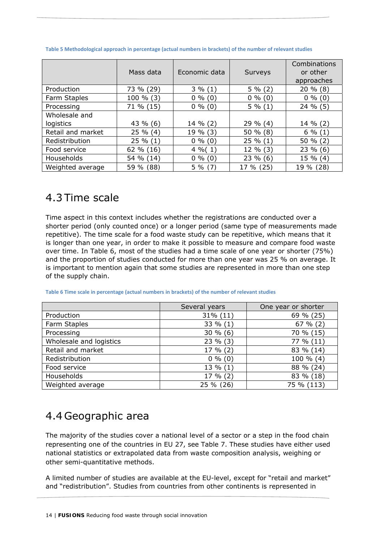|                   | Mass data   | Economic data | Surveys    | Combinations<br>or other |
|-------------------|-------------|---------------|------------|--------------------------|
|                   |             |               |            | approaches               |
| Production        | 73 % (29)   | $3\%(1)$      | $5\%(2)$   | $20\%$ (8)               |
| Farm Staples      | 100 % (3)   | $0\%$ (0)     | $0\%$ (0)  | $0\%$ (0)                |
| Processing        | $71\%$ (15) | $0\%$ (0)     | $5\%(1)$   | $24 \% (5)$              |
| Wholesale and     |             |               |            |                          |
| logistics         | 43 % (6)    | 14 % (2)      | $29\%$ (4) | 14 % (2)                 |
| Retail and market | $25 \% (4)$ | 19 % (3)      | 50 $% (8)$ | $6\%(1)$                 |
| Redistribution    | $25 \% (1)$ | $0\%$ (0)     | $25\%(1)$  | 50 $% (2)$               |
| Food service      | 62 % (16)   | $4\%$ (1)     | 12 % (3)   | $23\%$ (6)               |
| Households        | 54 % (14)   | $0\%$ (0)     | $23\%$ (6) | 15 % (4)                 |
| Weighted average  | 59 % (88)   | $5\%$ (7)     | 17 % (25)  | 19 % (28)                |

**Table 5 Methodological approach in percentage (actual numbers in brackets) of the number of relevant studies**

### 4.3 Time scale

Time aspect in this context includes whether the registrations are conducted over a shorter period (only counted once) or a longer period (same type of measurements made repetitive). The time scale for a food waste study can be repetitive, which means that it is longer than one year, in order to make it possible to measure and compare food waste over time. In Table 6, most of the studies had a time scale of one year or shorter (75%) and the proportion of studies conducted for more than one year was 25 % on average. It is important to mention again that some studies are represented in more than one step of the supply chain.

|  | Table 6 Time scale in percentage (actual numbers in brackets) of the number of relevant studies |
|--|-------------------------------------------------------------------------------------------------|
|  |                                                                                                 |

|                         | Several years<br>One year or shorter |            |
|-------------------------|--------------------------------------|------------|
| Production              | $31\% (11)$                          | 69 % (25)  |
| Farm Staples            | 33 % (1)                             | 67% (2)    |
| Processing              | $30\%$ (6)                           | 70 % (15)  |
| Wholesale and logistics | $23\%$ (3)                           | 77 % (11)  |
| Retail and market       | 17 % (2)                             | 83 % (14)  |
| Redistribution          | $0\%$ (0)                            | 100 % (4)  |
| Food service            | $13\%$ (1)                           | 88 % (24)  |
| Households              | $17 \% (2)$                          | 83 % (18)  |
| Weighted average        | 25 % (26)                            | 75 % (113) |

### 4.4 Geographic area

The majority of the studies cover a national level of a sector or a step in the food chain representing one of the countries in EU 27, see Table 7. These studies have either used national statistics or extrapolated data from waste composition analysis, weighing or other semi-quantitative methods.

A limited number of studies are available at the EU-level, except for "retail and market" and "redistribution". Studies from countries from other continents is represented in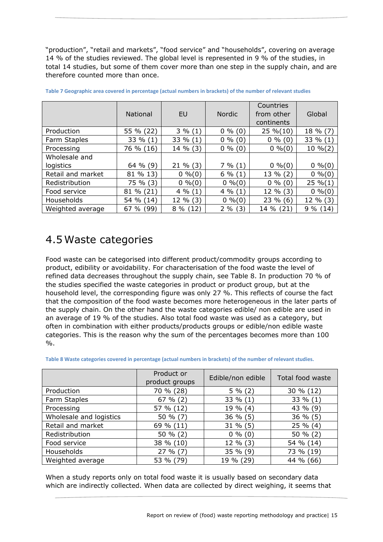"production", "retail and markets", "food service" and "households", covering on average 14 % of the studies reviewed. The global level is represented in 9 % of the studies, in total 14 studies, but some of them cover more than one step in the supply chain, and are therefore counted more than once.

|                   |                 |            |               | Countries   |            |
|-------------------|-----------------|------------|---------------|-------------|------------|
|                   | <b>National</b> | <b>EU</b>  | <b>Nordic</b> | from other  | Global     |
|                   |                 |            |               | continents  |            |
| Production        | 55 % (22)       | $3\%(1)$   | $0\%$ (0)     | $25\% (10)$ | 18 % (7)   |
| Farm Staples      | 33 % (1)        | 33 % (1)   | $0\%$ (0)     | $0\%$ (0)   | 33 % (1)   |
| Processing        | 76 % (16)       | 14 % (3)   | $0\%$ (0)     | $0\%(0)$    | $10\%$ (2) |
| Wholesale and     |                 |            |               |             |            |
| logistics         | 64 $%$ (9)      | $21\%$ (3) | 7% (1)        | $0\%(0)$    | $0\%(0)$   |
| Retail and market | 81 % 13)        | $0\%(0)$   | $6\%(1)$      | $13\%$ (2)  | $0\%(0)$   |
| Redistribution    | 75 % (3)        | $0\%(0)$   | $0\%(0)$      | $0\%$ (0)   | $25\%(1)$  |
| Food service      | 81 % (21)       | $4\%(1)$   | $4\%(1)$      | 12 % (3)    | $0\%(0)$   |
| Households        | 54 % (14)       | 12 % (3)   | $0\%(0)$      | $23\%$ (6)  | $12\%$ (3) |
| Weighted average  | 67%(99)         | $8\%(12)$  | $2\%$ (3)     | 14 % (21)   | $9\%$ (14) |

| Table 7 Geographic area covered in percentage (actual numbers in brackets) of the number of relevant studies |  |  |
|--------------------------------------------------------------------------------------------------------------|--|--|
|--------------------------------------------------------------------------------------------------------------|--|--|

### 4.5Waste categories

Food waste can be categorised into different product/commodity groups according to product, edibility or avoidability. For characterisation of the food waste the level of refined data decreases throughout the supply chain, see Table 8. In production 70 % of the studies specified the waste categories in product or product group, but at the household level, the corresponding figure was only 27 %. This reflects of course the fact that the composition of the food waste becomes more heterogeneous in the later parts of the supply chain. On the other hand the waste categories edible/ non edible are used in an average of 19 % of the studies. Also total food waste was used as a category, but often in combination with either products/products groups or edible/non edible waste categories. This is the reason why the sum of the percentages becomes more than 100  $\frac{0}{0}$ .

| Table 8 Waste categories covered in percentage (actual numbers in brackets) of the number of relevant studies. |
|----------------------------------------------------------------------------------------------------------------|
|----------------------------------------------------------------------------------------------------------------|

|                         | Product or<br>product groups | Edible/non edible | Total food waste |
|-------------------------|------------------------------|-------------------|------------------|
| Production              | 70 % (28)                    | $5\%(2)$          | 30 % (12)        |
| Farm Staples            | $67 \% (2)$                  | 33 % (1)          | 33 % (1)         |
| Processing              | 57 % (12)                    | 19 % (4)          | 43 % (9)         |
| Wholesale and logistics | 50 % (7)                     | $36\%$ (5)        | 36 % (5)         |
| Retail and market       | 69 % (11)                    | $31\%$ (5)        | $25 \% (4)$      |
| Redistribution          | 50 $% (2)$                   | $0\%$ (0)         | 50 % (2)         |
| Food service            | 38 % (10)                    | $12\%$ (3)        | 54 % (14)        |
| Households              | $27 \% (7)$                  | $35 \% (9)$       | 73 % (19)        |
| Weighted average        | 53 % (79)                    | 19 % (29)         | 44 % (66)        |

When a study reports only on total food waste it is usually based on secondary data which are indirectly collected. When data are collected by direct weighing, it seems that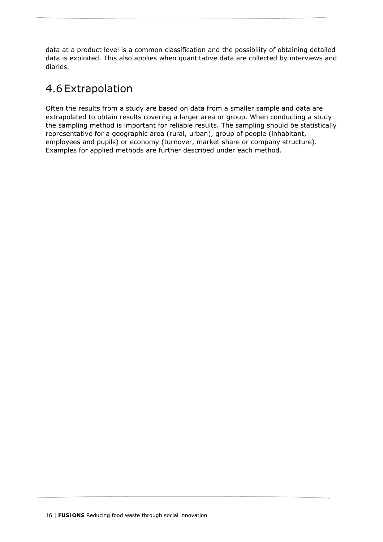data at a product level is a common classification and the possibility of obtaining detailed data is exploited. This also applies when quantitative data are collected by interviews and diaries.

### 4.6 Extrapolation

Often the results from a study are based on data from a smaller sample and data are extrapolated to obtain results covering a larger area or group. When conducting a study the sampling method is important for reliable results. The sampling should be statistically representative for a geographic area (rural, urban), group of people (inhabitant, employees and pupils) or economy (turnover, market share or company structure). Examples for applied methods are further described under each method.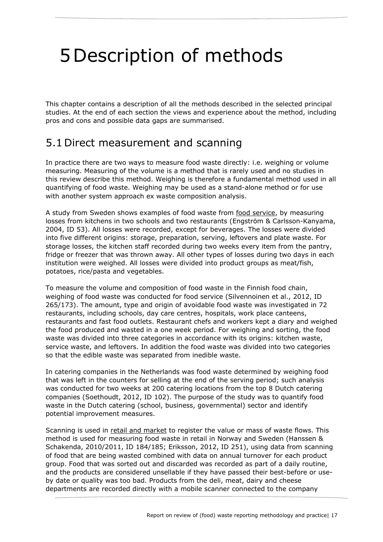# 5Description of methods

This chapter contains a description of all the methods described in the selected principal studies. At the end of each section the views and experience about the method, including pros and cons and possible data gaps are summarised.

### 5.1 Direct measurement and scanning

In practice there are two ways to measure food waste directly: i.e. weighing or volume measuring. Measuring of the volume is a method that is rarely used and no studies in this review describe this method. Weighing is therefore a fundamental method used in all quantifying of food waste. Weighing may be used as a stand-alone method or for use with another system approach ex waste composition analysis.

A study from Sweden shows examples of food waste from food service, by measuring losses from kitchens in two schools and two restaurants (Engström & Carlsson-Kanyama, 2004, ID 53). All losses were recorded, except for beverages. The losses were divided into five different origins: storage, preparation, serving, leftovers and plate waste. For storage losses, the kitchen staff recorded during two weeks every item from the pantry, fridge or freezer that was thrown away. All other types of losses during two days in each institution were weighed. All losses were divided into product groups as meat/fish, potatoes, rice/pasta and vegetables.

To measure the volume and composition of food waste in the Finnish food chain, weighing of food waste was conducted for food service (Silvennoinen et al., 2012, ID 265/173). The amount, type and origin of avoidable food waste was investigated in 72 restaurants, including schools, day care centres, hospitals, work place canteens, restaurants and fast food outlets. Restaurant chefs and workers kept a diary and weighed the food produced and wasted in a one week period. For weighing and sorting, the food waste was divided into three categories in accordance with its origins: kitchen waste, service waste, and leftovers. In addition the food waste was divided into two categories so that the edible waste was separated from inedible waste.

In catering companies in the Netherlands was food waste determined by weighing food that was left in the counters for selling at the end of the serving period; such analysis was conducted for two weeks at 200 catering locations from the top 8 Dutch catering companies (Soethoudt, 2012, ID 102). The purpose of the study was to quantify food waste in the Dutch catering (school, business, governmental) sector and identify potential improvement measures.

Scanning is used in retail and market to register the value or mass of waste flows. This method is used for measuring food waste in retail in Norway and Sweden (Hanssen & Schakenda, 2010/2011, ID 184/185; Eriksson, 2012, ID 251), using data from scanning of food that are being wasted combined with data on annual turnover for each product group. Food that was sorted out and discarded was recorded as part of a daily routine, and the products are considered unsellable if they have passed their best-before or useby date or quality was too bad. Products from the deli, meat, dairy and cheese departments are recorded directly with a mobile scanner connected to the company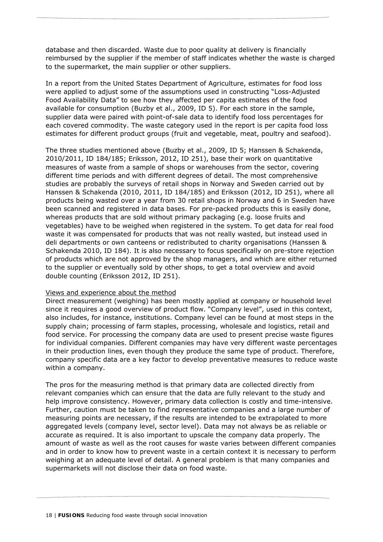database and then discarded. Waste due to poor quality at delivery is financially reimbursed by the supplier if the member of staff indicates whether the waste is charged to the supermarket, the main supplier or other suppliers.

In a report from the United States Department of Agriculture, estimates for food loss were applied to adjust some of the assumptions used in constructing "Loss-Adjusted Food Availability Data" to see how they affected per capita estimates of the food available for consumption (Buzby et al., 2009, ID 5). For each store in the sample, supplier data were paired with point-of-sale data to identify food loss percentages for each covered commodity. The waste category used in the report is per capita food loss estimates for different product groups (fruit and vegetable, meat, poultry and seafood).

The three studies mentioned above (Buzby et al., 2009, ID 5; Hanssen & Schakenda, 2010/2011, ID 184/185; Eriksson, 2012, ID 251), base their work on quantitative measures of waste from a sample of shops or warehouses from the sector, covering different time periods and with different degrees of detail. The most comprehensive studies are probably the surveys of retail shops in Norway and Sweden carried out by Hanssen & Schakenda (2010, 2011, ID 184/185) and Eriksson (2012, ID 251), where all products being wasted over a year from 30 retail shops in Norway and 6 in Sweden have been scanned and registered in data bases. For pre-packed products this is easily done, whereas products that are sold without primary packaging (e.g. loose fruits and vegetables) have to be weighed when registered in the system. To get data for real food waste it was compensated for products that was not really wasted, but instead used in deli departments or own canteens or redistributed to charity organisations (Hanssen & Schakenda 2010, ID 184). It is also necessary to focus specifically on pre-store rejection of products which are not approved by the shop managers, and which are either returned to the supplier or eventually sold by other shops, to get a total overview and avoid double counting (Eriksson 2012, ID 251).

#### Views and experience about the method

Direct measurement (weighing) has been mostly applied at company or household level since it requires a good overview of product flow. "Company level", used in this context, also includes, for instance, institutions. Company level can be found at most steps in the supply chain; processing of farm staples, processing, wholesale and logistics, retail and food service. For processing the company data are used to present precise waste figures for individual companies. Different companies may have very different waste percentages in their production lines, even though they produce the same type of product. Therefore, company specific data are a key factor to develop preventative measures to reduce waste within a company.

The pros for the measuring method is that primary data are collected directly from relevant companies which can ensure that the data are fully relevant to the study and help improve consistency. However, primary data collection is costly and time-intensive. Further, caution must be taken to find representative companies and a large number of measuring points are necessary, if the results are intended to be extrapolated to more aggregated levels (company level, sector level). Data may not always be as reliable or accurate as required. It is also important to upscale the company data properly. The amount of waste as well as the root causes for waste varies between different companies and in order to know how to prevent waste in a certain context it is necessary to perform weighing at an adequate level of detail. A general problem is that many companies and supermarkets will not disclose their data on food waste.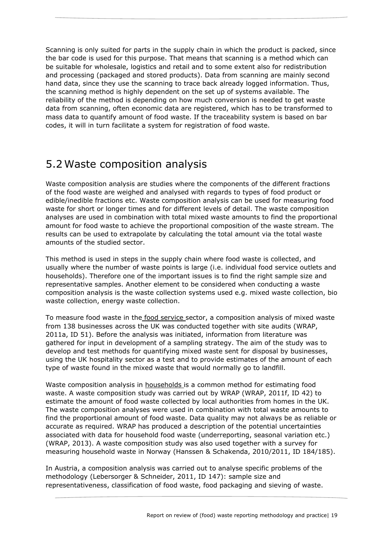Scanning is only suited for parts in the supply chain in which the product is packed, since the bar code is used for this purpose. That means that scanning is a method which can be suitable for wholesale, logistics and retail and to some extent also for redistribution and processing (packaged and stored products). Data from scanning are mainly second hand data, since they use the scanning to trace back already logged information. Thus, the scanning method is highly dependent on the set up of systems available. The reliability of the method is depending on how much conversion is needed to get waste data from scanning, often economic data are registered, which has to be transformed to mass data to quantify amount of food waste. If the traceability system is based on bar codes, it will in turn facilitate a system for registration of food waste.

### 5.2Waste composition analysis

Waste composition analysis are studies where the components of the different fractions of the food waste are weighed and analysed with regards to types of food product or edible/inedible fractions etc. Waste composition analysis can be used for measuring food waste for short or longer times and for different levels of detail. The waste composition analyses are used in combination with total mixed waste amounts to find the proportional amount for food waste to achieve the proportional composition of the waste stream. The results can be used to extrapolate by calculating the total amount via the total waste amounts of the studied sector.

This method is used in steps in the supply chain where food waste is collected, and usually where the number of waste points is large (i.e. individual food service outlets and households). Therefore one of the important issues is to find the right sample size and representative samples. Another element to be considered when conducting a waste composition analysis is the waste collection systems used e.g. mixed waste collection, bio waste collection, energy waste collection.

To measure food waste in the food service sector, a composition analysis of mixed waste from 138 businesses across the UK was conducted together with site audits (WRAP, 2011a, ID 51). Before the analysis was initiated, information from literature was gathered for input in development of a sampling strategy. The aim of the study was to develop and test methods for quantifying mixed waste sent for disposal by businesses, using the UK hospitality sector as a test and to provide estimates of the amount of each type of waste found in the mixed waste that would normally go to landfill.

Waste composition analysis in households is a common method for estimating food waste. A waste composition study was carried out by WRAP (WRAP, 2011f, ID 42) to estimate the amount of food waste collected by local authorities from homes in the UK. The waste composition analyses were used in combination with total waste amounts to find the proportional amount of food waste. Data quality may not always be as reliable or accurate as required. WRAP has produced a description of the potential uncertainties associated with data for household food waste (underreporting, seasonal variation etc.) (WRAP, 2013). A waste composition study was also used together with a survey for measuring household waste in Norway (Hanssen & Schakenda, 2010/2011, ID 184/185).

In Austria, a composition analysis was carried out to analyse specific problems of the methodology (Lebersorger & Schneider, 2011, ID 147): sample size and representativeness, classification of food waste, food packaging and sieving of waste.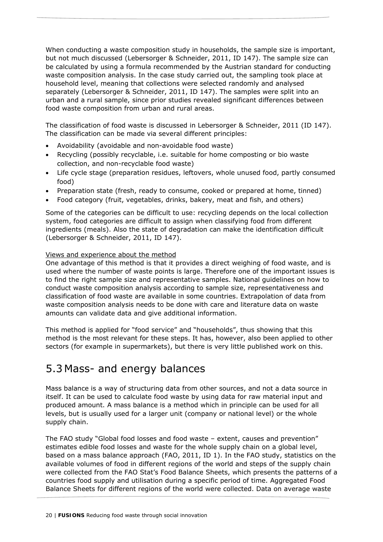When conducting a waste composition study in households, the sample size is important, but not much discussed (Lebersorger & Schneider, 2011, ID 147). The sample size can be calculated by using a formula recommended by the Austrian standard for conducting waste composition analysis. In the case study carried out, the sampling took place at household level, meaning that collections were selected randomly and analysed separately (Lebersorger & Schneider, 2011, ID 147). The samples were split into an urban and a rural sample, since prior studies revealed significant differences between food waste composition from urban and rural areas.

The classification of food waste is discussed in Lebersorger & Schneider, 2011 (ID 147). The classification can be made via several different principles:

- Avoidability (avoidable and non-avoidable food waste)
- Recycling (possibly recyclable, i.e. suitable for home composting or bio waste collection, and non-recyclable food waste)
- Life cycle stage (preparation residues, leftovers, whole unused food, partly consumed food)
- Preparation state (fresh, ready to consume, cooked or prepared at home, tinned)
- Food category (fruit, vegetables, drinks, bakery, meat and fish, and others)

Some of the categories can be difficult to use: recycling depends on the local collection system, food categories are difficult to assign when classifying food from different ingredients (meals). Also the state of degradation can make the identification difficult (Lebersorger & Schneider, 2011, ID 147).

#### Views and experience about the method

One advantage of this method is that it provides a direct weighing of food waste, and is used where the number of waste points is large. Therefore one of the important issues is to find the right sample size and representative samples. National guidelines on how to conduct waste composition analysis according to sample size, representativeness and classification of food waste are available in some countries. Extrapolation of data from waste composition analysis needs to be done with care and literature data on waste amounts can validate data and give additional information.

This method is applied for "food service" and "households", thus showing that this method is the most relevant for these steps. It has, however, also been applied to other sectors (for example in supermarkets), but there is very little published work on this.

### 5.3 Mass- and energy balances

Mass balance is a way of structuring data from other sources, and not a data source in itself. It can be used to calculate food waste by using data for raw material input and produced amount. A mass balance is a method which in principle can be used for all levels, but is usually used for a larger unit (company or national level) or the whole supply chain.

The FAO study "Global food losses and food waste – extent, causes and prevention" estimates edible food losses and waste for the whole supply chain on a global level, based on a mass balance approach (FAO, 2011, ID 1). In the FAO study, statistics on the available volumes of food in different regions of the world and steps of the supply chain were collected from the FAO Stat's Food Balance Sheets, which presents the patterns of a countries food supply and utilisation during a specific period of time. Aggregated Food Balance Sheets for different regions of the world were collected. Data on average waste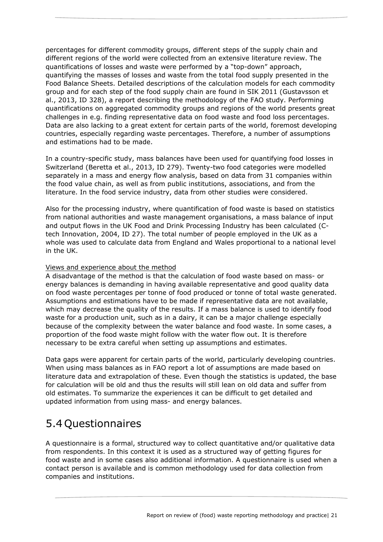percentages for different commodity groups, different steps of the supply chain and different regions of the world were collected from an extensive literature review. The quantifications of losses and waste were performed by a "top-down" approach, quantifying the masses of losses and waste from the total food supply presented in the Food Balance Sheets. Detailed descriptions of the calculation models for each commodity group and for each step of the food supply chain are found in SIK 2011 (Gustavsson et al., 2013, ID 328), a report describing the methodology of the FAO study. Performing quantifications on aggregated commodity groups and regions of the world presents great challenges in e.g. finding representative data on food waste and food loss percentages. Data are also lacking to a great extent for certain parts of the world, foremost developing countries, especially regarding waste percentages. Therefore, a number of assumptions and estimations had to be made.

In a country-specific study, mass balances have been used for quantifying food losses in Switzerland (Beretta et al., 2013, ID 279). Twenty-two food categories were modelled separately in a mass and energy flow analysis, based on data from 31 companies within the food value chain, as well as from public institutions, associations, and from the literature. In the food service industry, data from other studies were considered.

Also for the processing industry, where quantification of food waste is based on statistics from national authorities and waste management organisations, a mass balance of input and output flows in the UK Food and Drink Processing Industry has been calculated (Ctech Innovation, 2004, ID 27). The total number of people employed in the UK as a whole was used to calculate data from England and Wales proportional to a national level in the UK.

#### Views and experience about the method

A disadvantage of the method is that the calculation of food waste based on mass- or energy balances is demanding in having available representative and good quality data on food waste percentages per tonne of food produced or tonne of total waste generated. Assumptions and estimations have to be made if representative data are not available, which may decrease the quality of the results. If a mass balance is used to identify food waste for a production unit, such as in a dairy, it can be a major challenge especially because of the complexity between the water balance and food waste. In some cases, a proportion of the food waste might follow with the water flow out. It is therefore necessary to be extra careful when setting up assumptions and estimates.

Data gaps were apparent for certain parts of the world, particularly developing countries. When using mass balances as in FAO report a lot of assumptions are made based on literature data and extrapolation of these. Even though the statistics is updated, the base for calculation will be old and thus the results will still lean on old data and suffer from old estimates. To summarize the experiences it can be difficult to get detailed and updated information from using mass- and energy balances.

### 5.4 Questionnaires

A questionnaire is a formal, structured way to collect quantitative and/or qualitative data from respondents. In this context it is used as a structured way of getting figures for food waste and in some cases also additional information. A questionnaire is used when a contact person is available and is common methodology used for data collection from companies and institutions.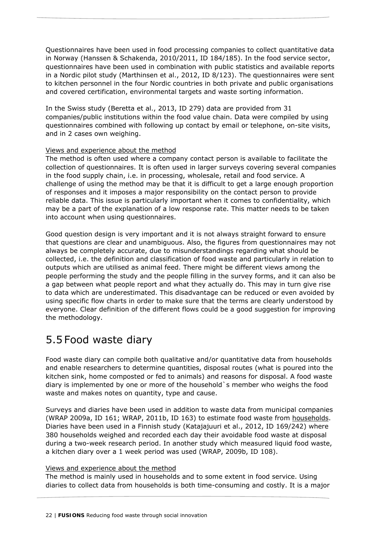Questionnaires have been used in food processing companies to collect quantitative data in Norway (Hanssen & Schakenda, 2010/2011, ID 184/185). In the food service sector, questionnaires have been used in combination with public statistics and available reports in a Nordic pilot study (Marthinsen et al., 2012, ID 8/123). The questionnaires were sent to kitchen personnel in the four Nordic countries in both private and public organisations and covered certification, environmental targets and waste sorting information.

In the Swiss study (Beretta et al., 2013, ID 279) data are provided from 31 companies/public institutions within the food value chain. Data were compiled by using questionnaires combined with following up contact by email or telephone, on-site visits, and in 2 cases own weighing.

#### Views and experience about the method

The method is often used where a company contact person is available to facilitate the collection of questionnaires. It is often used in larger surveys covering several companies in the food supply chain, i.e. in processing, wholesale, retail and food service. A challenge of using the method may be that it is difficult to get a large enough proportion of responses and it imposes a major responsibility on the contact person to provide reliable data. This issue is particularly important when it comes to confidentiality, which may be a part of the explanation of a low response rate. This matter needs to be taken into account when using questionnaires.

Good question design is very important and it is not always straight forward to ensure that questions are clear and unambiguous. Also, the figures from questionnaires may not always be completely accurate, due to misunderstandings regarding what should be collected, i.e. the definition and classification of food waste and particularly in relation to outputs which are utilised as animal feed. There might be different views among the people performing the study and the people filling in the survey forms, and it can also be a gap between what people report and what they actually do. This may in turn give rise to data which are underestimated. This disadvantage can be reduced or even avoided by using specific flow charts in order to make sure that the terms are clearly understood by everyone. Clear definition of the different flows could be a good suggestion for improving the methodology.

## 5.5 Food waste diary

Food waste diary can compile both qualitative and/or quantitative data from households and enable researchers to determine quantities, disposal routes (what is poured into the kitchen sink, home composted or fed to animals) and reasons for disposal. A food waste diary is implemented by one or more of the household`s member who weighs the food waste and makes notes on quantity, type and cause.

Surveys and diaries have been used in addition to waste data from municipal companies (WRAP 2009a, ID 161; WRAP, 2011b, ID 163) to estimate food waste from households. Diaries have been used in a Finnish study (Katajajuuri et al., 2012, ID 169/242) where 380 households weighed and recorded each day their avoidable food waste at disposal during a two-week research period. In another study which measured liquid food waste, a kitchen diary over a 1 week period was used (WRAP, 2009b, ID 108).

#### Views and experience about the method

The method is mainly used in households and to some extent in food service. Using diaries to collect data from households is both time-consuming and costly. It is a major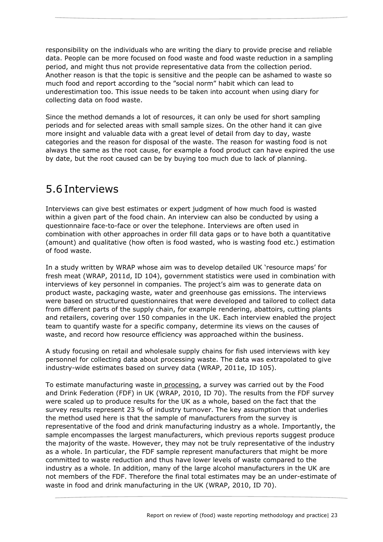responsibility on the individuals who are writing the diary to provide precise and reliable data. People can be more focused on food waste and food waste reduction in a sampling period, and might thus not provide representative data from the collection period. Another reason is that the topic is sensitive and the people can be ashamed to waste so much food and report according to the "social norm" habit which can lead to underestimation too. This issue needs to be taken into account when using diary for collecting data on food waste.

Since the method demands a lot of resources, it can only be used for short sampling periods and for selected areas with small sample sizes. On the other hand it can give more insight and valuable data with a great level of detail from day to day, waste categories and the reason for disposal of the waste. The reason for wasting food is not always the same as the root cause, for example a food product can have expired the use by date, but the root caused can be by buying too much due to lack of planning.

## 5.6 Interviews

Interviews can give best estimates or expert judgment of how much food is wasted within a given part of the food chain. An interview can also be conducted by using a questionnaire face-to-face or over the telephone. Interviews are often used in combination with other approaches in order fill data gaps or to have both a quantitative (amount) and qualitative (how often is food wasted, who is wasting food etc.) estimation of food waste.

In a study written by WRAP whose aim was to develop detailed UK 'resource maps' for fresh meat (WRAP, 2011d, ID 104), government statistics were used in combination with interviews of key personnel in companies. The project's aim was to generate data on product waste, packaging waste, water and greenhouse gas emissions. The interviews were based on structured questionnaires that were developed and tailored to collect data from different parts of the supply chain, for example rendering, abattoirs, cutting plants and retailers, covering over 150 companies in the UK. Each interview enabled the project team to quantify waste for a specific company, determine its views on the causes of waste, and record how resource efficiency was approached within the business.

A study focusing on retail and wholesale supply chains for fish used interviews with key personnel for collecting data about processing waste. The data was extrapolated to give industry-wide estimates based on survey data (WRAP, 2011e, ID 105).

To estimate manufacturing waste in processing, a survey was carried out by the Food and Drink Federation (FDF) in UK (WRAP, 2010, ID 70). The results from the FDF survey were scaled up to produce results for the UK as a whole, based on the fact that the survey results represent 23 % of industry turnover. The key assumption that underlies the method used here is that the sample of manufacturers from the survey is representative of the food and drink manufacturing industry as a whole. Importantly, the sample encompasses the largest manufacturers, which previous reports suggest produce the majority of the waste. However, they may not be truly representative of the industry as a whole. In particular, the FDF sample represent manufacturers that might be more committed to waste reduction and thus have lower levels of waste compared to the industry as a whole. In addition, many of the large alcohol manufacturers in the UK are not members of the FDF. Therefore the final total estimates may be an under-estimate of waste in food and drink manufacturing in the UK (WRAP, 2010, ID 70).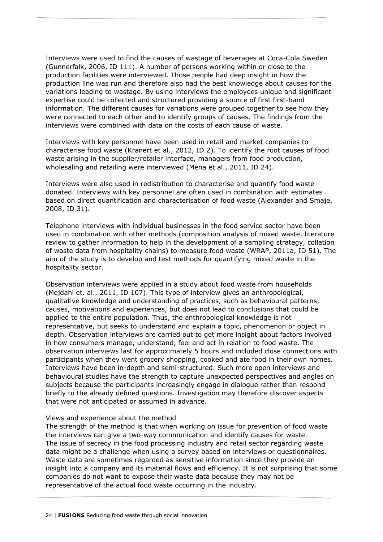Interviews were used to find the causes of wastage of beverages at Coca-Cola Sweden (Gunnerfalk, 2006, ID 111). A number of persons working within or close to the production facilities were interviewed. Those people had deep insight in how the production line was run and therefore also had the best knowledge about causes for the variations leading to wastage. By using interviews the employees unique and significant expertise could be collected and structured providing a source of first first-hand information. The different causes for variations were grouped together to see how they were connected to each other and to identify groups of causes. The findings from the interviews were combined with data on the costs of each cause of waste.

Interviews with key personnel have been used in retail and market companies to characterise food waste (Kranert et al., 2012, ID 2). To identify the root causes of food waste arising in the supplier/retailer interface, managers from food production, wholesaling and retailing were interviewed (Mena et al., 2011, ID 24).

Interviews were also used in redistribution to characterise and quantify food waste donated. Interviews with key personnel are often used in combination with estimates based on direct quantification and characterisation of food waste (Alexander and Smaje, 2008, ID 31).

Telephone interviews with individual businesses in the food service sector have been used in combination with other methods (composition analysis of mixed waste, literature review to gather information to help in the development of a sampling strategy, collation of waste data from hospitality chains) to measure food waste (WRAP, 2011a, ID 51). The aim of the study is to develop and test methods for quantifying mixed waste in the hospitality sector.

Observation interviews were applied in a study about food waste from households (Mejdahl et. al., 2011, ID 107). This type of interview gives an anthropological, qualitative knowledge and understanding of practices, such as behavioural patterns, causes, motivations and experiences, but does not lead to conclusions that could be applied to the entire population. Thus, the anthropological knowledge is not representative, but seeks to understand and explain a topic, phenomenon or object in depth. Observation interviews are carried out to get more insight about factors involved in how consumers manage, understand, feel and act in relation to food waste. The observation interviews last for approximately 5 hours and included close connections with participants when they went grocery shopping, cooked and ate food in their own homes. Interviews have been in-depth and semi-structured. Such more open interviews and behavioural studies have the strength to capture unexpected perspectives and angles on subjects because the participants increasingly engage in dialogue rather than respond briefly to the already defined questions. Investigation may therefore discover aspects that were not anticipated or assumed in advance.

#### Views and experience about the method

The strength of the method is that when working on issue for prevention of food waste the interviews can give a two-way communication and identify causes for waste. The issue of secrecy in the food processing industry and retail sector regarding waste data might be a challenge when using a survey based on interviews or questionnaires. Waste data are sometimes regarded as sensitive information since they provide an insight into a company and its material flows and efficiency. It is not surprising that some companies do not want to expose their waste data because they may not be representative of the actual food waste occurring in the industry.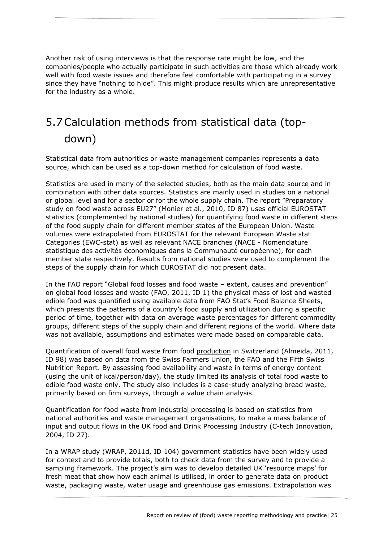Another risk of using interviews is that the response rate might be low, and the companies/people who actually participate in such activities are those which already work well with food waste issues and therefore feel comfortable with participating in a survey since they have "nothing to hide". This might produce results which are unrepresentative for the industry as a whole.

## 5.7Calculation methods from statistical data (topdown)

Statistical data from authorities or waste management companies represents a data source, which can be used as a top-down method for calculation of food waste.

Statistics are used in many of the selected studies, both as the main data source and in combination with other data sources. Statistics are mainly used in studies on a national or global level and for a sector or for the whole supply chain. The report "Preparatory study on food waste across EU27" (Monier et al., 2010, ID 87) uses official EUROSTAT statistics (complemented by national studies) for quantifying food waste in different steps of the food supply chain for different member states of the European Union. Waste volumes were extrapolated from EUROSTAT for the relevant European Waste stat Categories (EWC-stat) as well as relevant NACE branches (NACE - Nomenclature statistique des activités économiques dans la Communauté européenne), for each member state respectively. Results from national studies were used to complement the steps of the supply chain for which EUROSTAT did not present data.

In the FAO report "Global food losses and food waste – extent, causes and prevention" on global food losses and waste (FAO, 2011, ID 1) the physical mass of lost and wasted edible food was quantified using available data from FAO Stat's Food Balance Sheets, which presents the patterns of a country's food supply and utilization during a specific period of time, together with data on average waste percentages for different commodity groups, different steps of the supply chain and different regions of the world. Where data was not available, assumptions and estimates were made based on comparable data.

Quantification of overall food waste from food production in Switzerland (Almeida, 2011, ID 98) was based on data from the Swiss Farmers Union, the FAO and the Fifth Swiss Nutrition Report. By assessing food availability and waste in terms of energy content (using the unit of kcal/person/day), the study limited its analysis of total food waste to edible food waste only. The study also includes is a case-study analyzing bread waste, primarily based on firm surveys, through a value chain analysis.

Quantification for food waste from industrial processing is based on statistics from national authorities and waste management organisations, to make a mass balance of input and output flows in the UK food and Drink Processing Industry (C-tech Innovation, 2004, ID 27).

In a WRAP study (WRAP, 2011d, ID 104) government statistics have been widely used for context and to provide totals, both to check data from the survey and to provide a sampling framework. The project's aim was to develop detailed UK 'resource maps' for fresh meat that show how each animal is utilised, in order to generate data on product waste, packaging waste, water usage and greenhouse gas emissions. Extrapolation was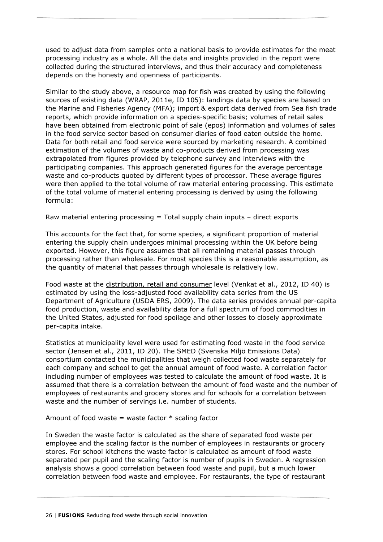used to adjust data from samples onto a national basis to provide estimates for the meat processing industry as a whole. All the data and insights provided in the report were collected during the structured interviews, and thus their accuracy and completeness depends on the honesty and openness of participants.

Similar to the study above, a resource map for fish was created by using the following sources of existing data (WRAP, 2011e, ID 105): landings data by species are based on the Marine and Fisheries Agency (MFA); import & export data derived from Sea fish trade reports, which provide information on a species-specific basis; volumes of retail sales have been obtained from electronic point of sale (epos) information and volumes of sales in the food service sector based on consumer diaries of food eaten outside the home. Data for both retail and food service were sourced by marketing research. A combined estimation of the volumes of waste and co-products derived from processing was extrapolated from figures provided by telephone survey and interviews with the participating companies. This approach generated figures for the average percentage waste and co-products quoted by different types of processor. These average figures were then applied to the total volume of raw material entering processing. This estimate of the total volume of material entering processing is derived by using the following formula:

Raw material entering processing = Total supply chain inputs – direct exports

This accounts for the fact that, for some species, a significant proportion of material entering the supply chain undergoes minimal processing within the UK before being exported. However, this figure assumes that all remaining material passes through processing rather than wholesale. For most species this is a reasonable assumption, as the quantity of material that passes through wholesale is relatively low.

Food waste at the distribution, retail and consumer level (Venkat et al., 2012, ID 40) is estimated by using the loss-adjusted food availability data series from the US Department of Agriculture (USDA ERS, 2009). The data series provides annual per-capita food production, waste and availability data for a full spectrum of food commodities in the United States, adjusted for food spoilage and other losses to closely approximate per-capita intake.

Statistics at municipality level were used for estimating food waste in the food service sector (Jensen et al., 2011, ID 20). The SMED (Svenska Miljö Emissions Data) consortium contacted the municipalities that weigh collected food waste separately for each company and school to get the annual amount of food waste. A correlation factor including number of employees was tested to calculate the amount of food waste. It is assumed that there is a correlation between the amount of food waste and the number of employees of restaurants and grocery stores and for schools for a correlation between waste and the number of servings i.e. number of students.

Amount of food waste = waste factor  $*$  scaling factor

In Sweden the waste factor is calculated as the share of separated food waste per employee and the scaling factor is the number of employees in restaurants or grocery stores. For school kitchens the waste factor is calculated as amount of food waste separated per pupil and the scaling factor is number of pupils in Sweden. A regression analysis shows a good correlation between food waste and pupil, but a much lower correlation between food waste and employee. For restaurants, the type of restaurant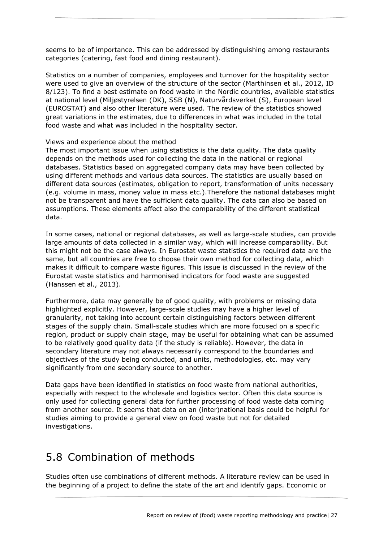seems to be of importance. This can be addressed by distinguishing among restaurants categories (catering, fast food and dining restaurant).

Statistics on a number of companies, employees and turnover for the hospitality sector were used to give an overview of the structure of the sector (Marthinsen et al., 2012, ID 8/123). To find a best estimate on food waste in the Nordic countries, available statistics at national level (Miljøstyrelsen (DK), SSB (N), Naturvårdsverket (S), European level (EUROSTAT) and also other literature were used. The review of the statistics showed great variations in the estimates, due to differences in what was included in the total food waste and what was included in the hospitality sector.

#### Views and experience about the method

The most important issue when using statistics is the data quality. The data quality depends on the methods used for collecting the data in the national or regional databases. Statistics based on aggregated company data may have been collected by using different methods and various data sources. The statistics are usually based on different data sources (estimates, obligation to report, transformation of units necessary (e.g. volume in mass, money value in mass etc.).Therefore the national databases might not be transparent and have the sufficient data quality. The data can also be based on assumptions. These elements affect also the comparability of the different statistical data.

In some cases, national or regional databases, as well as large-scale studies, can provide large amounts of data collected in a similar way, which will increase comparability. But this might not be the case always. In Eurostat waste statistics the required data are the same, but all countries are free to choose their own method for collecting data, which makes it difficult to compare waste figures. This issue is discussed in the review of the Eurostat waste statistics and harmonised indicators for food waste are suggested (Hanssen et al., 2013).

Furthermore, data may generally be of good quality, with problems or missing data highlighted explicitly. However, large-scale studies may have a higher level of granularity, not taking into account certain distinguishing factors between different stages of the supply chain. Small-scale studies which are more focused on a specific region, product or supply chain stage, may be useful for obtaining what can be assumed to be relatively good quality data (if the study is reliable). However, the data in secondary literature may not always necessarily correspond to the boundaries and objectives of the study being conducted, and units, methodologies, etc. may vary significantly from one secondary source to another.

Data gaps have been identified in statistics on food waste from national authorities, especially with respect to the wholesale and logistics sector. Often this data source is only used for collecting general data for further processing of food waste data coming from another source. It seems that data on an (inter)national basis could be helpful for studies aiming to provide a general view on food waste but not for detailed investigations.

### 5.8 Combination of methods

Studies often use combinations of different methods. A literature review can be used in the beginning of a project to define the state of the art and identify gaps. Economic or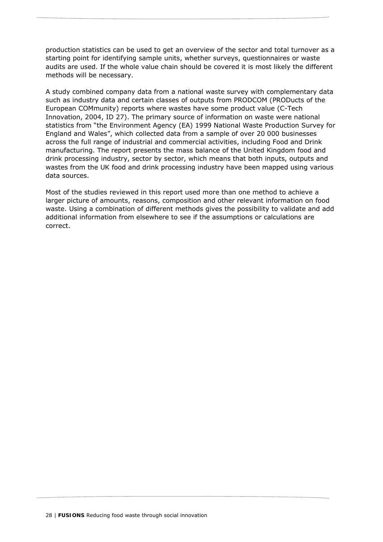production statistics can be used to get an overview of the sector and total turnover as a starting point for identifying sample units, whether surveys, questionnaires or waste audits are used. If the whole value chain should be covered it is most likely the different methods will be necessary.

A study combined company data from a national waste survey with complementary data such as industry data and certain classes of outputs from PRODCOM (PRODucts of the European COMmunity) reports where wastes have some product value (C-Tech Innovation, 2004, ID 27). The primary source of information on waste were national statistics from "the Environment Agency (EA) 1999 National Waste Production Survey for England and Wales", which collected data from a sample of over 20 000 businesses across the full range of industrial and commercial activities, including Food and Drink manufacturing. The report presents the mass balance of the United Kingdom food and drink processing industry, sector by sector, which means that both inputs, outputs and wastes from the UK food and drink processing industry have been mapped using various data sources.

Most of the studies reviewed in this report used more than one method to achieve a larger picture of amounts, reasons, composition and other relevant information on food waste. Using a combination of different methods gives the possibility to validate and add additional information from elsewhere to see if the assumptions or calculations are correct.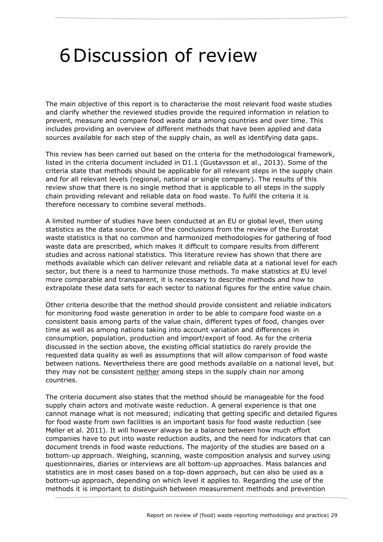## 6Discussion of review

The main objective of this report is to characterise the most relevant food waste studies and clarify whether the reviewed studies provide the required information in relation to prevent, measure and compare food waste data among countries and over time. This includes providing an overview of different methods that have been applied and data sources available for each step of the supply chain, as well as identifying data gaps.

This review has been carried out based on the criteria for the methodological framework, listed in the criteria document included in D1.1 (Gustavsson et al., 2013). Some of the criteria state that methods should be applicable for all relevant *steps* in the supply chain and for all relevant *levels* (regional, national or single company). The results of this review show that there is no single method that is applicable to all steps in the supply chain providing relevant and reliable data on food waste. To fulfil the criteria it is therefore necessary to combine several methods.

A limited number of studies have been conducted at an EU or global level, then using statistics as the data source. One of the conclusions from the review of the Eurostat waste statistics is that no common and harmonized methodologies for gathering of food waste data are prescribed, which makes it difficult to compare results from different studies and across national statistics. This literature review has shown that there are methods available which can deliver relevant and reliable data at a national level for each sector, but there is a need to harmonize those methods. To make statistics at EU level more comparable and transparent, it is necessary to describe methods and how to extrapolate these data sets for each sector to national figures for the entire value chain.

Other criteria describe that the method should provide consistent and reliable *indicators* for monitoring food waste generation in order to be able to *compare* food waste on a consistent basis among parts of the value chain, different types of food, *changes over time* as well as among nations taking into account variation and differences in *consumption, population, production and import/export of food*. As for the criteria discussed in the section above, the existing official statistics do rarely provide the requested data quality as well as assumptions that will allow comparison of food waste between nations. Nevertheless there are good methods available on a national level, but they may not be consistent neither among steps in the supply chain nor among countries.

The criteria document also states that the method should be *manageable* for the food supply chain actors and *motivate* waste reduction. A general experience is that one cannot manage what is not measured; indicating that getting specific and detailed figures for food waste from own facilities is an important basis for food waste reduction (see Møller et al. 2011). It will however always be a balance between how much effort companies have to put into waste reduction audits, and the need for indicators that can document trends in food waste reductions. The majority of the studies are based on a *bottom-up* approach. Weighing, scanning, waste composition analysis and survey using questionnaires, diaries or interviews are all bottom-up approaches. Mass balances and statistics are in most cases based on a *top-down* approach, but can also be used as a bottom-up approach, depending on which level it applies to. Regarding the use of the methods it is important to distinguish between measurement methods and prevention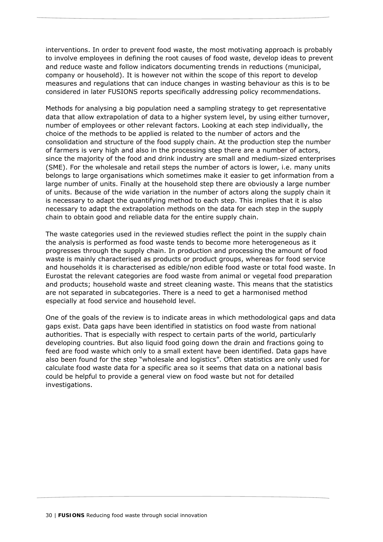interventions. In order to prevent food waste, the most motivating approach is probably to involve employees in defining the root causes of food waste, develop ideas to prevent and reduce waste and follow indicators documenting trends in reductions (municipal, company or household). It is however not within the scope of this report to develop measures and regulations that can induce changes in wasting behaviour as this is to be considered in later FUSIONS reports specifically addressing policy recommendations.

Methods for analysing a big population need a sampling strategy to get representative data that allow extrapolation of data to a higher system level, by using either turnover, number of employees or other relevant factors. Looking at each step individually, the choice of the methods to be applied is related to the number of actors and the consolidation and structure of the food supply chain. At the production step the number of farmers is very high and also in the processing step there are a number of actors, since the majority of the food and drink industry are small and medium-sized enterprises (SME). For the wholesale and retail steps the number of actors is lower, i.e. many units belongs to large organisations which sometimes make it easier to get information from a large number of units. Finally at the household step there are obviously a large number of units. Because of the wide variation in the number of actors along the supply chain it is necessary to adapt the quantifying method to each step. This implies that it is also necessary to adapt the extrapolation methods on the data for each step in the supply chain to obtain good and reliable data for the entire supply chain.

The waste categories used in the reviewed studies reflect the point in the supply chain the analysis is performed as food waste tends to become more heterogeneous as it progresses through the supply chain. In production and processing the amount of food waste is mainly characterised as products or product groups, whereas for food service and households it is characterised as edible/non edible food waste or total food waste. In Eurostat the relevant categories are food waste from animal or vegetal food preparation and products; household waste and street cleaning waste. This means that the statistics are not separated in subcategories. There is a need to get a harmonised method especially at food service and household level.

One of the goals of the review is to indicate areas in which *methodological gaps* and *data gaps* exist. Data gaps have been identified in statistics on food waste from national authorities. That is especially with respect to certain parts of the world, particularly developing countries. But also liquid food going down the drain and fractions going to feed are food waste which only to a small extent have been identified. Data gaps have also been found for the step "wholesale and logistics". Often statistics are only used for calculate food waste data for a specific area so it seems that data on a national basis could be helpful to provide a general view on food waste but not for detailed investigations.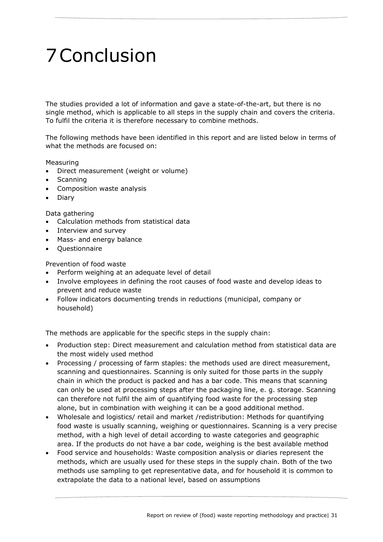# 7Conclusion

The studies provided a lot of information and gave a state-of-the-art, but there is no single method, which is applicable to all steps in the supply chain and covers the criteria. To fulfil the criteria it is therefore necessary to combine methods.

The following methods have been identified in this report and are listed below in terms of what the methods are focused on:

#### Measuring

- Direct measurement (weight or volume)
- Scanning
- Composition waste analysis
- Diary

#### Data gathering

- Calculation methods from statistical data
- Interview and survey
- Mass- and energy balance
- **Ouestionnaire**

Prevention of food waste

- Perform weighing at an adequate level of detail
- Involve employees in defining the root causes of food waste and develop ideas to prevent and reduce waste
- Follow indicators documenting trends in reductions (municipal, company or household)

The methods are applicable for the specific steps in the supply chain:

- Production step: Direct measurement and calculation method from statistical data are the most widely used method
- Processing / processing of farm staples: the methods used are direct measurement, scanning and questionnaires. Scanning is only suited for those parts in the supply chain in which the product is packed and has a bar code. This means that scanning can only be used at processing steps after the packaging line, e. g. storage. Scanning can therefore not fulfil the aim of quantifying food waste for the processing step alone, but in combination with weighing it can be a good additional method.
- Wholesale and logistics/ retail and market /redistribution: Methods for quantifying food waste is usually scanning, weighing or questionnaires. Scanning is a very precise method, with a high level of detail according to waste categories and geographic area. If the products do not have a bar code, weighing is the best available method
- Food service and households: Waste composition analysis or diaries represent the methods, which are usually used for these steps in the supply chain. Both of the two methods use sampling to get representative data, and for household it is common to extrapolate the data to a national level, based on assumptions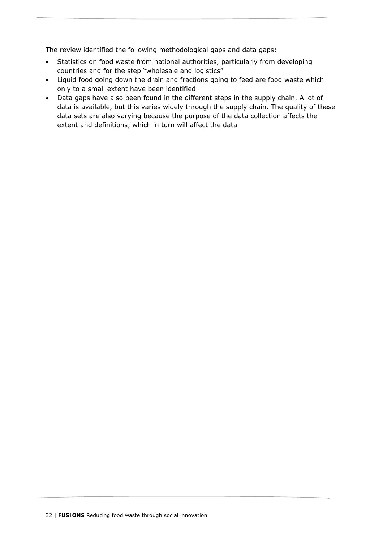The review identified the following methodological gaps and data gaps:

- Statistics on food waste from national authorities, particularly from developing countries and for the step "wholesale and logistics"
- Liquid food going down the drain and fractions going to feed are food waste which only to a small extent have been identified
- Data gaps have also been found in the different steps in the supply chain. A lot of data is available, but this varies widely through the supply chain. The quality of these data sets are also varying because the purpose of the data collection affects the extent and definitions, which in turn will affect the data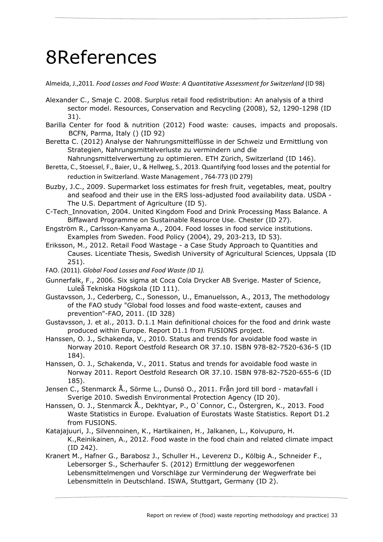## 8References

Almeida, J.,2011. *Food Losses and Food Waste: A Quantitative Assessment for Switzerland* (ID 98)

- Alexander C., Smaje C. 2008. Surplus retail food redistribution: An analysis of a third sector model. Resources, Conservation and Recycling (2008), 52, 1290-1298 (ID 31).
- Barilla Center for food & nutrition (2012) *Food waste: causes, impacts and proposals*. BCFN, Parma, Italy () (ID 92)
- Beretta C. (2012) Analyse der Nahrungsmittelflüsse in der Schweiz und Ermittlung von Strategien, Nahrungsmittelverluste zu vermindern und die
- Nahrungsmittelverwertung zu optimieren. ETH Zürich, Switzerland (ID 146). Beretta, C., Stoessel, F., Baier, U., & Hellweg, S., 2013. Quantifying food losses and the potential for reduction in Switzerland. Waste Management , 764‐773 (ID 279)
- Buzby, J.C., 2009. Supermarket loss estimates for fresh fruit, vegetables, meat, poultry and seafood and their use in the ERS loss-adjusted food availability data. USDA - The U.S. Department of Agriculture (ID 5).
- C-Tech\_Innovation, 2004. United Kingdom Food and Drink Processing Mass Balance. A Biffaward Programme on Sustainable Resource Use. Chester (ID 27).
- Engström R., Carlsson-Kanyama A., 2004. Food losses in food service institutions. Examples from Sweden. Food Policy (2004), 29, 203-213, ID 53).
- Eriksson, M., 2012. Retail Food Wastage a Case Study Approach to Quantities and Causes. Licentiate Thesis, Swedish University of Agricultural Sciences, Uppsala (ID 251).
- FAO. (2011). *Global Food Losses and Food Waste (ID 1).*
- Gunnerfalk, F., 2006. Six sigma at Coca Cola Drycker AB Sverige. Master of Science, Luleå Tekniska Högskola (ID 111).
- Gustavsson, J., Cederberg, C., Sonesson, U., Emanuelsson, A., 2013, The methodology of the FAO study "Global food losses and food waste-extent, causes and prevention"-FAO, 2011. (ID 328)
- Gustavsson, J. et al., 2013. D.1.1 Main definitional choices for the food and drink waste produced within Europe. Report D1.1 from FUSIONS project.
- Hanssen, O. J., Schakenda, V., 2010. Status and trends for avoidable food waste in Norway 2010. Report Oestfold Research OR 37.10. ISBN 978-82-7520-636-5 (ID 184).
- Hanssen, O. J., Schakenda, V., 2011. Status and trends for avoidable food waste in Norway 2011. Report Oestfold Research OR 37.10. ISBN 978-82-7520-655-6 (ID 185).
- Jensen C., Stenmarck Å., Sörme L., Dunsö O., 2011. Från jord till bord matavfall i Sverige 2010. Swedish Environmental Protection Agency (ID 20).
- Hanssen, O. J., Stenmarck Å., Dekhtyar, P., O`Connor, C., Östergren, K., 2013. Food Waste Statistics in Europe. Evaluation of Eurostats Waste Statistics. Report D1.2 from FUSIONS.
- Katajajuuri, J., Silvennoinen, K., Hartikainen, H., Jalkanen, L., Koivupuro, H. K.,Reinikainen, A., 2012. Food waste in the food chain and related climate impact (ID 242).
- Kranert M., Hafner G., Barabosz J., Schuller H., Leverenz D., Kölbig A., Schneider F., Lebersorger S., Scherhaufer S. (2012) Ermittlung der weggeworfenen Lebensmittelmengen und Vorschläge zur Verminderung der Wegwerfrate bei Lebensmitteln in Deutschland. ISWA, Stuttgart, Germany (ID 2).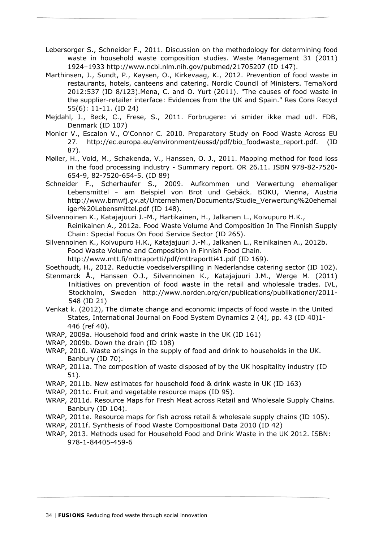- Lebersorger S., Schneider F., 2011. *Discussion on the methodology for determining food waste in household waste composition studies*. Waste Management 31 (2011) 1924–1933 http://www.ncbi.nlm.nih.gov/pubmed/21705207 (ID 147).
- Marthinsen, J., Sundt, P., Kaysen, O., Kirkevaag, K., 2012. Prevention of food waste in restaurants, hotels, canteens and catering. Nordic Council of Ministers. TemaNord 2012:537 (ID 8/123).Mena, C. and O. Yurt (2011). "The causes of food waste in the supplier-retailer interface: Evidences from the UK and Spain." Res Cons Recycl 55(6): 11-11. (ID 24)
- Mejdahl, J., Beck, C., Frese, S., 2011. Forbrugere: vi smider ikke mad ud!. FDB, Denmark (ID 107)
- Monier V., Escalon V., O'Connor C. 2010. Preparatory Study on Food Waste Across EU 27. http://ec.europa.eu/environment/eussd/pdf/bio\_foodwaste\_report.pdf. (ID 87).
- Møller, H., Vold, M., Schakenda, V., Hanssen, O. J., 2011. Mapping method for food loss in the food processing industry - Summary report. OR 26.11. ISBN 978-82-7520- 654-9, 82-7520-654-5. (ID 89)
- Schneider F., Scherhaufer S., 2009. *Aufkommen und Verwertung ehemaliger Lebensmittel – am Beispiel von Brot und Gebäck.* BOKU, Vienna, Austria http://www.bmwfj.gv.at/Unternehmen/Documents/Studie\_Verwertung%20ehemal iger%20Lebensmittel.pdf (ID 148).
- Silvennoinen K., Katajajuuri J.-M., Hartikainen, H., Jalkanen L., Koivupuro H.K., Reinikainen A., 2012a. Food Waste Volume And Composition In The Finnish Supply
- Chain: Special Focus On Food Service Sector (ID 265). Silvennoinen K., Koivupuro H.K., Katajajuuri J.-M., Jalkanen L., Reinikainen A., 2012b. Food Waste Volume and Composition in Finnish Food Chain.
	- http://www.mtt.fi/mttraportti/pdf/mttraportti41.pdf (ID 169).
- Soethoudt, H., 2012. Reductie voedselverspilling in Nederlandse catering sector (ID 102).
- Stenmarck Å., Hanssen O.J., Silvennoinen K., Katajajuuri J.M., Werge M. (2011) *Initiatives on prevention of food waste in the retail and wholesale trades*. IVL, Stockholm, Sweden http://www.norden.org/en/publications/publikationer/2011- 548 (ID 21)
- Venkat k. (2012), The climate change and economic impacts of food waste in the United States, International Journal on Food System Dynamics 2 (4), pp. 43 (ID 40)1- 446 (ref 40).
- WRAP, 2009a. Household food and drink waste in the UK (ID 161)
- WRAP, 2009b. Down the drain (ID 108)
- WRAP, 2010. Waste arisings in the supply of food and drink to households in the UK. Banbury (ID 70).
- WRAP, 2011a. The composition of waste disposed of by the UK hospitality industry (ID 51).
- WRAP, 2011b. New estimates for household food & drink waste in UK (ID 163)
- WRAP, 2011c. Fruit and vegetable resource maps (ID 95).
- WRAP, 2011d. Resource Maps for Fresh Meat across Retail and Wholesale Supply Chains. Banbury (ID 104).
- WRAP, 2011e. Resource maps for fish across retail & wholesale supply chains (ID 105).
- WRAP, 2011f. Synthesis of Food Waste Compositional Data 2010 (ID 42)
- WRAP, 2013. Methods used for Household Food and Drink Waste in the UK 2012. ISBN: 978-1-84405-459-6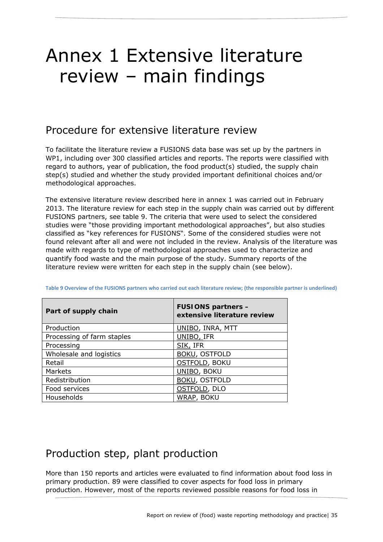## Annex 1 Extensive literature review – main findings

### Procedure for extensive literature review

To facilitate the literature review a FUSIONS data base was set up by the partners in WP1, including over 300 classified articles and reports. The reports were classified with regard to authors, year of publication, the food product(s) studied, the supply chain step(s) studied and whether the study provided important definitional choices and/or methodological approaches.

The extensive literature review described here in annex 1 was carried out in February 2013. The literature review for each step in the supply chain was carried out by different FUSIONS partners, see table 9. The criteria that were used to select the *considered studies* were "those providing important methodological approaches", but also studies classified as "key references for FUSIONS". Some of the considered studies were not found *relevant* after all and were not included in the review. Analysis of the literature was made with regards to type of methodological approaches used to characterize and quantify food waste and the main purpose of the study. Summary reports of the literature review were written for each step in the supply chain (see below).

| Part of supply chain       | <b>FUSIONS partners -</b><br>extensive literature review |
|----------------------------|----------------------------------------------------------|
| Production                 | UNIBO, INRA, MTT                                         |
| Processing of farm staples | UNIBO, IFR                                               |
| Processing                 | SIK, IFR                                                 |
| Wholesale and logistics    | <b>BOKU, OSTFOLD</b>                                     |
| Retail                     | <b>OSTFOLD, BOKU</b>                                     |
| Markets                    | UNIBO, BOKU                                              |
| Redistribution             | <b>BOKU, OSTFOLD</b>                                     |
| Food services              | OSTFOLD, DLO                                             |
| Households                 | WRAP, BOKU                                               |

Table 9 Overview of the FUSIONS partners who carried out each literature review; (the responsible partner is underlined)

### Production step, plant production

More than 150 reports and articles were evaluated to find information about food loss in primary production. 89 were classified to cover aspects for food loss in primary production. However, most of the reports reviewed possible reasons for food loss in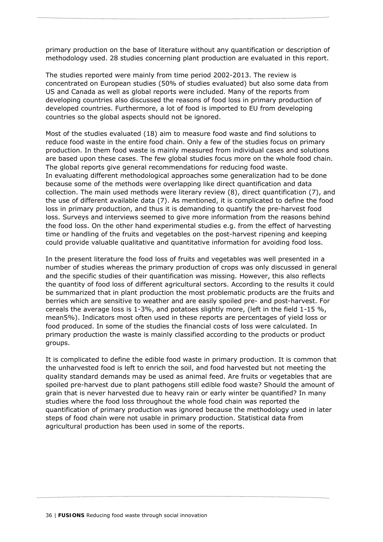primary production on the base of literature without any quantification or description of methodology used. 28 studies concerning plant production are evaluated in this report.

The studies reported were mainly from time period 2002-2013. The review is concentrated on European studies (50% of studies evaluated) but also some data from US and Canada as well as global reports were included. Many of the reports from developing countries also discussed the reasons of food loss in primary production of developed countries. Furthermore, a lot of food is imported to EU from developing countries so the global aspects should not be ignored.

Most of the studies evaluated (18) aim to measure food waste and find solutions to reduce food waste in the entire food chain. Only a few of the studies focus on primary production. In them food waste is mainly measured from individual cases and solutions are based upon these cases. The few global studies focus more on the whole food chain. The global reports give general recommendations for reducing food waste. In evaluating different methodological approaches some generalization had to be done because some of the methods were overlapping like direct quantification and data collection. The main used methods were literary review (8), direct quantification (7), and the use of different available data (7). As mentioned, it is complicated to define the food loss in primary production, and thus it is demanding to quantify the pre-harvest food loss. Surveys and interviews seemed to give more information from the reasons behind the food loss. On the other hand experimental studies e.g. from the effect of harvesting time or handling of the fruits and vegetables on the post-harvest ripening and keeping could provide valuable qualitative and quantitative information for avoiding food loss.

In the present literature the food loss of fruits and vegetables was well presented in a number of studies whereas the primary production of crops was only discussed in general and the specific studies of their quantification was missing. However, this also reflects the quantity of food loss of different agricultural sectors. According to the results it could be summarized that in plant production the most problematic products are the fruits and berries which are sensitive to weather and are easily spoiled pre- and post-harvest. For cereals the average loss is 1-3%, and potatoes slightly more, (left in the field 1-15 %, mean5%). Indicators most often used in these reports are percentages of yield loss or food produced. In some of the studies the financial costs of loss were calculated. In primary production the waste is mainly classified according to the products or product groups.

It is complicated to define the edible food waste in primary production. It is common that the unharvested food is left to enrich the soil, and food harvested but not meeting the quality standard demands may be used as animal feed. Are fruits or vegetables that are spoiled pre-harvest due to plant pathogens still edible food waste? Should the amount of grain that is never harvested due to heavy rain or early winter be quantified? In many studies where the food loss throughout the whole food chain was reported the quantification of primary production was ignored because the methodology used in later steps of food chain were not usable in primary production. Statistical data from agricultural production has been used in some of the reports.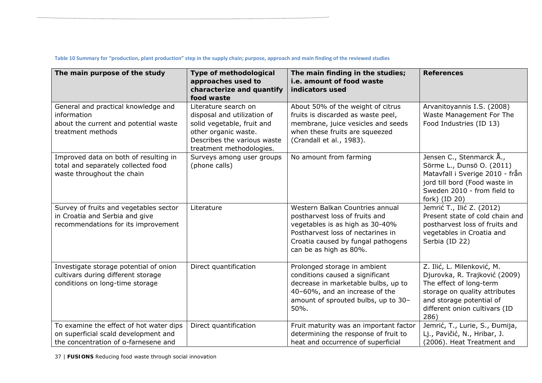| The main purpose of the study                                                                                           | Type of methodological<br>approaches used to<br>characterize and quantify<br>food waste                                                                              | The main finding in the studies;<br>i.e. amount of food waste<br>indicators used                                                                                                                          | <b>References</b>                                                                                                                                                                            |
|-------------------------------------------------------------------------------------------------------------------------|----------------------------------------------------------------------------------------------------------------------------------------------------------------------|-----------------------------------------------------------------------------------------------------------------------------------------------------------------------------------------------------------|----------------------------------------------------------------------------------------------------------------------------------------------------------------------------------------------|
| General and practical knowledge and<br>information<br>about the current and potential waste<br>treatment methods        | Literature search on<br>disposal and utilization of<br>solid vegetable, fruit and<br>other organic waste.<br>Describes the various waste<br>treatment methodologies. | About 50% of the weight of citrus<br>fruits is discarded as waste peel,<br>membrane, juice vesicles and seeds<br>when these fruits are squeezed<br>(Crandall et al., 1983).                               | Arvanitoyannis I.S. (2008)<br>Waste Management For The<br>Food Industries (ID 13)                                                                                                            |
| Improved data on both of resulting in<br>total and separately collected food<br>waste throughout the chain              | Surveys among user groups<br>(phone calls)                                                                                                                           | No amount from farming                                                                                                                                                                                    | Jensen C., Stenmarck Å.,<br>Sörme L., Dunsö O. (2011)<br>Matavfall i Sverige 2010 - från<br>jord till bord (Food waste in<br>Sweden 2010 - from field to<br>fork) (ID 20)                    |
| Survey of fruits and vegetables sector<br>in Croatia and Serbia and give<br>recommendations for its improvement         | Literature                                                                                                                                                           | Western Balkan Countries annual<br>postharvest loss of fruits and<br>vegetables is as high as 30-40%<br>Postharvest loss of nectarines in<br>Croatia caused by fungal pathogens<br>can be as high as 80%. | Jemrić T., Ilić Z. (2012)<br>Present state of cold chain and<br>postharvest loss of fruits and<br>vegetables in Croatia and<br>Serbia (ID 22)                                                |
| Investigate storage potential of onion<br>cultivars during different storage<br>conditions on long-time storage         | Direct quantification                                                                                                                                                | Prolonged storage in ambient<br>conditions caused a significant<br>decrease in marketable bulbs, up to<br>40-60%, and an increase of the<br>amount of sprouted bulbs, up to 30-<br>50%.                   | Z. Ilić, L. Milenković, M.<br>Djurovka, R. Trajković (2009)<br>The effect of long-term<br>storage on quality attributes<br>and storage potential of<br>different onion cultivars (ID<br>286) |
| To examine the effect of hot water dips<br>on superficial scald development and<br>the concentration of a-farnesene and | Direct quantification                                                                                                                                                | Fruit maturity was an important factor<br>determining the response of fruit to<br>heat and occurrence of superficial                                                                                      | Jemrić, T., Lurie, S., Đumija,<br>Lj., Pavičić, N., Hribar, J.<br>(2006). Heat Treatment and                                                                                                 |

37 | **FUSIONS** Reducing food waste through social innovation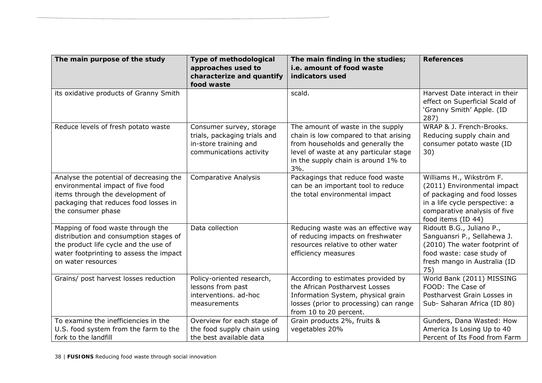| The main purpose of the study                                                                                                                                                         | <b>Type of methodological</b><br>approaches used to<br>characterize and quantify<br>food waste               | The main finding in the studies;<br>i.e. amount of food waste<br>indicators used                                                                                                                        | <b>References</b>                                                                                                                                                               |
|---------------------------------------------------------------------------------------------------------------------------------------------------------------------------------------|--------------------------------------------------------------------------------------------------------------|---------------------------------------------------------------------------------------------------------------------------------------------------------------------------------------------------------|---------------------------------------------------------------------------------------------------------------------------------------------------------------------------------|
| its oxidative products of Granny Smith                                                                                                                                                |                                                                                                              | scald.                                                                                                                                                                                                  | Harvest Date interact in their<br>effect on Superficial Scald of<br>'Granny Smith' Apple. (ID<br>287)                                                                           |
| Reduce levels of fresh potato waste                                                                                                                                                   | Consumer survey, storage<br>trials, packaging trials and<br>in-store training and<br>communications activity | The amount of waste in the supply<br>chain is low compared to that arising<br>from households and generally the<br>level of waste at any particular stage<br>in the supply chain is around 1% to<br>3%. | WRAP & J. French-Brooks.<br>Reducing supply chain and<br>consumer potato waste (ID<br>30)                                                                                       |
| Analyse the potential of decreasing the<br>environmental impact of five food<br>items through the development of<br>packaging that reduces food losses in<br>the consumer phase       | <b>Comparative Analysis</b>                                                                                  | Packagings that reduce food waste<br>can be an important tool to reduce<br>the total environmental impact                                                                                               | Williams H., Wikström F.<br>(2011) Environmental impact<br>of packaging and food losses<br>in a life cycle perspective: a<br>comparative analysis of five<br>food items (ID 44) |
| Mapping of food waste through the<br>distribution and consumption stages of<br>the product life cycle and the use of<br>water footprinting to assess the impact<br>on water resources | Data collection                                                                                              | Reducing waste was an effective way<br>of reducing impacts on freshwater<br>resources relative to other water<br>efficiency measures                                                                    | Ridoutt B.G., Juliano P.,<br>Sanguansri P., Sellahewa J.<br>(2010) The water footprint of<br>food waste: case study of<br>fresh mango in Australia (ID<br>75)                   |
| Grains/ post harvest losses reduction                                                                                                                                                 | Policy-oriented research,<br>lessons from past<br>interventions. ad-hoc<br>measurements                      | According to estimates provided by<br>the African Postharvest Losses<br>Information System, physical grain<br>losses (prior to processing) can range<br>from 10 to 20 percent.                          | World Bank (2011) MISSING<br>FOOD: The Case of<br>Postharvest Grain Losses in<br>Sub- Saharan Africa (ID 80)                                                                    |
| To examine the inefficiencies in the<br>U.S. food system from the farm to the<br>fork to the landfill                                                                                 | Overview for each stage of<br>the food supply chain using<br>the best available data                         | Grain products 2%, fruits &<br>vegetables 20%                                                                                                                                                           | Gunders, Dana Wasted: How<br>America Is Losing Up to 40<br>Percent of Its Food from Farm                                                                                        |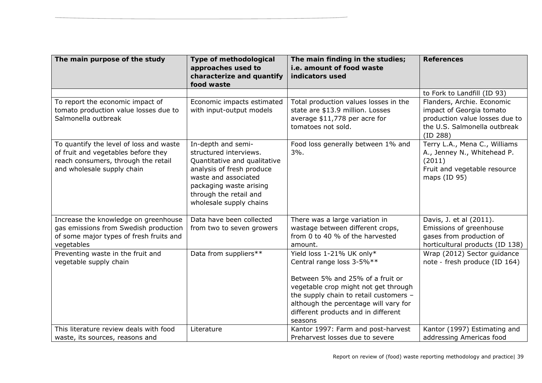| The main purpose of the study                                                                                                                       | <b>Type of methodological</b><br>approaches used to<br>characterize and quantify<br>food waste                                                                                                                    | The main finding in the studies;<br>i.e. amount of food waste<br>indicators used                                                                                                                                                                                        | <b>References</b>                                                                                                                    |
|-----------------------------------------------------------------------------------------------------------------------------------------------------|-------------------------------------------------------------------------------------------------------------------------------------------------------------------------------------------------------------------|-------------------------------------------------------------------------------------------------------------------------------------------------------------------------------------------------------------------------------------------------------------------------|--------------------------------------------------------------------------------------------------------------------------------------|
|                                                                                                                                                     |                                                                                                                                                                                                                   |                                                                                                                                                                                                                                                                         | to Fork to Landfill (ID 93)                                                                                                          |
| To report the economic impact of<br>tomato production value losses due to<br>Salmonella outbreak                                                    | Economic impacts estimated<br>with input-output models                                                                                                                                                            | Total production values losses in the<br>state are \$13.9 million. Losses<br>average \$11,778 per acre for<br>tomatoes not sold.                                                                                                                                        | Flanders, Archie. Economic<br>impact of Georgia tomato<br>production value losses due to<br>the U.S. Salmonella outbreak<br>(ID 288) |
| To quantify the level of loss and waste<br>of fruit and vegetables before they<br>reach consumers, through the retail<br>and wholesale supply chain | In-depth and semi-<br>structured interviews.<br>Quantitative and qualitative<br>analysis of fresh produce<br>waste and associated<br>packaging waste arising<br>through the retail and<br>wholesale supply chains | Food loss generally between 1% and<br>$3%$ .                                                                                                                                                                                                                            | Terry L.A., Mena C., Williams<br>A., Jenney N., Whitehead P.<br>(2011)<br>Fruit and vegetable resource<br>maps (ID 95)               |
| Increase the knowledge on greenhouse<br>gas emissions from Swedish production<br>of some major types of fresh fruits and<br>vegetables              | Data have been collected<br>from two to seven growers                                                                                                                                                             | There was a large variation in<br>wastage between different crops,<br>from 0 to 40 % of the harvested<br>amount.                                                                                                                                                        | Davis, J. et al (2011).<br>Emissions of greenhouse<br>gases from production of<br>horticultural products (ID 138)                    |
| Preventing waste in the fruit and<br>vegetable supply chain                                                                                         | Data from suppliers**                                                                                                                                                                                             | Yield loss 1-21% UK only*<br>Central range loss 3-5%**<br>Between 5% and 25% of a fruit or<br>vegetable crop might not get through<br>the supply chain to retail customers -<br>although the percentage will vary for<br>different products and in different<br>seasons | Wrap (2012) Sector guidance<br>note - fresh produce (ID 164)                                                                         |
| This literature review deals with food<br>waste, its sources, reasons and                                                                           | Literature                                                                                                                                                                                                        | Kantor 1997: Farm and post-harvest<br>Preharvest losses due to severe                                                                                                                                                                                                   | Kantor (1997) Estimating and<br>addressing Americas food                                                                             |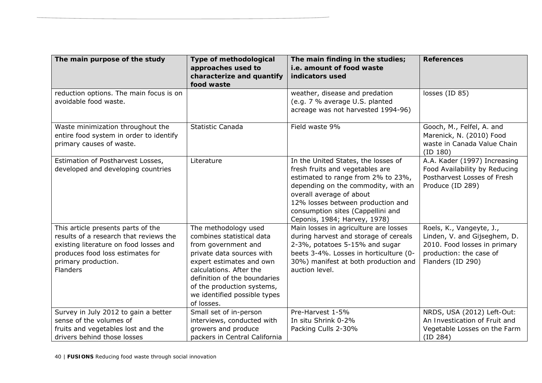| The main purpose of the study                                                                                                                                                                        | <b>Type of methodological</b><br>approaches used to<br>characterize and quantify<br>food waste                                                                                                                                                                           | The main finding in the studies;<br>i.e. amount of food waste<br>indicators used                                                                                                                                                                                                          | <b>References</b>                                                                                                                        |
|------------------------------------------------------------------------------------------------------------------------------------------------------------------------------------------------------|--------------------------------------------------------------------------------------------------------------------------------------------------------------------------------------------------------------------------------------------------------------------------|-------------------------------------------------------------------------------------------------------------------------------------------------------------------------------------------------------------------------------------------------------------------------------------------|------------------------------------------------------------------------------------------------------------------------------------------|
| reduction options. The main focus is on<br>avoidable food waste.                                                                                                                                     |                                                                                                                                                                                                                                                                          | weather, disease and predation<br>(e.g. 7 % average U.S. planted<br>acreage was not harvested 1994-96)                                                                                                                                                                                    | losses (ID 85)                                                                                                                           |
| Waste minimization throughout the<br>entire food system in order to identify<br>primary causes of waste.                                                                                             | Statistic Canada                                                                                                                                                                                                                                                         | Field waste 9%                                                                                                                                                                                                                                                                            | Gooch, M., Felfel, A. and<br>Marenick, N. (2010) Food<br>waste in Canada Value Chain<br>(ID 180)                                         |
| Estimation of Postharvest Losses,<br>developed and developing countries                                                                                                                              | Literature                                                                                                                                                                                                                                                               | In the United States, the losses of<br>fresh fruits and vegetables are<br>estimated to range from 2% to 23%,<br>depending on the commodity, with an<br>overall average of about<br>12% losses between production and<br>consumption sites (Cappellini and<br>Ceponis, 1984; Harvey, 1978) | A.A. Kader (1997) Increasing<br>Food Availability by Reducing<br>Postharvest Losses of Fresh<br>Produce (ID 289)                         |
| This article presents parts of the<br>results of a research that reviews the<br>existing literature on food losses and<br>produces food loss estimates for<br>primary production.<br><b>Flanders</b> | The methodology used<br>combines statistical data<br>from government and<br>private data sources with<br>expert estimates and own<br>calculations. After the<br>definition of the boundaries<br>of the production systems,<br>we identified possible types<br>of losses. | Main losses in agriculture are losses<br>during harvest and storage of cereals<br>2-3%, potatoes 5-15% and sugar<br>beets 3-4%. Losses in horticulture (0-<br>30%) manifest at both production and<br>auction level.                                                                      | Roels, K., Vangeyte, J.,<br>Linden, V. and Gijseghem, D.<br>2010. Food losses in primary<br>production: the case of<br>Flanders (ID 290) |
| Survey in July 2012 to gain a better<br>sense of the volumes of<br>fruits and vegetables lost and the<br>drivers behind those losses                                                                 | Small set of in-person<br>interviews, conducted with<br>growers and produce<br>packers in Central California                                                                                                                                                             | Pre-Harvest 1-5%<br>In situ Shrink 0-2%<br>Packing Culls 2-30%                                                                                                                                                                                                                            | NRDS, USA (2012) Left-Out:<br>An Investication of Fruit and<br>Vegetable Losses on the Farm<br>(ID 284)                                  |

40 | **FUSIONS** Reducing food waste through social innovation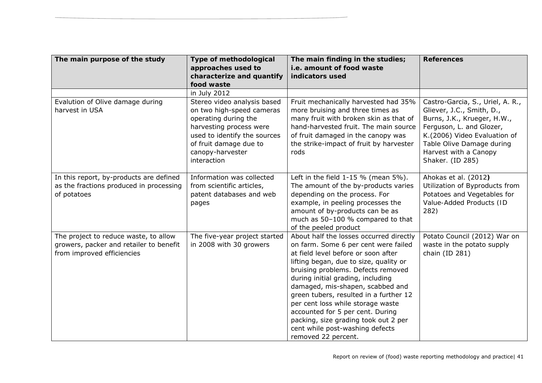| The main purpose of the study                                                                                  | <b>Type of methodological</b><br>approaches used to<br>characterize and quantify<br>food waste                                                                                                           | The main finding in the studies;<br>i.e. amount of food waste<br>indicators used                                                                                                                                                                                                                                                                                                                                                                                                                     | <b>References</b>                                                                                                                                                                                                                  |
|----------------------------------------------------------------------------------------------------------------|----------------------------------------------------------------------------------------------------------------------------------------------------------------------------------------------------------|------------------------------------------------------------------------------------------------------------------------------------------------------------------------------------------------------------------------------------------------------------------------------------------------------------------------------------------------------------------------------------------------------------------------------------------------------------------------------------------------------|------------------------------------------------------------------------------------------------------------------------------------------------------------------------------------------------------------------------------------|
|                                                                                                                | in July 2012                                                                                                                                                                                             |                                                                                                                                                                                                                                                                                                                                                                                                                                                                                                      |                                                                                                                                                                                                                                    |
| Evalution of Olive damage during<br>harvest in USA                                                             | Stereo video analysis based<br>on two high-speed cameras<br>operating during the<br>harvesting process were<br>used to identify the sources<br>of fruit damage due to<br>canopy-harvester<br>interaction | Fruit mechanically harvested had 35%<br>more bruising and three times as<br>many fruit with broken skin as that of<br>hand-harvested fruit. The main source<br>of fruit damaged in the canopy was<br>the strike-impact of fruit by harvester<br>rods                                                                                                                                                                                                                                                 | Castro-Garcia, S., Uriel, A. R.,<br>Gliever, J.C., Smith, D.,<br>Burns, J.K., Krueger, H.W.,<br>Ferguson, L. and Glozer,<br>K.(2006) Video Evaluation of<br>Table Olive Damage during<br>Harvest with a Canopy<br>Shaker. (ID 285) |
| In this report, by-products are defined<br>as the fractions produced in processing<br>of potatoes              | Information was collected<br>from scientific articles,<br>patent databases and web<br>pages                                                                                                              | Left in the field $1-15$ % (mean $5\%$ ).<br>The amount of the by-products varies<br>depending on the process. For<br>example, in peeling processes the<br>amount of by-products can be as<br>much as 50-100 % compared to that<br>of the peeled product                                                                                                                                                                                                                                             | Ahokas et al. (2012)<br>Utilization of Byproducts from<br>Potatoes and Vegetables for<br>Value-Added Products (ID<br>282)                                                                                                          |
| The project to reduce waste, to allow<br>growers, packer and retailer to benefit<br>from improved efficiencies | The five-year project started<br>in 2008 with 30 growers                                                                                                                                                 | About half the losses occurred directly<br>on farm. Some 6 per cent were failed<br>at field level before or soon after<br>lifting began, due to size, quality or<br>bruising problems. Defects removed<br>during initial grading, including<br>damaged, mis-shapen, scabbed and<br>green tubers, resulted in a further 12<br>per cent loss while storage waste<br>accounted for 5 per cent. During<br>packing, size grading took out 2 per<br>cent while post-washing defects<br>removed 22 percent. | Potato Council (2012) War on<br>waste in the potato supply<br>chain (ID 281)                                                                                                                                                       |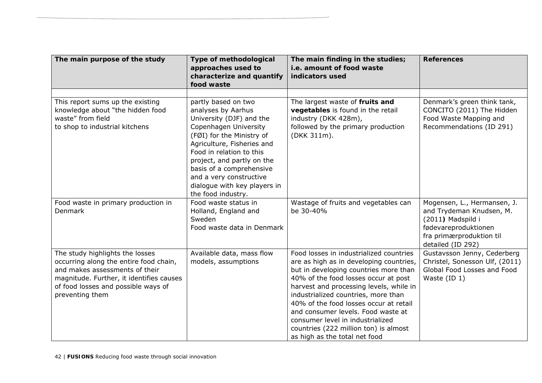| The main purpose of the study                                                                                                                                                                                     | <b>Type of methodological</b><br>approaches used to<br>characterize and quantify<br>food waste                                                                                                                                                                                                            | The main finding in the studies;<br>i.e. amount of food waste<br>indicators used                                                                                                                                                                                                                                                                                                                                                                    | <b>References</b>                                                                                                                                     |
|-------------------------------------------------------------------------------------------------------------------------------------------------------------------------------------------------------------------|-----------------------------------------------------------------------------------------------------------------------------------------------------------------------------------------------------------------------------------------------------------------------------------------------------------|-----------------------------------------------------------------------------------------------------------------------------------------------------------------------------------------------------------------------------------------------------------------------------------------------------------------------------------------------------------------------------------------------------------------------------------------------------|-------------------------------------------------------------------------------------------------------------------------------------------------------|
| This report sums up the existing                                                                                                                                                                                  | partly based on two                                                                                                                                                                                                                                                                                       | The largest waste of fruits and                                                                                                                                                                                                                                                                                                                                                                                                                     | Denmark's green think tank,                                                                                                                           |
| knowledge about "the hidden food<br>waste" from field<br>to shop to industrial kitchens                                                                                                                           | analyses by Aarhus<br>University (DJF) and the<br>Copenhagen University<br>(FØI) for the Ministry of<br>Agriculture, Fisheries and<br>Food in relation to this<br>project, and partly on the<br>basis of a comprehensive<br>and a very constructive<br>dialogue with key players in<br>the food industry. | vegetables is found in the retail<br>industry (DKK 428m),<br>followed by the primary production<br>(DKK 311m).                                                                                                                                                                                                                                                                                                                                      | CONCITO (2011) The Hidden<br>Food Waste Mapping and<br>Recommendations (ID 291)                                                                       |
| Food waste in primary production in<br>Denmark                                                                                                                                                                    | Food waste status in<br>Holland, England and<br>Sweden<br>Food waste data in Denmark                                                                                                                                                                                                                      | Wastage of fruits and vegetables can<br>be 30-40%                                                                                                                                                                                                                                                                                                                                                                                                   | Mogensen, L., Hermansen, J.<br>and Trydeman Knudsen, M.<br>(2011) Madspild i<br>fødevareproduktionen<br>fra primærproduktion til<br>detailed (ID 292) |
| The study highlights the losses<br>occurring along the entire food chain,<br>and makes assessments of their<br>magnitude. Further, it identifies causes<br>of food losses and possible ways of<br>preventing them | Available data, mass flow<br>models, assumptions                                                                                                                                                                                                                                                          | Food losses in industrialized countries<br>are as high as in developing countries,<br>but in developing countries more than<br>40% of the food losses occur at post<br>harvest and processing levels, while in<br>industrialized countries, more than<br>40% of the food losses occur at retail<br>and consumer levels. Food waste at<br>consumer level in industrialized<br>countries (222 million ton) is almost<br>as high as the total net food | Gustavsson Jenny, Cederberg<br>Christel, Sonesson Ulf, (2011)<br>Global Food Losses and Food<br>Waste (ID 1)                                          |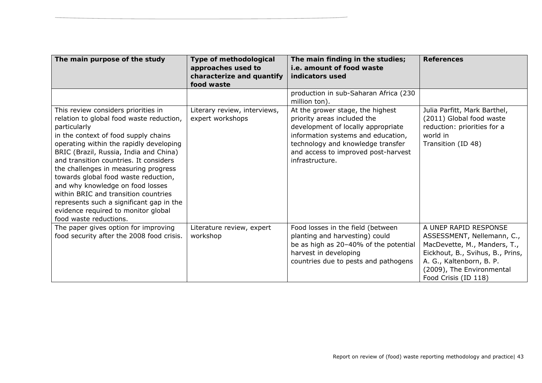| The main purpose of the study                                                                                                                                                                                                                                                                                                                                                                                                                                                                                                                   | Type of methodological<br>approaches used to<br>characterize and quantify<br>food waste | The main finding in the studies;<br><i>i.e.</i> amount of food waste<br>indicators used                                                                                                                                                    | <b>References</b>                                                                                                                                                                                        |
|-------------------------------------------------------------------------------------------------------------------------------------------------------------------------------------------------------------------------------------------------------------------------------------------------------------------------------------------------------------------------------------------------------------------------------------------------------------------------------------------------------------------------------------------------|-----------------------------------------------------------------------------------------|--------------------------------------------------------------------------------------------------------------------------------------------------------------------------------------------------------------------------------------------|----------------------------------------------------------------------------------------------------------------------------------------------------------------------------------------------------------|
|                                                                                                                                                                                                                                                                                                                                                                                                                                                                                                                                                 |                                                                                         | production in sub-Saharan Africa (230<br>million ton).                                                                                                                                                                                     |                                                                                                                                                                                                          |
| This review considers priorities in<br>relation to global food waste reduction,<br>particularly<br>in the context of food supply chains<br>operating within the rapidly developing<br>BRIC (Brazil, Russia, India and China)<br>and transition countries. It considers<br>the challenges in measuring progress<br>towards global food waste reduction,<br>and why knowledge on food losses<br>within BRIC and transition countries<br>represents such a significant gap in the<br>evidence required to monitor global<br>food waste reductions. | Literary review, interviews,<br>expert workshops                                        | At the grower stage, the highest<br>priority areas included the<br>development of locally appropriate<br>information systems and education,<br>technology and knowledge transfer<br>and access to improved post-harvest<br>infrastructure. | Julia Parfitt, Mark Barthel,<br>(2011) Global food waste<br>reduction: priorities for a<br>world in<br>Transition (ID 48)                                                                                |
| The paper gives option for improving<br>food security after the 2008 food crisis.                                                                                                                                                                                                                                                                                                                                                                                                                                                               | Literature review, expert<br>workshop                                                   | Food losses in the field (between<br>planting and harvesting) could<br>be as high as 20-40% of the potential<br>harvest in developing<br>countries due to pests and pathogens                                                              | A UNEP RAPID RESPONSE<br>ASSESSMENT, Nellemann, C.,<br>MacDevette, M., Manders, T.,<br>Eickhout, B., Svihus, B., Prins,<br>A. G., Kaltenborn, B. P.<br>(2009), The Environmental<br>Food Crisis (ID 118) |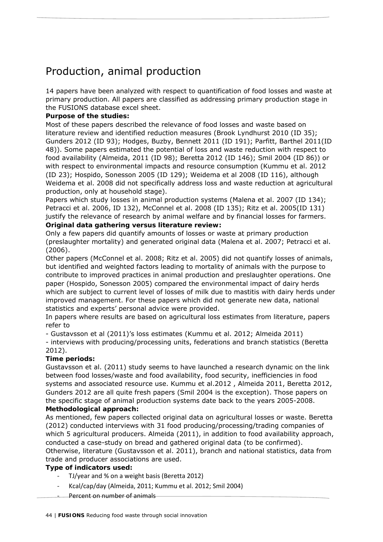# Production, animal production

14 papers have been analyzed with respect to quantification of food losses and waste at primary production. All papers are classified as addressing primary production stage in the FUSIONS database excel sheet.

## **Purpose of the studies:**

Most of these papers described the relevance of food losses and waste based on literature review and identified reduction measures (Brook Lyndhurst 2010 (ID 35); Gunders 2012 (ID 93); Hodges, Buzby, Bennett 2011 (ID 191); Parfitt, Barthel 2011(ID 48)). Some papers estimated the potential of loss and waste reduction with respect to food availability (Almeida, 2011 (ID 98); Beretta 2012 (ID 146); Smil 2004 (ID 86)) or with respect to environmental impacts and resource consumption (Kummu et al. 2012 (ID 23); Hospido, Sonesson 2005 (ID 129); Weidema et al 2008 (ID 116), although Weidema et al. 2008 did not specifically address loss and waste reduction at agricultural production, only at household stage).

Papers which study losses in animal production systems (Malena et al. 2007 (ID 134); Petracci et al. 2006, ID 132), McConnel et al. 2008 (ID 135); Ritz et al. 2005(ID 131) justify the relevance of research by animal welfare and by financial losses for farmers. **Original data gathering versus literature review:** 

Only a few papers did quantify amounts of losses or waste at primary production (preslaughter mortality) and generated original data (Malena et al. 2007; Petracci et al. (2006).

Other papers (McConnel et al. 2008; Ritz et al. 2005) did not quantify losses of animals, but identified and weighted factors leading to mortality of animals with the purpose to contribute to improved practices in animal production and preslaughter operations. One paper (Hospido, Sonesson 2005) compared the environmental impact of dairy herds which are subject to current level of losses of milk due to mastitis with dairy herds under improved management. For these papers which did not generate new data, national statistics and experts' personal advice were provided.

In papers where results are based on agricultural loss estimates from literature, papers refer to

- Gustavsson et al (2011)'s loss estimates (Kummu et al. 2012; Almeida 2011)

- interviews with producing/processing units, federations and branch statistics (Beretta 2012).

## **Time periods:**

Gustavsson et al. (2011) study seems to have launched a research dynamic on the link between food losses/waste and food availability, food security, inefficiencies in food systems and associated resource use. Kummu et al.2012 , Almeida 2011, Beretta 2012, Gunders 2012 are all quite fresh papers (Smil 2004 is the exception). Those papers on the specific stage of animal production systems date back to the years 2005-2008.

## **Methodological approach:**

As mentioned, few papers collected original data on agricultural losses or waste. Beretta (2012) conducted interviews with 31 food producing/processing/trading companies of which 5 agricultural producers. Almeida (2011), in addition to food availability approach, conducted a case-study on bread and gathered original data (to be confirmed). Otherwise, literature (Gustavsson et al. 2011), branch and national statistics, data from trade and producer associations are used.

## **Type of indicators used:**

- ‐ TJ/year and % on a weight basis (Beretta 2012)
- ‐ Kcal/cap/day (Almeida, 2011; Kummu et al. 2012; Smil 2004)
- Percent on number of animals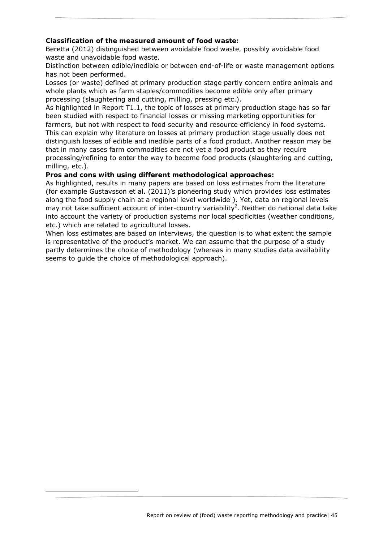## **Classification of the measured amount of food waste:**

Beretta (2012) distinguished between *avoidable food waste, possibly avoidable food waste* and *unavoidable food waste*.

Distinction between edible/inedible or between end-of-life or waste management options has not been performed.

Losses (or waste) defined at primary production stage partly concern entire animals and whole plants which as farm staples/commodities become edible only after primary processing (slaughtering and cutting, milling, pressing etc.).

As highlighted in Report T1.1, the topic of losses at primary production stage has so far been studied with respect to financial losses or missing marketing opportunities for farmers, but not with respect to food security and resource efficiency in food systems. This can explain why literature on losses at primary production stage usually does not distinguish losses of edible and inedible parts of a food product. Another reason may be that in many cases farm commodities are not yet a food product as they require processing/refining to enter the way to become food products (slaughtering and cutting, milling, etc.).

### **Pros and cons with using different methodological approaches:**

-

As highlighted, results in many papers are based on loss estimates from the literature (for example Gustavsson et al. (2011)'s pioneering study which provides loss estimates along the food supply chain at a regional level worldwide ). Yet, data on regional levels may not take sufficient account of inter-country variability<sup>2</sup>. Neither do national data take into account the variety of production systems nor local specificities (weather conditions, etc.) which are related to agricultural losses.

When loss estimates are based on interviews, the question is to what extent the sample is representative of the product's market. We can assume that the purpose of a study partly determines the choice of methodology (whereas in many studies data availability seems to guide the choice of methodological approach).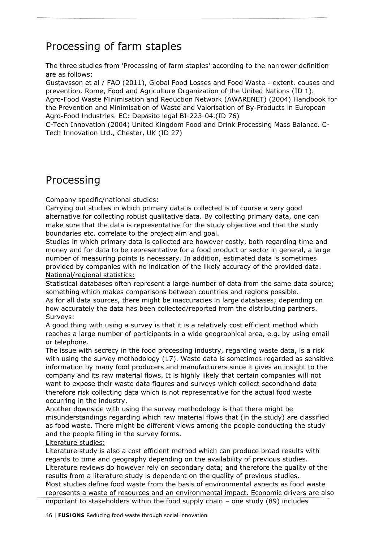# Processing of farm staples

The three studies from 'Processing of farm staples' according to the narrower definition are as follows:

Gustavsson et al / FAO (2011), *Global Food Losses and Food Waste - extent, causes and prevention*. Rome, Food and Agriculture Organization of the United Nations (ID 1). Agro-Food Waste Minimisation and Reduction Network (AWARENET) (2004) *Handbook for the Prevention and Minimisation of Waste and Valorisation of By-Products in European Agro-Food Industries.* EC: Depósito legal BI-223-04.(ID 76)

C-Tech Innovation (2004) *United Kingdom Food and Drink Processing Mass Balance.* C-Tech Innovation Ltd., Chester, UK (ID 27)

## Processing

Company specific/national studies:

Carrying out studies in which primary data is collected is of course a very good alternative for collecting robust qualitative data. By collecting primary data, one can make sure that the data is representative for the study objective and that the study boundaries etc. correlate to the project aim and goal.

Studies in which primary data is collected are however costly, both regarding time and money and for data to be representative for a food product or sector in general, a large number of measuring points is necessary. In addition, estimated data is sometimes provided by companies with no indication of the likely accuracy of the provided data. National/regional statistics:

Statistical databases often represent a large number of data from the same data source; something which makes comparisons between countries and regions possible.

As for all data sources, there might be inaccuracies in large databases; depending on how accurately the data has been collected/reported from the distributing partners. Surveys:

A good thing with using a survey is that it is a relatively cost efficient method which reaches a large number of participants in a wide geographical area, e.g. by using email or telephone.

The issue with secrecy in the food processing industry, regarding waste data, is a risk with using the survey methodology (17). Waste data is sometimes regarded as sensitive information by many food producers and manufacturers since it gives an insight to the company and its raw material flows. It is highly likely that certain companies will not want to expose their waste data figures and surveys which collect secondhand data therefore risk collecting data which is not representative for the actual food waste occurring in the industry.

Another downside with using the survey methodology is that there might be misunderstandings regarding which raw material flows that (in the study) are classified as food waste. There might be different views among the people conducting the study and the people filling in the survey forms.

## Literature studies:

Literature study is also a cost efficient method which can produce broad results with regards to time and geography depending on the availability of previous studies. Literature reviews do however rely on secondary data; and therefore the quality of the results from a literature study is dependent on the quality of previous studies. Most studies define food waste from the basis of environmental aspects as food waste represents a waste of resources and an environmental impact. Economic drivers are also important to stakeholders within the food supply chain – one study (89) includes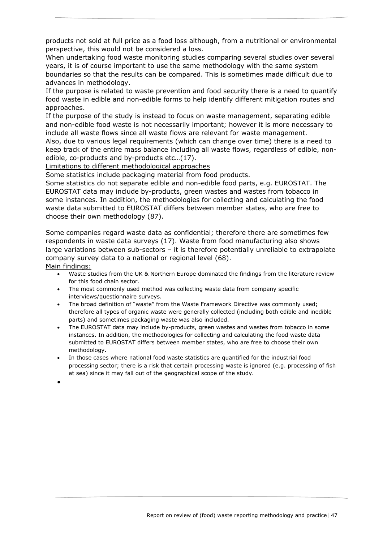products not sold at full price as a food loss although, from a nutritional or environmental perspective, this would not be considered a loss.

When undertaking food waste monitoring studies comparing several studies over several years, it is of course important to use the same methodology with the same system boundaries so that the results can be compared. This is sometimes made difficult due to advances in methodology.

If the purpose is related to *waste prevention* and food security there is a need to quantify food waste in edible and non-edible forms to help identify different mitigation routes and approaches.

If the purpose of the study is instead to focus on *waste management*, separating edible and non-edible food waste is not necessarily important; however it is more necessary to include all waste flows since all waste flows are relevant for waste management.

Also, due to various *legal requirements* (which can change over time) there is a need to keep track of the entire mass balance including all waste flows, regardless of edible, nonedible, co-products and by-products etc…(17).

Limitations to different methodological approaches

Some statistics include packaging material from food products.

Some statistics do not separate edible and non-edible food parts, e.g. EUROSTAT. The EUROSTAT data may include by-products, green wastes and wastes from tobacco in some instances. In addition, the methodologies for collecting and calculating the food waste data submitted to EUROSTAT differs between member states, who are free to choose their own methodology (87).

Some companies regard waste data as confidential; therefore there are sometimes few respondents in waste data surveys (17). Waste from food manufacturing also shows large variations between sub-sectors – it is therefore potentially unreliable to extrapolate company survey data to a national or regional level (68). Main findings:

- Waste studies from the UK & Northern Europe dominated the findings from the literature review for this food chain sector.
- The most commonly used method was collecting waste data from company specific interviews/questionnaire surveys.
- The broad definition of "waste" from the Waste Framework Directive was commonly used; therefore all types of organic waste were generally collected (including both edible and inedible parts) and sometimes packaging waste was also included.
- The EUROSTAT data may include by-products, green wastes and wastes from tobacco in some instances. In addition, the methodologies for collecting and calculating the food waste data submitted to EUROSTAT differs between member states, who are free to choose their own methodology.
- In those cases where national food waste statistics are quantified for the industrial food processing sector; there is a risk that certain processing waste is ignored (e.g. processing of fish at sea) since it may fall out of the geographical scope of the study.

 $\bullet$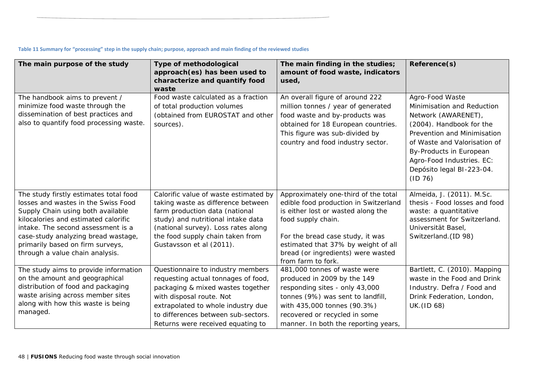|  | Table 11 Summary for "processing" step in the supply chain; purpose, approach and main finding of the reviewed studies |  |  |
|--|------------------------------------------------------------------------------------------------------------------------|--|--|
|--|------------------------------------------------------------------------------------------------------------------------|--|--|

| The main purpose of the study                                                                                                                                                                                                                                                                                  | Type of methodological<br>approach(es) has been used to<br>characterize and quantify food<br>waste                                                                                                                                                          | The main finding in the studies;<br>amount of food waste, indicators<br>used,                                                                                                                                                                                                    | Reference(s)                                                                                                                                                                                                                                                           |
|----------------------------------------------------------------------------------------------------------------------------------------------------------------------------------------------------------------------------------------------------------------------------------------------------------------|-------------------------------------------------------------------------------------------------------------------------------------------------------------------------------------------------------------------------------------------------------------|----------------------------------------------------------------------------------------------------------------------------------------------------------------------------------------------------------------------------------------------------------------------------------|------------------------------------------------------------------------------------------------------------------------------------------------------------------------------------------------------------------------------------------------------------------------|
| The handbook aims to prevent /<br>minimize food waste through the<br>dissemination of best practices and<br>also to quantify food processing waste.                                                                                                                                                            | Food waste calculated as a fraction<br>of total production volumes<br>(obtained from EUROSTAT and other<br>sources).                                                                                                                                        | An overall figure of around 222<br>million tonnes / year of generated<br>food waste and by-products was<br>obtained for 18 European countries.<br>This figure was sub-divided by<br>country and food industry sector.                                                            | Agro-Food Waste<br>Minimisation and Reduction<br>Network (AWARENET),<br>(2004). Handbook for the<br>Prevention and Minimisation<br>of Waste and Valorisation of<br><b>By-Products in European</b><br>Agro-Food Industries. EC:<br>Depósito legal BI-223-04.<br>(ID 76) |
| The study firstly estimates total food<br>losses and wastes in the Swiss Food<br>Supply Chain using both available<br>kilocalories and estimated calorific<br>intake. The second assessment is a<br>case-study analyzing bread wastage,<br>primarily based on firm surveys,<br>through a value chain analysis. | Calorific value of waste estimated by<br>taking waste as difference between<br>farm production data (national<br>study) and nutritional intake data<br>(national survey). Loss rates along<br>the food supply chain taken from<br>Gustavsson et al (2011).  | Approximately one-third of the total<br>edible food production in Switzerland<br>is either lost or wasted along the<br>food supply chain.<br>For the bread case study, it was<br>estimated that 37% by weight of all<br>bread (or ingredients) were wasted<br>from farm to fork. | Almeida, J. (2011). M.Sc.<br>thesis - Food losses and food<br>waste: a quantitative<br>assessment for Switzerland.<br>Universität Basel,<br>Switzerland.(ID 98)                                                                                                        |
| The study aims to provide information<br>on the amount and geographical<br>distribution of food and packaging<br>waste arising across member sites<br>along with how this waste is being<br>managed.                                                                                                           | Questionnaire to industry members<br>requesting actual tonnages of food,<br>packaging & mixed wastes together<br>with disposal route. Not<br>extrapolated to whole industry due<br>to differences between sub-sectors.<br>Returns were received equating to | 481,000 tonnes of waste were<br>produced in 2009 by the 149<br>responding sites - only 43,000<br>tonnes (9%) was sent to landfill,<br>with 435,000 tonnes (90.3%)<br>recovered or recycled in some<br>manner. In both the reporting years,                                       | Bartlett, C. (2010). Mapping<br>waste in the Food and Drink<br>Industry. Defra / Food and<br>Drink Federation, London,<br>UK. (ID 68)                                                                                                                                  |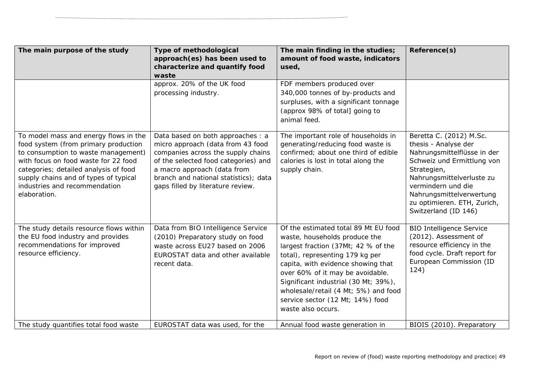| approx. 20% of the UK food<br>FDF members produced over<br>340,000 tonnes of by-products and<br>processing industry.<br>surpluses, with a significant tonnage<br>(approx 98% of total] going to<br>animal feed.<br>To model mass and energy flows in the<br>Data based on both approaches : a<br>The important role of households in<br>food system (from primary production<br>micro approach (data from 43 food<br>generating/reducing food waste is<br>companies across the supply chains<br>confirmed; about one third of edible<br>to consumption to waste management)<br>with focus on food waste for 22 food<br>of the selected food categories) and<br>calories is lost in total along the<br>a macro approach (data from<br>categories; detailed analysis of food<br>supply chain.<br>branch and national statistics); data<br>supply chains and of types of typical<br>industries and recommendation<br>gaps filled by literature review.<br>elaboration. | Reference(s)<br>amount of food waste, indicators                                                                                                                                                                                                                  |
|---------------------------------------------------------------------------------------------------------------------------------------------------------------------------------------------------------------------------------------------------------------------------------------------------------------------------------------------------------------------------------------------------------------------------------------------------------------------------------------------------------------------------------------------------------------------------------------------------------------------------------------------------------------------------------------------------------------------------------------------------------------------------------------------------------------------------------------------------------------------------------------------------------------------------------------------------------------------|-------------------------------------------------------------------------------------------------------------------------------------------------------------------------------------------------------------------------------------------------------------------|
|                                                                                                                                                                                                                                                                                                                                                                                                                                                                                                                                                                                                                                                                                                                                                                                                                                                                                                                                                                     |                                                                                                                                                                                                                                                                   |
|                                                                                                                                                                                                                                                                                                                                                                                                                                                                                                                                                                                                                                                                                                                                                                                                                                                                                                                                                                     | Beretta C. (2012) M.Sc.<br>thesis - Analyse der<br>Nahrungsmittelflüsse in der<br>Schweiz und Ermittlung von<br>Strategien,<br>Nahrungsmittelverluste zu<br>vermindern und die<br>Nahrungsmittelverwertung<br>zu optimieren. ETH, Zurich,<br>Switzerland (ID 146) |
| Data from BIO Intelligence Service<br>Of the estimated total 89 Mt EU food<br>The study details resource flows within<br>the EU food industry and provides<br>(2010) Preparatory study on food<br>waste, households produce the<br>recommendations for improved<br>waste across EU27 based on 2006<br>largest fraction (37Mt; 42 % of the<br>resource efficiency.<br>EUROSTAT data and other available<br>total), representing 179 kg per<br>capita, with evidence showing that<br>recent data.<br>124)<br>over 60% of it may be avoidable.<br>Significant industrial (30 Mt; 39%),<br>wholesale/retail (4 Mt; 5%) and food<br>service sector (12 Mt; 14%) food<br>waste also occurs.<br>The study quantifies total food waste<br>EUROSTAT data was used, for the<br>Annual food waste generation in                                                                                                                                                                | <b>BIO Intelligence Service</b><br>(2012). Assessment of<br>resource efficiency in the<br>food cycle. Draft report for<br>European Commission (ID<br>BIOIS (2010). Preparatory                                                                                    |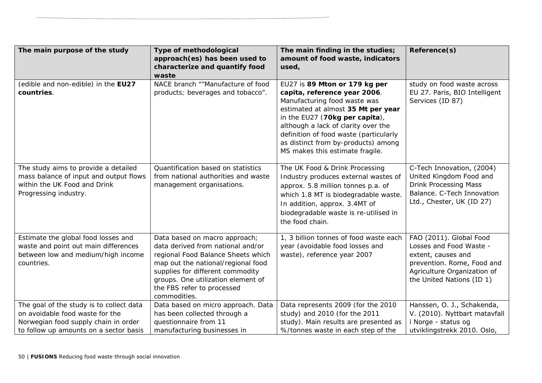| The main purpose of the study                                                                                                                                 | Type of methodological<br>approach(es) has been used to                                                                                                                                                                                                                | The main finding in the studies;<br>amount of food waste, indicators                                                                                                                                                                                                                                                             | Reference(s)                                                                                                                                                       |
|---------------------------------------------------------------------------------------------------------------------------------------------------------------|------------------------------------------------------------------------------------------------------------------------------------------------------------------------------------------------------------------------------------------------------------------------|----------------------------------------------------------------------------------------------------------------------------------------------------------------------------------------------------------------------------------------------------------------------------------------------------------------------------------|--------------------------------------------------------------------------------------------------------------------------------------------------------------------|
|                                                                                                                                                               | characterize and quantify food                                                                                                                                                                                                                                         | used,                                                                                                                                                                                                                                                                                                                            |                                                                                                                                                                    |
|                                                                                                                                                               | waste                                                                                                                                                                                                                                                                  |                                                                                                                                                                                                                                                                                                                                  |                                                                                                                                                                    |
| (edible and non-edible) in the EU27<br>countries.                                                                                                             | NACE branch ""Manufacture of food<br>products; beverages and tobacco".                                                                                                                                                                                                 | EU27 is 89 Mton or 179 kg per<br>capita, reference year 2006.<br>Manufacturing food waste was<br>estimated at almost 35 Mt per year<br>in the EU27 (70kg per capita),<br>although a lack of clarity over the<br>definition of food waste (particularly<br>as distinct from by-products) among<br>MS makes this estimate fragile. | study on food waste across<br>EU 27. Paris, BIO Intelligent<br>Services (ID 87)                                                                                    |
| The study aims to provide a detailed<br>mass balance of input and output flows<br>within the UK Food and Drink<br>Progressing industry.                       | Quantification based on statistics<br>from national authorities and waste<br>management organisations.                                                                                                                                                                 | The UK Food & Drink Processing<br>Industry produces external wastes of<br>approx. 5.8 million tonnes p.a. of<br>which 1.8 MT is biodegradable waste.<br>In addition, approx. 3.4MT of<br>biodegradable waste is re-utilised in<br>the food chain.                                                                                | C-Tech Innovation, (2004)<br>United Kingdom Food and<br>Drink Processing Mass<br>Balance. C-Tech Innovation<br>Ltd., Chester, UK (ID 27)                           |
| Estimate the global food losses and<br>waste and point out main differences<br>between low and medium/high income<br>countries.                               | Data based on macro approach;<br>data derived from national and/or<br>regional Food Balance Sheets which<br>map out the national/regional food<br>supplies for different commodity<br>groups. One utilization element of<br>the FBS refer to processed<br>commodities. | 1, 3 billion tonnes of food waste each<br>year (avoidable food losses and<br>waste), reference year 2007                                                                                                                                                                                                                         | FAO (2011). Global Food<br>Losses and Food Waste -<br>extent, causes and<br>prevention. Rome, Food and<br>Agriculture Organization of<br>the United Nations (ID 1) |
| The goal of the study is to collect data<br>on avoidable food waste for the<br>Norwegian food supply chain in order<br>to follow up amounts on a sector basis | Data based on micro approach. Data<br>has been collected through a<br>questionnaire from 11<br>manufacturing businesses in                                                                                                                                             | Data represents 2009 (for the 2010<br>study) and 2010 (for the 2011<br>study). Main results are presented as<br>%/tonnes waste in each step of the                                                                                                                                                                               | Hanssen, O. J., Schakenda,<br>V. (2010). Nyttbart matavfall<br>Norge - status og<br>utviklingstrekk 2010. Oslo,                                                    |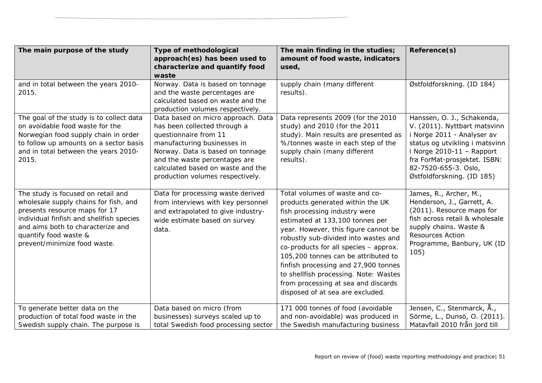| The main purpose of the study                                                                                                                                                                                                                          | Type of methodological<br>approach(es) has been used to<br>characterize and quantify food<br>waste                                                                                                                                                                       | The main finding in the studies;<br>amount of food waste, indicators<br>used,                                                                                                                                                                                                                                                                                                                                                                                      | Reference(s)                                                                                                                                                                                                                                    |
|--------------------------------------------------------------------------------------------------------------------------------------------------------------------------------------------------------------------------------------------------------|--------------------------------------------------------------------------------------------------------------------------------------------------------------------------------------------------------------------------------------------------------------------------|--------------------------------------------------------------------------------------------------------------------------------------------------------------------------------------------------------------------------------------------------------------------------------------------------------------------------------------------------------------------------------------------------------------------------------------------------------------------|-------------------------------------------------------------------------------------------------------------------------------------------------------------------------------------------------------------------------------------------------|
| and in total between the years 2010-<br>2015.                                                                                                                                                                                                          | Norway. Data is based on tonnage<br>and the waste percentages are<br>calculated based on waste and the<br>production volumes respectively.                                                                                                                               | supply chain (many different<br>results).                                                                                                                                                                                                                                                                                                                                                                                                                          | Østfoldforskning. (ID 184)                                                                                                                                                                                                                      |
| The goal of the study is to collect data<br>on avoidable food waste for the<br>Norwegian food supply chain in order<br>to follow up amounts on a sector basis<br>and in total between the years 2010-<br>2015.                                         | Data based on micro approach. Data<br>has been collected through a<br>questionnaire from 11<br>manufacturing businesses in<br>Norway. Data is based on tonnage<br>and the waste percentages are<br>calculated based on waste and the<br>production volumes respectively. | Data represents 2009 (for the 2010<br>study) and 2010 (for the 2011<br>study). Main results are presented as<br>%/tonnes waste in each step of the<br>supply chain (many different<br>results).                                                                                                                                                                                                                                                                    | Hanssen, O. J., Schakenda,<br>V. (2011). Nyttbart matsvinn<br>i Norge 2011 - Analyser av<br>status og utvikling i matsvinn<br>i Norge $2010-11$ - Rapport<br>fra ForMat-prosjektet. ISBN:<br>82-7520-655-3. Oslo,<br>Østfoldforskning. (ID 185) |
| The study is focused on retail and<br>wholesale supply chains for fish, and<br>presents resource maps for 17<br>individual finfish and shellfish species<br>and aims both to characterize and<br>quantify food waste &<br>prevent/minimize food waste. | Data for processing waste derived<br>from interviews with key personnel<br>and extrapolated to give industry-<br>wide estimate based on survey<br>data.                                                                                                                  | Total volumes of waste and co-<br>products generated within the UK<br>fish processing industry were<br>estimated at 133,100 tonnes per<br>year. However, this figure cannot be<br>robustly sub-divided into wastes and<br>co-products for all species - approx.<br>105,200 tonnes can be attributed to<br>finfish processing and 27,900 tonnes<br>to shellfish processing. Note: Wastes<br>from processing at sea and discards<br>disposed of at sea are excluded. | James, R., Archer, M.,<br>Henderson, J., Garrett, A.<br>(2011). Resource maps for<br>fish across retail & wholesale<br>supply chains. Waste &<br><b>Resources Action</b><br>Programme, Banbury, UK (ID<br>105)                                  |
| To generate better data on the<br>production of total food waste in the<br>Swedish supply chain. The purpose is                                                                                                                                        | Data based on micro (from<br>businesses) surveys scaled up to<br>total Swedish food processing sector                                                                                                                                                                    | 171 000 tonnes of food (avoidable<br>and non-avoidable) was produced in<br>the Swedish manufacturing business                                                                                                                                                                                                                                                                                                                                                      | Jensen, C., Stenmarck, Å.,<br>Sörme, L., Dunsö, O. (2011).<br>Matavfall 2010 från jord till                                                                                                                                                     |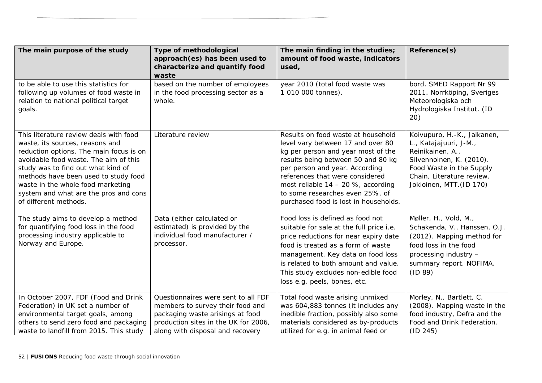| The main purpose of the study                                                                                                                                                                                                                                                                                                                      | Type of methodological<br>approach(es) has been used to                                                                                                                                 | The main finding in the studies;<br>amount of food waste, indicators                                                                                                                                                                                                                                                                         | Reference(s)                                                                                                                                                                               |
|----------------------------------------------------------------------------------------------------------------------------------------------------------------------------------------------------------------------------------------------------------------------------------------------------------------------------------------------------|-----------------------------------------------------------------------------------------------------------------------------------------------------------------------------------------|----------------------------------------------------------------------------------------------------------------------------------------------------------------------------------------------------------------------------------------------------------------------------------------------------------------------------------------------|--------------------------------------------------------------------------------------------------------------------------------------------------------------------------------------------|
|                                                                                                                                                                                                                                                                                                                                                    | characterize and quantify food                                                                                                                                                          | used,                                                                                                                                                                                                                                                                                                                                        |                                                                                                                                                                                            |
|                                                                                                                                                                                                                                                                                                                                                    | waste                                                                                                                                                                                   |                                                                                                                                                                                                                                                                                                                                              |                                                                                                                                                                                            |
| to be able to use this statistics for<br>following up volumes of food waste in<br>relation to national political target<br>goals.                                                                                                                                                                                                                  | based on the number of employees<br>in the food processing sector as a<br>whole.                                                                                                        | year 2010 (total food waste was<br>1 010 000 tonnes).                                                                                                                                                                                                                                                                                        | bord. SMED Rapport Nr 99<br>2011. Norrköping, Sveriges<br>Meteorologiska och<br>Hydrologiska Institut. (ID<br>20)                                                                          |
| This literature review deals with food<br>waste, its sources, reasons and<br>reduction options. The main focus is on<br>avoidable food waste. The aim of this<br>study was to find out what kind of<br>methods have been used to study food<br>waste in the whole food marketing<br>system and what are the pros and cons<br>of different methods. | Literature review                                                                                                                                                                       | Results on food waste at household<br>level vary between 17 and over 80<br>kg per person and year most of the<br>results being between 50 and 80 kg<br>per person and year. According<br>references that were considered<br>most reliable $14 - 20$ %, according<br>to some researches even 25%, of<br>purchased food is lost in households. | Koivupuro, H.-K., Jalkanen,<br>L., Katajajuuri, J-M.,<br>Reinikainen, A.,<br>Silvennoinen, K. (2010).<br>Food Waste in the Supply<br>Chain, Literature review.<br>Jokioinen, MTT. (ID 170) |
| The study aims to develop a method<br>for quantifying food loss in the food<br>processing industry applicable to<br>Norway and Europe.                                                                                                                                                                                                             | Data (either calculated or<br>estimated) is provided by the<br>individual food manufacturer /<br>processor.                                                                             | Food loss is defined as food not<br>suitable for sale at the full price i.e.<br>price reductions for near expiry date<br>food is treated as a form of waste<br>management. Key data on food loss<br>is related to both amount and value.<br>This study excludes non-edible food<br>loss e.g. peels, bones, etc.                              | Møller, H., Vold, M.,<br>Schakenda, V., Hanssen, O.J.<br>(2012). Mapping method for<br>food loss in the food<br>processing industry -<br>summary report. NOFIMA.<br>(ID 89)                |
| In October 2007, FDF (Food and Drink<br>Federation) in UK set a number of<br>environmental target goals, among<br>others to send zero food and packaging<br>waste to landfill from 2015. This study                                                                                                                                                | Questionnaires were sent to all FDF<br>members to survey their food and<br>packaging waste arisings at food<br>production sites in the UK for 2006,<br>along with disposal and recovery | Total food waste arising unmixed<br>was 604,883 tonnes (it includes any<br>inedible fraction, possibly also some<br>materials considered as by-products<br>utilized for e.g. in animal feed or                                                                                                                                               | Morley, N., Bartlett, C.<br>(2008). Mapping waste in the<br>food industry, Defra and the<br>Food and Drink Federation.<br>(ID 245)                                                         |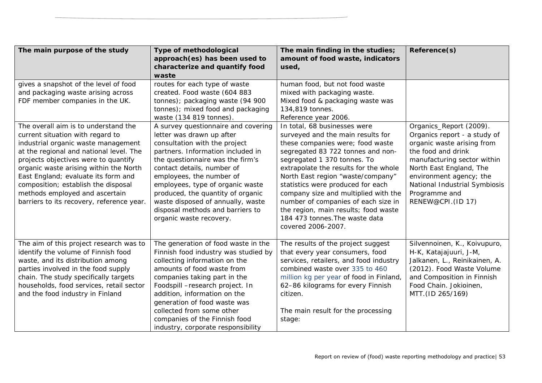| The main purpose of the study             | <b>Type of methodological</b>        | The main finding in the studies;        | Reference(s)                  |
|-------------------------------------------|--------------------------------------|-----------------------------------------|-------------------------------|
|                                           | approach(es) has been used to        | amount of food waste, indicators        |                               |
|                                           | characterize and quantify food       | used,                                   |                               |
|                                           | waste                                |                                         |                               |
| gives a snapshot of the level of food     | routes for each type of waste        | human food, but not food waste          |                               |
| and packaging waste arising across        | created. Food waste (604 883         | mixed with packaging waste.             |                               |
| FDF member companies in the UK.           | tonnes); packaging waste (94 900     | Mixed food & packaging waste was        |                               |
|                                           | tonnes); mixed food and packaging    | 134,819 tonnes.                         |                               |
|                                           | waste (134 819 tonnes).              | Reference year 2006.                    |                               |
| The overall aim is to understand the      | A survey questionnaire and covering  | In total, 68 businesses were            | Organics_Report (2009).       |
| current situation with regard to          | letter was drawn up after            | surveyed and the main results for       | Organics report - a study of  |
| industrial organic waste management       | consultation with the project        | these companies were; food waste        | organic waste arising from    |
| at the regional and national level. The   | partners. Information included in    | segregated 83 722 tonnes and non-       | the food and drink            |
| projects objectives were to quantify      | the questionnaire was the firm's     | segregated 1 370 tonnes. To             | manufacturing sector within   |
| organic waste arising within the North    | contact details, number of           | extrapolate the results for the whole   | North East England, The       |
| East England; evaluate its form and       | employees, the number of             | North East region "waste/company"       | environment agency; the       |
| composition; establish the disposal       | employees, type of organic waste     | statistics were produced for each       | National Industrial Symbiosis |
| methods employed and ascertain            | produced, the quantity of organic    | company size and multiplied with the    | Programme and                 |
| barriers to its recovery, reference year. | waste disposed of annually, waste    | number of companies of each size in     | RENEW@CPI. (ID 17)            |
|                                           | disposal methods and barriers to     | the region, main results; food waste    |                               |
|                                           | organic waste recovery.              | 184 473 tonnes. The waste data          |                               |
|                                           |                                      | covered 2006-2007.                      |                               |
|                                           |                                      |                                         |                               |
| The aim of this project research was to   | The generation of food waste in the  | The results of the project suggest      | Silvennoinen, K., Koivupuro,  |
| identify the volume of Finnish food       | Finnish food industry was studied by | that every year consumers, food         | H-K, Katajajuuri, J-M,        |
| waste, and its distribution among         | collecting information on the        | services, retailers, and food industry  | Jalkanen, L., Reinikainen, A. |
| parties involved in the food supply       | amounts of food waste from           | combined waste over 335 to 460          | (2012). Food Waste Volume     |
| chain. The study specifically targets     | companies taking part in the         | million kg per year of food in Finland, | and Composition in Finnish    |
| households, food services, retail sector  | Foodspill -research project. In      | 62-86 kilograms for every Finnish       | Food Chain. Jokioinen,        |
| and the food industry in Finland          | addition, information on the         | citizen.                                | MTT. (ID 265/169)             |
|                                           | generation of food waste was         |                                         |                               |
|                                           | collected from some other            | The main result for the processing      |                               |
|                                           | companies of the Finnish food        | stage:                                  |                               |
|                                           | industry, corporate responsibility   |                                         |                               |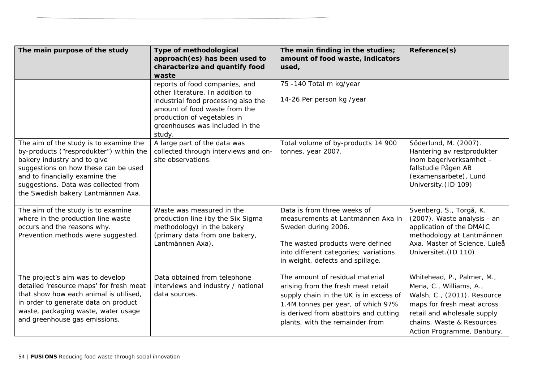| The main purpose of the study                                                                                                                                                                                                                                            | Type of methodological<br>approach(es) has been used to                                                                                                                                                                | The main finding in the studies;<br>amount of food waste, indicators                                                                                                                                                              | Reference(s)                                                                                                                                                                                                 |
|--------------------------------------------------------------------------------------------------------------------------------------------------------------------------------------------------------------------------------------------------------------------------|------------------------------------------------------------------------------------------------------------------------------------------------------------------------------------------------------------------------|-----------------------------------------------------------------------------------------------------------------------------------------------------------------------------------------------------------------------------------|--------------------------------------------------------------------------------------------------------------------------------------------------------------------------------------------------------------|
|                                                                                                                                                                                                                                                                          | characterize and quantify food<br>waste                                                                                                                                                                                | used,                                                                                                                                                                                                                             |                                                                                                                                                                                                              |
|                                                                                                                                                                                                                                                                          | reports of food companies, and<br>other literature. In addition to<br>industrial food processing also the<br>amount of food waste from the<br>production of vegetables in<br>greenhouses was included in the<br>study. | 75 -140 Total m kg/year<br>14-26 Per person kg /year                                                                                                                                                                              |                                                                                                                                                                                                              |
| The aim of the study is to examine the<br>by-products ("resprodukter") within the<br>bakery industry and to give<br>suggestions on how these can be used<br>and to financially examine the<br>suggestions. Data was collected from<br>the Swedish bakery Lantmännen Axa. | A large part of the data was<br>collected through interviews and on-<br>site observations.                                                                                                                             | Total volume of by-products 14 900<br>tonnes, year 2007.                                                                                                                                                                          | Söderlund, M. (2007).<br>Hantering av restprodukter<br>inom bageriverksamhet -<br>fallstudie Pågen AB<br>(examensarbete), Lund<br>University. (ID 109)                                                       |
| The aim of the study is to examine<br>where in the production line waste<br>occurs and the reasons why.<br>Prevention methods were suggested.                                                                                                                            | Waste was measured in the<br>production line (by the Six Sigma<br>methodology) in the bakery<br>(primary data from one bakery,<br>Lantmännen Axa).                                                                     | Data is from three weeks of<br>measurements at Lantmännen Axa in<br>Sweden during 2006.<br>The wasted products were defined<br>into different categories; variations<br>in weight, defects and spillage.                          | Svenberg, S., Torgå, K.<br>(2007). Waste analysis - an<br>application of the DMAIC<br>methodology at Lantmännen<br>Axa. Master of Science, Luleå<br>Universitet. (ID 110)                                    |
| The project's aim was to develop<br>detailed 'resource maps' for fresh meat<br>that show how each animal is utilised,<br>in order to generate data on product<br>waste, packaging waste, water usage<br>and greenhouse gas emissions.                                    | Data obtained from telephone<br>interviews and industry / national<br>data sources.                                                                                                                                    | The amount of residual material<br>arising from the fresh meat retail<br>supply chain in the UK is in excess of<br>1.4M tonnes per year, of which 97%<br>is derived from abattoirs and cutting<br>plants, with the remainder from | Whitehead, P., Palmer, M.,<br>Mena, C., Williams, A.,<br>Walsh, C., (2011). Resource<br>maps for fresh meat across<br>retail and wholesale supply<br>chains. Waste & Resources<br>Action Programme, Banbury, |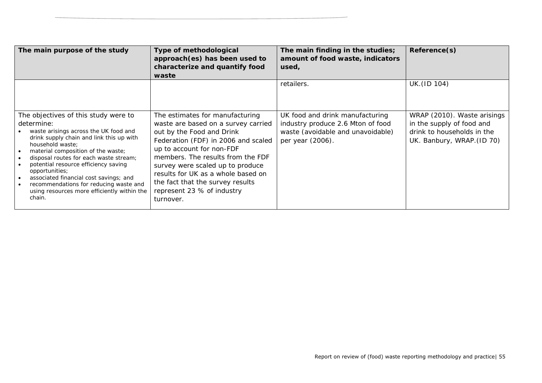| The main purpose of the study                                                                                                                                                                                                                                                                                                                                                                                                                             | Type of methodological<br>approach(es) has been used to<br>characterize and quantify food<br>waste                                                                                                                                                                                                                                                                    | The main finding in the studies;<br>amount of food waste, indicators<br>used,                                                 | Reference(s)                                                                                                         |
|-----------------------------------------------------------------------------------------------------------------------------------------------------------------------------------------------------------------------------------------------------------------------------------------------------------------------------------------------------------------------------------------------------------------------------------------------------------|-----------------------------------------------------------------------------------------------------------------------------------------------------------------------------------------------------------------------------------------------------------------------------------------------------------------------------------------------------------------------|-------------------------------------------------------------------------------------------------------------------------------|----------------------------------------------------------------------------------------------------------------------|
|                                                                                                                                                                                                                                                                                                                                                                                                                                                           |                                                                                                                                                                                                                                                                                                                                                                       | retailers.                                                                                                                    | UK. (ID 104)                                                                                                         |
| The objectives of this study were to<br>determine:<br>waste arisings across the UK food and<br>drink supply chain and link this up with<br>household waste;<br>material composition of the waste;<br>disposal routes for each waste stream;<br>potential resource efficiency saving<br><i>opportunities;</i><br>associated financial cost savings; and<br>recommendations for reducing waste and<br>using resources more efficiently within the<br>chain. | The estimates for manufacturing<br>waste are based on a survey carried<br>out by the Food and Drink<br>Federation (FDF) in 2006 and scaled<br>up to account for non-FDF<br>members. The results from the FDF<br>survey were scaled up to produce<br>results for UK as a whole based on<br>the fact that the survey results<br>represent 23 % of industry<br>turnover. | UK food and drink manufacturing<br>industry produce 2.6 Mton of food<br>waste (avoidable and unavoidable)<br>per year (2006). | WRAP (2010). Waste arisings<br>in the supply of food and<br>drink to households in the<br>UK. Banbury, WRAP. (ID 70) |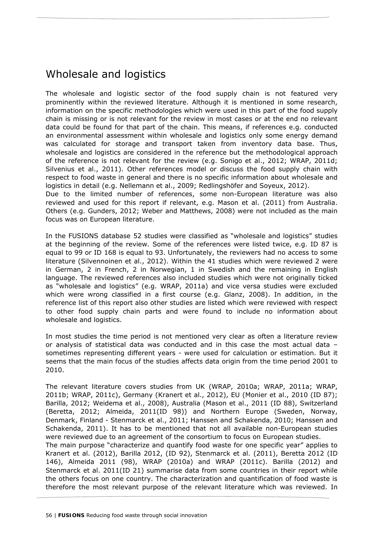## Wholesale and logistics

The wholesale and logistic sector of the food supply chain is not featured very prominently within the reviewed literature. Although it is mentioned in some research, information on the specific methodologies which were used in this part of the food supply chain is missing or is not relevant for the review in most cases or at the end no relevant data could be found for that part of the chain. This means, if references e.g. conducted an environmental assessment within wholesale and logistics only some energy demand was calculated for storage and transport taken from inventory data base. Thus, wholesale and logistics are considered in the reference but the methodological approach of the reference is not relevant for the review (e.g. Sonigo et al., 2012; WRAP, 2011d; Silvenius et al., 2011). Other references model or discuss the food supply chain with respect to food waste in general and there is no specific information about wholesale and logistics in detail (e.g. Nellemann et al., 2009; Redlingshöfer and Soyeux, 2012). Due to the limited number of references, some non-European literature was also

reviewed and used for this report if relevant, e.g. Mason et al. (2011) from Australia. Others (e.g. Gunders, 2012; Weber and Matthews, 2008) were not included as the main focus was on European literature.

In the FUSIONS database 52 studies were classified as "wholesale and logistics" studies at the beginning of the review. Some of the references were listed twice, e.g. ID 87 is equal to 99 or ID 168 is equal to 93. Unfortunately, the reviewers had no access to some literature (Silvennoinen et al., 2012). Within the 41 studies which were reviewed 2 were in German, 2 in French, 2 in Norwegian, 1 in Swedish and the remaining in English language. The reviewed references also included studies which were not originally ticked as "wholesale and logistics" (e.g. WRAP, 2011a) and vice versa studies were excluded which were wrong classified in a first course (e.g. Glanz, 2008). In addition, in the reference list of this report also other studies are listed which were reviewed with respect to other food supply chain parts and were found to include no information about wholesale and logistics.

In most studies the time period is not mentioned very clear as often a literature review or analysis of statistical data was conducted and in this case the most actual data – sometimes representing different years - were used for calculation or estimation. But it seems that the main focus of the studies affects data origin from the time period 2001 to 2010.

The relevant literature covers studies from UK (WRAP, 2010a; WRAP, 2011a; WRAP, 2011b; WRAP, 2011c), Germany (Kranert et al., 2012), EU (Monier et al., 2010 (ID 87); Barilla, 2012; Weidema et al., 2008), Australia (Mason et al., 2011 (ID 88), Switzerland (Beretta, 2012; Almeida, 2011(ID 98)) and Northern Europe (Sweden, Norway, Denmark, Finland - Stenmarck et al., 2011; Hanssen and Schakenda, 2010; Hanssen and Schakenda, 2011). It has to be mentioned that not all available non-European studies were reviewed due to an agreement of the consortium to focus on European studies. The main purpose "characterize and quantify food waste for one specific year" applies to Kranert et al. (2012), Barilla 2012, (ID 92), Stenmarck et al. (2011), Beretta 2012 (ID 146), Almeida 2011 (98), WRAP (2010a) and WRAP (2011c). Barilla (2012) and Stenmarck et al. 2011(ID 21) summarise data from some countries in their report while the others focus on one country. The characterization and quantification of food waste is therefore the most relevant purpose of the relevant literature which was reviewed. In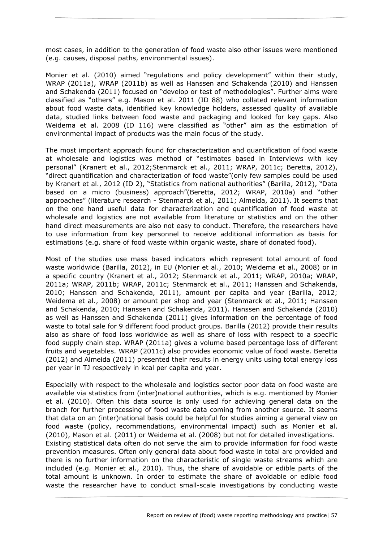most cases, in addition to the generation of food waste also other issues were mentioned (e.g. causes, disposal paths, environmental issues).

Monier et al. (2010) aimed "regulations and policy development" within their study, WRAP (2011a), WRAP (2011b) as well as Hanssen and Schakenda (2010) and Hanssen and Schakenda (2011) focused on "develop or test of methodologies". Further aims were classified as "others" e.g. Mason et al. 2011 (ID 88) who collated relevant information about food waste data, identified key knowledge holders, assessed quality of available data, studied links between food waste and packaging and looked for key gaps. Also Weidema et al. 2008 (ID 116) were classified as "other" aim as the estimation of environmental impact of products was the main focus of the study.

The most important approach found for characterization and quantification of food waste at wholesale and logistics was method of "estimates based in Interviews with key personal" (Kranert et al., 2012;Stenmarck et al., 2011; WRAP, 2011c; Beretta, 2012), "direct quantification and characterization of food waste"(only few samples could be used by Kranert et al., 2012 (ID 2), "Statistics from national authorities" (Barilla, 2012), "Data based on a micro (business) approach"(Beretta, 2012; WRAP, 2010a) and "other approaches" (literature research - Stenmarck et al., 2011; Almeida, 2011). It seems that on the one hand useful data for characterization and quantification of food waste at wholesale and logistics are not available from literature or statistics and on the other hand direct measurements are also not easy to conduct. Therefore, the researchers have to use information from key personnel to receive additional information as basis for estimations (e.g. share of food waste within organic waste, share of donated food).

Most of the studies use mass based indicators which represent total amount of food waste worldwide (Barilla, 2012), in EU (Monier et al., 2010; Weidema et al., 2008) or in a specific country (Kranert et al., 2012; Stenmarck et al., 2011; WRAP, 2010a; WRAP, 2011a; WRAP, 2011b; WRAP, 2011c; Stenmarck et al., 2011; Hanssen and Schakenda, 2010; Hanssen and Schakenda, 2011), amount per capita and year (Barilla, 2012; Weidema et al., 2008) or amount per shop and year (Stenmarck et al., 2011; Hanssen and Schakenda, 2010; Hanssen and Schakenda, 2011). Hanssen and Schakenda (2010) as well as Hanssen and Schakenda (2011) gives information on the percentage of food waste to total sale for 9 different food product groups. Barilla (2012) provide their results also as share of food loss worldwide as well as share of loss with respect to a specific food supply chain step. WRAP (2011a) gives a volume based percentage loss of different fruits and vegetables. WRAP (2011c) also provides economic value of food waste. Beretta (2012) and Almeida (2011) presented their results in energy units using total energy loss per year in TJ respectively in kcal per capita and year.

Especially with respect to the wholesale and logistics sector poor data on food waste are available via statistics from (inter)national authorities, which is e.g. mentioned by Monier et al. (2010). Often this data source is only used for achieving general data on the branch for further processing of food waste data coming from another source. It seems that data on an (inter)national basis could be helpful for studies aiming a general view on food waste (policy, recommendations, environmental impact) such as Monier et al. (2010), Mason et al. (2011) or Weidema et al. (2008) but not for detailed investigations. Existing statistical data often do not serve the aim to provide information for food waste prevention measures. Often only general data about food waste in total are provided and there is no further information on the characteristic of single waste streams which are included (e.g. Monier et al., 2010). Thus, the share of avoidable or edible parts of the total amount is unknown. In order to estimate the share of avoidable or edible food waste the researcher have to conduct small-scale investigations by conducting waste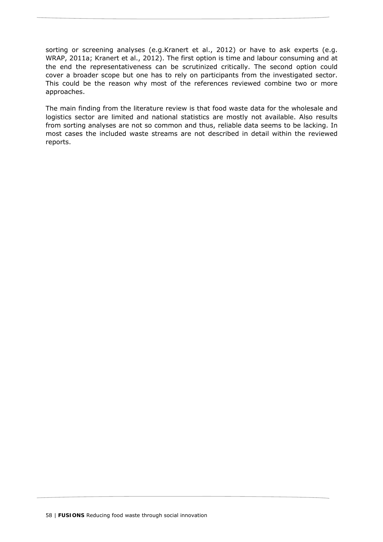sorting or screening analyses (e.g.Kranert et al., 2012) or have to ask experts (e.g. WRAP, 2011a; Kranert et al., 2012). The first option is time and labour consuming and at the end the representativeness can be scrutinized critically. The second option could cover a broader scope but one has to rely on participants from the investigated sector. This could be the reason why most of the references reviewed combine two or more approaches.

The main finding from the literature review is that food waste data for the wholesale and logistics sector are limited and national statistics are mostly not available. Also results from sorting analyses are not so common and thus, reliable data seems to be lacking. In most cases the included waste streams are not described in detail within the reviewed reports.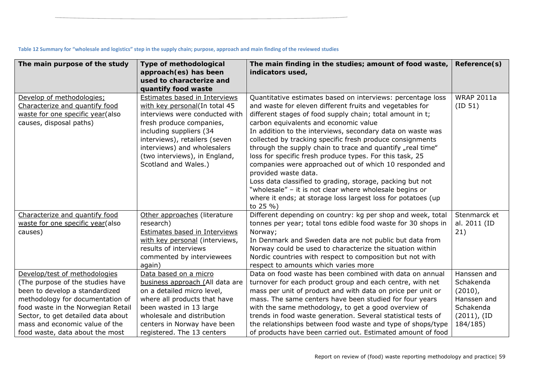| The main purpose of the study                                                                                                                                                                                                                                                            | <b>Type of methodological</b><br>approach(es) has been<br>used to characterize and                                                                                                                                                                                               | The main finding in the studies; amount of food waste,<br>indicators used,                                                                                                                                                                                                                                                                                                                                                                                                                                                                                                                                                                                                                                                                                                   | Reference(s)                                                                                        |
|------------------------------------------------------------------------------------------------------------------------------------------------------------------------------------------------------------------------------------------------------------------------------------------|----------------------------------------------------------------------------------------------------------------------------------------------------------------------------------------------------------------------------------------------------------------------------------|------------------------------------------------------------------------------------------------------------------------------------------------------------------------------------------------------------------------------------------------------------------------------------------------------------------------------------------------------------------------------------------------------------------------------------------------------------------------------------------------------------------------------------------------------------------------------------------------------------------------------------------------------------------------------------------------------------------------------------------------------------------------------|-----------------------------------------------------------------------------------------------------|
|                                                                                                                                                                                                                                                                                          | quantify food waste                                                                                                                                                                                                                                                              |                                                                                                                                                                                                                                                                                                                                                                                                                                                                                                                                                                                                                                                                                                                                                                              |                                                                                                     |
| Develop of methodologies;<br>Characterize and quantify food<br>waste for one specific year(also<br>causes, disposal paths)                                                                                                                                                               | Estimates based in Interviews<br>with key personal(In total 45<br>interviews were conducted with<br>fresh produce companies,<br>including suppliers (34<br>interviews), retailers (seven<br>interviews) and wholesalers<br>(two interviews), in England,<br>Scotland and Wales.) | Quantitative estimates based on interviews: percentage loss<br>and waste for eleven different fruits and vegetables for<br>different stages of food supply chain; total amount in t;<br>carbon equivalents and economic value<br>In addition to the interviews, secondary data on waste was<br>collected by tracking specific fresh produce consignments<br>through the supply chain to trace and quantify "real time"<br>loss for specific fresh produce types. For this task, 25<br>companies were approached out of which 10 responded and<br>provided waste data.<br>Loss data classified to grading, storage, packing but not<br>"wholesale" - it is not clear where wholesale begins or<br>where it ends; at storage loss largest loss for potatoes (up<br>to $25\%$ ) | <b>WRAP 2011a</b><br>(ID 51)                                                                        |
| Characterize and quantify food<br>waste for one specific year(also<br>causes)                                                                                                                                                                                                            | Other approaches (literature<br>research)<br><b>Estimates based in Interviews</b><br>with key personal (interviews,<br>results of interviews<br>commented by interviewees<br>again)                                                                                              | Different depending on country: kg per shop and week, total<br>tonnes per year; total tons edible food waste for 30 shops in<br>Norway;<br>In Denmark and Sweden data are not public but data from<br>Norway could be used to characterize the situation within<br>Nordic countries with respect to composition but not with<br>respect to amounts which varies more                                                                                                                                                                                                                                                                                                                                                                                                         | Stenmarck et<br>al. 2011 (ID<br>21)                                                                 |
| Develop/test of methodologies<br>(The purpose of the studies have<br>been to develop a standardized<br>methodology for documentation of<br>food waste in the Norwegian Retail<br>Sector, to get detailed data about<br>mass and economic value of the<br>food waste, data about the most | Data based on a micro<br>business approach (All data are<br>on a detailed micro level,<br>where all products that have<br>been wasted in 13 large<br>wholesale and distribution<br>centers in Norway have been<br>registered. The 13 centers                                     | Data on food waste has been combined with data on annual<br>turnover for each product group and each centre, with net<br>mass per unit of product and with data on price per unit or<br>mass. The same centers have been studied for four years<br>with the same methodology, to get a good overview of<br>trends in food waste generation. Several statistical tests of<br>the relationships between food waste and type of shops/type<br>of products have been carried out. Estimated amount of food                                                                                                                                                                                                                                                                       | Hanssen and<br>Schakenda<br>$(2010)$ ,<br>Hanssen and<br>Schakenda<br>$(2011)$ , $(ID)$<br>184/185) |

#### Table 12 Summary for "wholesale and logistics" step in the supply chain; purpose, approach and main finding of the reviewed studies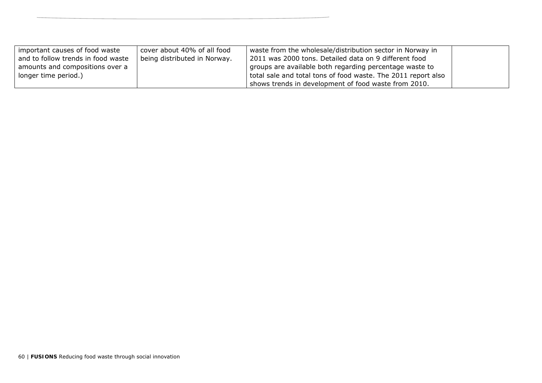| important causes of food waste     | cover about 40% of all food  | waste from the wholesale/distribution sector in Norway in     |  |
|------------------------------------|------------------------------|---------------------------------------------------------------|--|
| and to follow trends in food waste | being distributed in Norway. | 2011 was 2000 tons. Detailed data on 9 different food         |  |
| amounts and compositions over a    |                              | groups are available both regarding percentage waste to       |  |
| longer time period.)               |                              | total sale and total tons of food waste. The 2011 report also |  |
|                                    |                              | shows trends in development of food waste from 2010.          |  |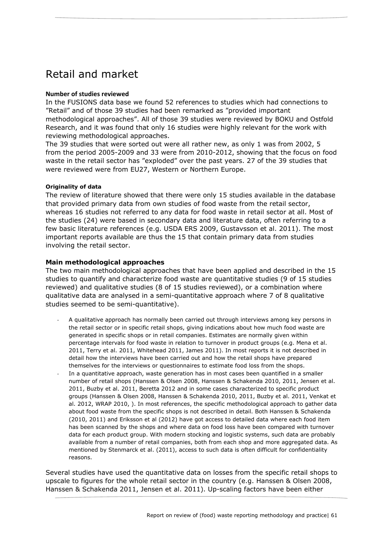# Retail and market

### **Number of studies reviewed**

In the FUSIONS data base we found 52 references to studies which had connections to "Retail" and of those 39 studies had been remarked as "provided important methodological approaches". All of those 39 studies were reviewed by BOKU and Ostfold Research, and it was found that only 16 studies were highly relevant for the work with reviewing methodological approaches.

The 39 studies that were sorted out were all rather new, as only 1 was from 2002, 5 from the period 2005-2009 and 33 were from 2010-2012, showing that the focus on food waste in the retail sector has "exploded" over the past years. 27 of the 39 studies that were reviewed were from EU27, Western or Northern Europe.

### **Originality of data**

The review of literature showed that there were only 15 studies available in the database that provided primary data from own studies of food waste from the retail sector, whereas 16 studies not referred to any data for food waste in retail sector at all. Most of the studies (24) were based in secondary data and literature data, often referring to a few basic literature references (e.g. USDA ERS 2009, Gustavsson et al. 2011). The most important reports available are thus the 15 that contain primary data from studies involving the retail sector.

## **Main methodological approaches**

The two main methodological approaches that have been applied and described in the 15 studies to quantify and characterize food waste are quantitative studies (9 of 15 studies reviewed) and qualitative studies (8 of 15 studies reviewed), or a combination where qualitative data are analysed in a semi-quantitative approach where 7 of 8 qualitative studies seemed to be semi-quantitative).

- ‐ A qualitative approach has normally been carried out through interviews among key persons in the retail sector or in specific retail shops, giving indications about how much food waste are generated in specific shops or in retail companies. Estimates are normally given within percentage intervals for food waste in relation to turnover in product groups (e.g. Mena et al. 2011, Terry et al. 2011, Whitehead 2011, James 2011). In most reports it is not described in detail how the interviews have been carried out and how the retail shops have prepared themselves for the interviews or questionnaires to estimate food loss from the shops.
- In a quantitative approach, waste generation has in most cases been quantified in a smaller number of retail shops (Hanssen & Olsen 2008, Hanssen & Schakenda 2010, 2011, Jensen et al. 2011, Buzby et al. 2011, Beretta 2012 and in some cases characterized to specific product groups (Hanssen & Olsen 2008, Hanssen & Schakenda 2010, 2011, Buzby et al. 2011, Venkat et al. 2012, WRAP 2010, ). In most references, the specific methodological approach to gather data about food waste from the specific shops is not described in detail. Both Hanssen & Schakenda (2010, 2011) and Eriksson et al (2012) have got access to detailed data where each food item has been scanned by the shops and where data on food loss have been compared with turnover data for each product group. With modern stocking and logistic systems, such data are probably available from a number of retail companies, both from each shop and more aggregated data. As mentioned by Stenmarck et al. (2011), access to such data is often difficult for confidentiality reasons.

Several studies have used the quantitative data on losses from the specific retail shops to upscale to figures for the whole retail sector in the country (e.g. Hanssen & Olsen 2008, Hanssen & Schakenda 2011, Jensen et al. 2011). Up-scaling factors have been either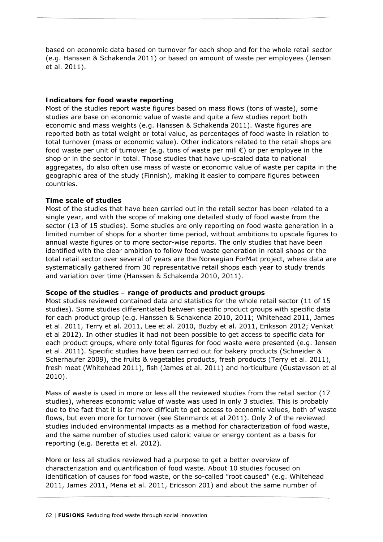based on economic data based on turnover for each shop and for the whole retail sector (e.g. Hanssen & Schakenda 2011) or based on amount of waste per employees (Jensen et al. 2011).

## **Indicators for food waste reporting**

Most of the studies report waste figures based on mass flows (tons of waste), some studies are base on economic value of waste and quite a few studies report both economic and mass weights (e.g. Hanssen & Schakenda 2011). Waste figures are reported both as total weight or total value, as percentages of food waste in relation to total turnover (mass or economic value). Other indicators related to the retail shops are food waste per unit of turnover (e.g. tons of waste per mill  $\epsilon$ ) or per employee in the shop or in the sector in total. Those studies that have up-scaled data to national aggregates, do also often use mass of waste or economic value of waste per capita in the geographic area of the study (Finnish), making it easier to compare figures between countries.

## **Time scale of studies**

Most of the studies that have been carried out in the retail sector has been related to a single year, and with the scope of making one detailed study of food waste from the sector (13 of 15 studies). Some studies are only reporting on food waste generation in a limited number of shops for a shorter time period, without ambitions to upscale figures to annual waste figures or to more sector-wise reports. The only studies that have been identified with the clear ambition to follow food waste generation in retail shops or the total retail sector over several of years are the Norwegian ForMat project, where data are systematically gathered from 30 representative retail shops each year to study trends and variation over time (Hanssen & Schakenda 2010, 2011).

### **Scope of the studies – range of products and product groups**

Most studies reviewed contained data and statistics for the whole retail sector (11 of 15 studies). Some studies differentiated between specific product groups with specific data for each product group (e.g. Hanssen & Schakenda 2010, 2011; Whitehead 2011, James et al. 2011, Terry et al. 2011, Lee et al. 2010, Buzby et al. 2011, Eriksson 2012; Venkat et al 2012). In other studies it had not been possible to get access to specific data for each product groups, where only total figures for food waste were presented (e.g. Jensen et al. 2011). Specific studies have been carried out for bakery products (Schneider & Scherhaufer 2009), the fruits & vegetables products, fresh products (Terry et al. 2011), fresh meat (Whitehead 2011), fish (James et al. 2011) and horticulture (Gustavsson et al 2010).

Mass of waste is used in more or less all the reviewed studies from the retail sector (17 studies), whereas economic value of waste was used in only 3 studies. This is probably due to the fact that it is far more difficult to get access to economic values, both of waste flows, but even more for turnover (see Stenmarck et al 2011). Only 2 of the reviewed studies included environmental impacts as a method for characterization of food waste, and the same number of studies used caloric value or energy content as a basis for reporting (e.g. Beretta et al. 2012).

More or less all studies reviewed had a purpose to get a better overview of characterization and quantification of food waste. About 10 studies focused on identification of causes for food waste, or the so-called "root caused" (e.g. Whitehead 2011, James 2011, Mena et al. 2011, Ericsson 201) and about the same number of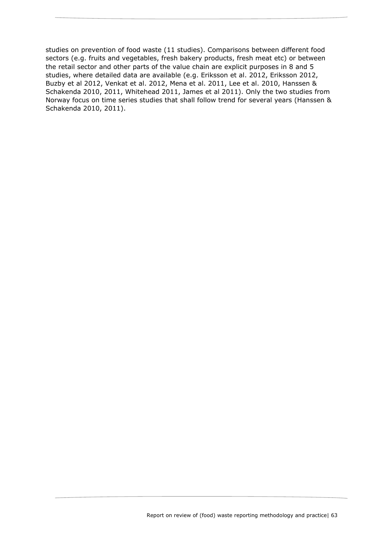studies on prevention of food waste (11 studies). Comparisons between different food sectors (e.g. fruits and vegetables, fresh bakery products, fresh meat etc) or between the retail sector and other parts of the value chain are explicit purposes in 8 and 5 studies, where detailed data are available (e.g. Eriksson et al. 2012, Eriksson 2012, Buzby et al 2012, Venkat et al. 2012, Mena et al. 2011, Lee et al. 2010, Hanssen & Schakenda 2010, 2011, Whitehead 2011, James et al 2011). Only the two studies from Norway focus on time series studies that shall follow trend for several years (Hanssen & Schakenda 2010, 2011).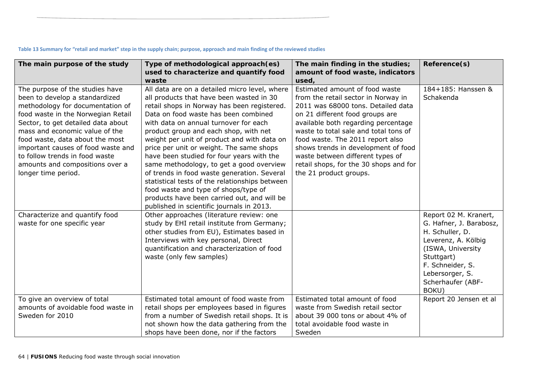#### **The main purpose of the study Type of methodological approach(es) used to characterize and quantify food waste The main finding in the studies; amount of food waste, indicators used, Reference(s)**  The purpose of the studies have been to develop a standardized methodology for documentation of food waste in the Norwegian Retail Sector, to get detailed data about mass and economic value of the food waste, data about the most important causes of food waste and to follow trends in food waste amounts and compositions over a longer time period. All data are on a detailed micro level, where all products that have been wasted in 30 retail shops in Norway has been registered. Data on food waste has been combined with data on annual turnover for each product group and each shop, with net weight per unit of product and with data on price per unit or weight. The same shops have been studied for four years with the same methodology, to get a good overview of trends in food waste generation. Several statistical tests of the relationships between food waste and type of shops/type of products have been carried out, and will be published in scientific journals in 2013. Estimated amount of food waste from the retail sector in Norway in 2011 was 68000 tons. Detailed data on 21 different food groups are available both regarding percentage waste to total sale and total tons of food waste. The 2011 report also shows trends in development of food waste between different types of retail shops, for the 30 shops and for the 21 product groups. 184+185: Hanssen & Schakenda Characterize and quantify food waste for one specific year Other approaches (literature review: one study by EHI retail institute from Germany; other studies from EU), Estimates based in Interviews with key personal, Direct quantification and characterization of food waste (only few samples) Report 02 M. Kranert, G. Hafner, J. Barabosz, H. Schuller, D. Leverenz, A. Kölbig (ISWA, University Stuttgart) F. Schneider, S. Lebersorger, S. Scherhaufer (ABF-BOKU) To give an overview of total amounts of avoidable food waste in Sweden for 2010 Estimated total amount of food waste from retail shops per employees based in figures from a number of Swedish retail shops. It is not shown how the data gathering from the shops have been done, nor if the factors Estimated total amount of food waste from Swedish retail sector about 39 000 tons or about 4% of total avoidable food waste in Sweden Report 20 Jensen et al

### Table 13 Summary for "retail and market" step in the supply chain; purpose, approach and main finding of the reviewed studies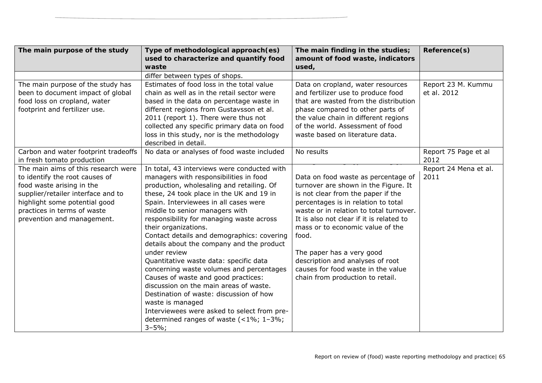| The main purpose of the study        | Type of methodological approach(es)          | The main finding in the studies;         | Reference(s)          |
|--------------------------------------|----------------------------------------------|------------------------------------------|-----------------------|
|                                      | used to characterize and quantify food       | amount of food waste, indicators         |                       |
|                                      | waste                                        | used,                                    |                       |
|                                      | differ between types of shops.               |                                          |                       |
| The main purpose of the study has    | Estimates of food loss in the total value    | Data on cropland, water resources        | Report 23 M. Kummu    |
| been to document impact of global    | chain as well as in the retail sector were   | and fertilizer use to produce food       | et al. 2012           |
| food loss on cropland, water         | based in the data on percentage waste in     | that are wasted from the distribution    |                       |
| footprint and fertilizer use.        | different regions from Gustavsson et al.     | phase compared to other parts of         |                       |
|                                      | 2011 (report 1). There were thus not         | the value chain in different regions     |                       |
|                                      | collected any specific primary data on food  | of the world. Assessment of food         |                       |
|                                      | loss in this study, nor is the methodology   | waste based on literature data.          |                       |
|                                      | described in detail.                         |                                          |                       |
| Carbon and water footprint tradeoffs | No data or analyses of food waste included   | No results                               | Report 75 Page et al  |
| in fresh tomato production           |                                              |                                          | 2012                  |
| The main aims of this research were  | In total, 43 interviews were conducted with  |                                          | Report 24 Mena et al. |
| to identify the root causes of       | managers with responsibilities in food       | Data on food waste as percentage of      | 2011                  |
| food waste arising in the            | production, wholesaling and retailing. Of    | turnover are shown in the Figure. It     |                       |
| supplier/retailer interface and to   | these, 24 took place in the UK and 19 in     | is not clear from the paper if the       |                       |
| highlight some potential good        | Spain. Interviewees in all cases were        | percentages is in relation to total      |                       |
| practices in terms of waste          | middle to senior managers with               | waste or in relation to total turnover.  |                       |
| prevention and management.           | responsibility for managing waste across     | It is also not clear if it is related to |                       |
|                                      | their organizations.                         | mass or to economic value of the         |                       |
|                                      | Contact details and demographics: covering   | food.                                    |                       |
|                                      | details about the company and the product    |                                          |                       |
|                                      | under review                                 | The paper has a very good                |                       |
|                                      | Quantitative waste data: specific data       | description and analyses of root         |                       |
|                                      | concerning waste volumes and percentages     | causes for food waste in the value       |                       |
|                                      | Causes of waste and good practices:          | chain from production to retail.         |                       |
|                                      | discussion on the main areas of waste.       |                                          |                       |
|                                      | Destination of waste: discussion of how      |                                          |                       |
|                                      | waste is managed                             |                                          |                       |
|                                      | Interviewees were asked to select from pre-  |                                          |                       |
|                                      | determined ranges of waste $($ < 1%; 1 - 3%; |                                          |                       |
|                                      | $3 - 5\%$ ;                                  |                                          |                       |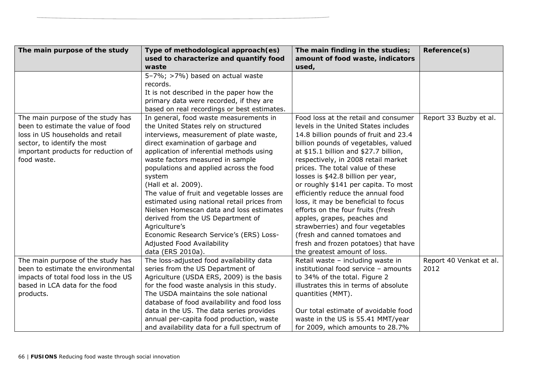| The main purpose of the study        | Type of methodological approach(es)          | The main finding in the studies;      | Reference(s)            |
|--------------------------------------|----------------------------------------------|---------------------------------------|-------------------------|
|                                      | used to characterize and quantify food       | amount of food waste, indicators      |                         |
|                                      | waste                                        | used,                                 |                         |
|                                      | 5-7%; >7%) based on actual waste             |                                       |                         |
|                                      | records.                                     |                                       |                         |
|                                      | It is not described in the paper how the     |                                       |                         |
|                                      | primary data were recorded, if they are      |                                       |                         |
|                                      | based on real recordings or best estimates.  |                                       |                         |
| The main purpose of the study has    | In general, food waste measurements in       | Food loss at the retail and consumer  | Report 33 Buzby et al.  |
| been to estimate the value of food   | the United States rely on structured         | levels in the United States includes  |                         |
| loss in US households and retail     | interviews, measurement of plate waste,      | 14.8 billion pounds of fruit and 23.4 |                         |
| sector, to identify the most         | direct examination of garbage and            | billion pounds of vegetables, valued  |                         |
| important products for reduction of  | application of inferential methods using     | at \$15.1 billion and \$27.7 billion, |                         |
| food waste.                          | waste factors measured in sample             | respectively, in 2008 retail market   |                         |
|                                      | populations and applied across the food      | prices. The total value of these      |                         |
|                                      | system                                       | losses is \$42.8 billion per year,    |                         |
|                                      | (Hall et al. 2009).                          | or roughly \$141 per capita. To most  |                         |
|                                      | The value of fruit and vegetable losses are  | efficiently reduce the annual food    |                         |
|                                      | estimated using national retail prices from  | loss, it may be beneficial to focus   |                         |
|                                      | Nielsen Homescan data and loss estimates     | efforts on the four fruits (fresh     |                         |
|                                      | derived from the US Department of            | apples, grapes, peaches and           |                         |
|                                      | Agriculture's                                | strawberries) and four vegetables     |                         |
|                                      | Economic Research Service's (ERS) Loss-      | (fresh and canned tomatoes and        |                         |
|                                      | Adjusted Food Availability                   | fresh and frozen potatoes) that have  |                         |
|                                      | data (ERS 2010a).                            | the greatest amount of loss.          |                         |
| The main purpose of the study has    | The loss-adjusted food availability data     | Retail waste - including waste in     | Report 40 Venkat et al. |
| been to estimate the environmental   | series from the US Department of             | institutional food service - amounts  | 2012                    |
| impacts of total food loss in the US | Agriculture (USDA ERS, 2009) is the basis    | to 34% of the total. Figure 2         |                         |
| based in LCA data for the food       | for the food waste analysis in this study.   | illustrates this in terms of absolute |                         |
| products.                            | The USDA maintains the sole national         | quantities (MMT).                     |                         |
|                                      | database of food availability and food loss  |                                       |                         |
|                                      | data in the US. The data series provides     | Our total estimate of avoidable food  |                         |
|                                      | annual per-capita food production, waste     | waste in the US is 55.41 MMT/year     |                         |
|                                      | and availability data for a full spectrum of | for 2009, which amounts to 28.7%      |                         |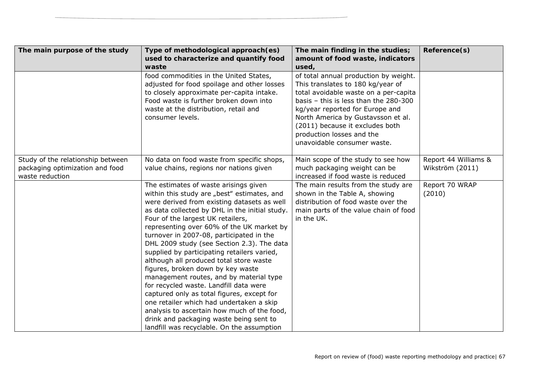| The main purpose of the study                                                           | Type of methodological approach(es)<br>used to characterize and quantify food                                                                                                                                                                                                                                                                                                                                                                                                                                                                                                                                                                                                                                                                                                                                           | The main finding in the studies;<br>amount of food waste, indicators                                                                                                                                                                                                                                                                            | Reference(s)                            |
|-----------------------------------------------------------------------------------------|-------------------------------------------------------------------------------------------------------------------------------------------------------------------------------------------------------------------------------------------------------------------------------------------------------------------------------------------------------------------------------------------------------------------------------------------------------------------------------------------------------------------------------------------------------------------------------------------------------------------------------------------------------------------------------------------------------------------------------------------------------------------------------------------------------------------------|-------------------------------------------------------------------------------------------------------------------------------------------------------------------------------------------------------------------------------------------------------------------------------------------------------------------------------------------------|-----------------------------------------|
|                                                                                         | waste<br>food commodities in the United States,<br>adjusted for food spoilage and other losses<br>to closely approximate per-capita intake.<br>Food waste is further broken down into<br>waste at the distribution, retail and<br>consumer levels.                                                                                                                                                                                                                                                                                                                                                                                                                                                                                                                                                                      | used,<br>of total annual production by weight.<br>This translates to 180 kg/year of<br>total avoidable waste on a per-capita<br>basis $-$ this is less than the 280-300<br>kg/year reported for Europe and<br>North America by Gustavsson et al.<br>(2011) because it excludes both<br>production losses and the<br>unavoidable consumer waste. |                                         |
| Study of the relationship between<br>packaging optimization and food<br>waste reduction | No data on food waste from specific shops,<br>value chains, regions nor nations given                                                                                                                                                                                                                                                                                                                                                                                                                                                                                                                                                                                                                                                                                                                                   | Main scope of the study to see how<br>much packaging weight can be<br>increased if food waste is reduced                                                                                                                                                                                                                                        | Report 44 Williams &<br>Wikström (2011) |
|                                                                                         | The estimates of waste arisings given<br>within this study are "best" estimates, and<br>were derived from existing datasets as well<br>as data collected by DHL in the initial study.<br>Four of the largest UK retailers,<br>representing over 60% of the UK market by<br>turnover in 2007-08, participated in the<br>DHL 2009 study (see Section 2.3). The data<br>supplied by participating retailers varied,<br>although all produced total store waste<br>figures, broken down by key waste<br>management routes, and by material type<br>for recycled waste. Landfill data were<br>captured only as total figures, except for<br>one retailer which had undertaken a skip<br>analysis to ascertain how much of the food,<br>drink and packaging waste being sent to<br>landfill was recyclable. On the assumption | The main results from the study are<br>shown in the Table A, showing<br>distribution of food waste over the<br>main parts of the value chain of food<br>in the UK.                                                                                                                                                                              | Report 70 WRAP<br>(2010)                |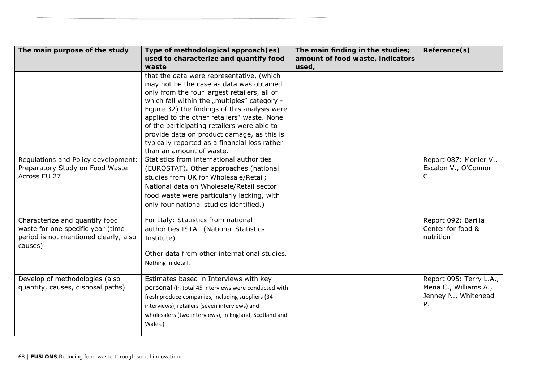| The main purpose of the study         | Type of methodological approach(es)                    | The main finding in the studies; | Reference(s)               |
|---------------------------------------|--------------------------------------------------------|----------------------------------|----------------------------|
|                                       | used to characterize and quantify food                 | amount of food waste, indicators |                            |
|                                       | waste                                                  | used,                            |                            |
|                                       | that the data were representative, (which              |                                  |                            |
|                                       | may not be the case as data was obtained               |                                  |                            |
|                                       | only from the four largest retailers, all of           |                                  |                            |
|                                       | which fall within the "multiples" category -           |                                  |                            |
|                                       | Figure 32) the findings of this analysis were          |                                  |                            |
|                                       | applied to the other retailers" waste. None            |                                  |                            |
|                                       | of the participating retailers were able to            |                                  |                            |
|                                       | provide data on product damage, as this is             |                                  |                            |
|                                       | typically reported as a financial loss rather          |                                  |                            |
|                                       | than an amount of waste.                               |                                  |                            |
| Regulations and Policy development:   | Statistics from international authorities              |                                  | Report 087: Monier V.,     |
| Preparatory Study on Food Waste       | (EUROSTAT). Other approaches (national                 |                                  | Escalon V., O'Connor       |
| Across EU 27                          | studies from UK for Wholesale/Retail;                  |                                  | C.                         |
|                                       | National data on Wholesale/Retail sector               |                                  |                            |
|                                       | food waste were particularly lacking, with             |                                  |                            |
|                                       | only four national studies identified.)                |                                  |                            |
|                                       |                                                        |                                  |                            |
| Characterize and quantify food        | For Italy: Statistics from national                    |                                  | Report 092: Barilla        |
| waste for one specific year (time     | authorities ISTAT (National Statistics                 |                                  | Center for food &          |
| period is not mentioned clearly, also | Institute)                                             |                                  | nutrition                  |
| causes)                               |                                                        |                                  |                            |
|                                       | Other data from other international studies.           |                                  |                            |
|                                       | Nothing in detail.                                     |                                  |                            |
|                                       |                                                        |                                  |                            |
| Develop of methodologies (also        | Estimates based in Interviews with key                 |                                  | Report 095: Terry L.A.,    |
| quantity, causes, disposal paths)     | personal (In total 45 interviews were conducted with   |                                  | Mena C., Williams A.,      |
|                                       | fresh produce companies, including suppliers (34       |                                  | Jenney N., Whitehead<br>P. |
|                                       | interviews), retailers (seven interviews) and          |                                  |                            |
|                                       | wholesalers (two interviews), in England, Scotland and |                                  |                            |
|                                       | Wales.)                                                |                                  |                            |
|                                       |                                                        |                                  |                            |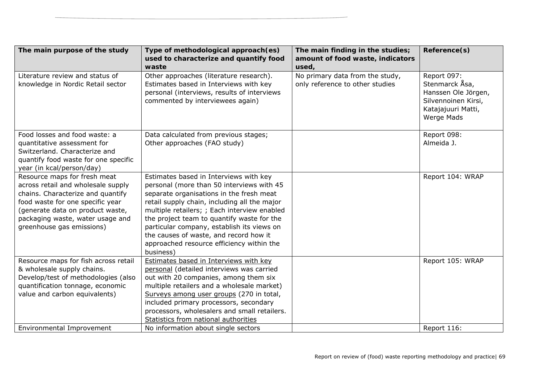| The main purpose of the study        | Type of methodological approach(es)                                                 | The main finding in the studies; | Reference(s)        |
|--------------------------------------|-------------------------------------------------------------------------------------|----------------------------------|---------------------|
|                                      | used to characterize and quantify food                                              | amount of food waste, indicators |                     |
|                                      | waste                                                                               | used,                            |                     |
| Literature review and status of      | Other approaches (literature research).                                             | No primary data from the study,  | Report 097:         |
| knowledge in Nordic Retail sector    | Estimates based in Interviews with key                                              | only reference to other studies  | Stenmarck Åsa,      |
|                                      | personal (interviews, results of interviews                                         |                                  | Hanssen Ole Jörgen, |
|                                      | commented by interviewees again)                                                    |                                  | Silvennoinen Kirsi, |
|                                      |                                                                                     |                                  | Katajajuuri Matti,  |
|                                      |                                                                                     |                                  | <b>Werge Mads</b>   |
| Food losses and food waste: a        | Data calculated from previous stages;                                               |                                  | Report 098:         |
| quantitative assessment for          | Other approaches (FAO study)                                                        |                                  | Almeida J.          |
| Switzerland. Characterize and        |                                                                                     |                                  |                     |
| quantify food waste for one specific |                                                                                     |                                  |                     |
| year (in kcal/person/day)            |                                                                                     |                                  |                     |
| Resource maps for fresh meat         | Estimates based in Interviews with key                                              |                                  | Report 104: WRAP    |
| across retail and wholesale supply   | personal (more than 50 interviews with 45                                           |                                  |                     |
| chains. Characterize and quantify    | separate organisations in the fresh meat                                            |                                  |                     |
| food waste for one specific year     | retail supply chain, including all the major                                        |                                  |                     |
| (generate data on product waste,     | multiple retailers; ; Each interview enabled                                        |                                  |                     |
| packaging waste, water usage and     | the project team to quantify waste for the                                          |                                  |                     |
| greenhouse gas emissions)            | particular company, establish its views on                                          |                                  |                     |
|                                      | the causes of waste, and record how it<br>approached resource efficiency within the |                                  |                     |
|                                      | business)                                                                           |                                  |                     |
| Resource maps for fish across retail | Estimates based in Interviews with key                                              |                                  | Report 105: WRAP    |
| & wholesale supply chains.           | personal (detailed interviews was carried                                           |                                  |                     |
| Develop/test of methodologies (also  | out with 20 companies, among them six                                               |                                  |                     |
| quantification tonnage, economic     | multiple retailers and a wholesale market)                                          |                                  |                     |
| value and carbon equivalents)        | Surveys among user groups (270 in total,                                            |                                  |                     |
|                                      | included primary processors, secondary                                              |                                  |                     |
|                                      | processors, wholesalers and small retailers.                                        |                                  |                     |
|                                      | Statistics from national authorities                                                |                                  |                     |
| Environmental Improvement            | No information about single sectors                                                 |                                  | Report 116:         |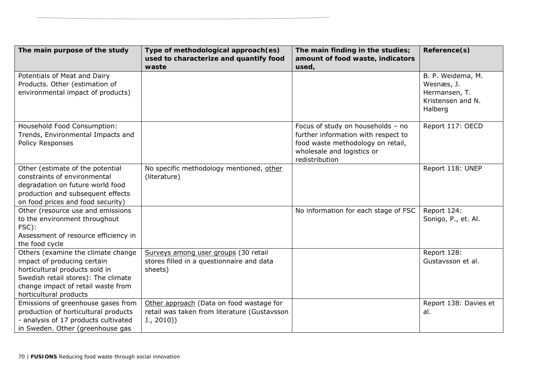| The main purpose of the study                                                                                                                                                                              | Type of methodological approach(es)<br>used to characterize and quantify food                         | The main finding in the studies;<br>amount of food waste, indicators                                                                                          | Reference(s)                                                                     |
|------------------------------------------------------------------------------------------------------------------------------------------------------------------------------------------------------------|-------------------------------------------------------------------------------------------------------|---------------------------------------------------------------------------------------------------------------------------------------------------------------|----------------------------------------------------------------------------------|
| Potentials of Meat and Dairy<br>Products. Other (estimation of<br>environmental impact of products)                                                                                                        | waste                                                                                                 | used,                                                                                                                                                         | B. P. Weidema, M.<br>Wesnæs, J.<br>Hermansen, T.<br>Kristensen and N.<br>Halberg |
| Household Food Consumption:<br>Trends, Environmental Impacts and<br>Policy Responses                                                                                                                       |                                                                                                       | Focus of study on households - no<br>further information with respect to<br>food waste methodology on retail,<br>wholesale and logistics or<br>redistribution | Report 117: OECD                                                                 |
| Other (estimate of the potential<br>constraints of environmental<br>degradation on future world food<br>production and subsequent effects<br>on food prices and food security)                             | No specific methodology mentioned, other<br>(literature)                                              |                                                                                                                                                               | Report 118: UNEP                                                                 |
| Other (resource use and emissions<br>to the environment throughout<br>FSC):<br>Assessment of resource efficiency in<br>the food cycle                                                                      |                                                                                                       | No information for each stage of FSC                                                                                                                          | Report 124:<br>Sonigo, P., et. Al.                                               |
| Others (examine the climate change<br>impact of producing certain<br>horticultural products sold in<br>Swedish retail stores): The climate<br>change impact of retail waste from<br>horticultural products | Surveys among user groups (30 retail<br>stores filled in a questionnaire and data<br>sheets)          |                                                                                                                                                               | Report 128:<br>Gustavsson et al.                                                 |
| Emissions of greenhouse gases from<br>production of horticultural products<br>- analysis of 17 products cultivated<br>in Sweden. Other (greenhouse gas                                                     | Other approach (Data on food wastage for<br>retail was taken from literature (Gustavsson<br>J., 2010) |                                                                                                                                                               | Report 138: Davies et<br>al.                                                     |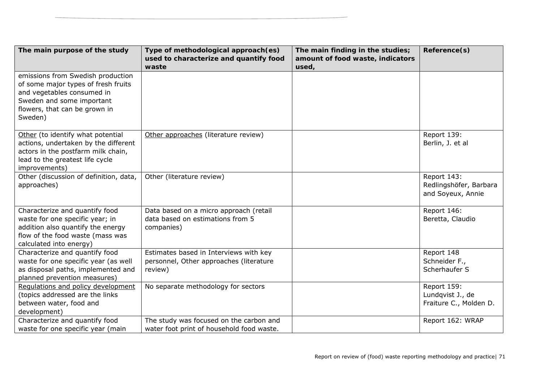| The main purpose of the study                                                                                                                                                   | Type of methodological approach(es)<br>used to characterize and quantify food                | The main finding in the studies;<br>amount of food waste, indicators | Reference(s)                                               |
|---------------------------------------------------------------------------------------------------------------------------------------------------------------------------------|----------------------------------------------------------------------------------------------|----------------------------------------------------------------------|------------------------------------------------------------|
| emissions from Swedish production<br>of some major types of fresh fruits<br>and vegetables consumed in<br>Sweden and some important<br>flowers, that can be grown in<br>Sweden) | waste                                                                                        | used,                                                                |                                                            |
| Other (to identify what potential<br>actions, undertaken by the different<br>actors in the postfarm milk chain,<br>lead to the greatest life cycle<br>improvements)             | Other approaches (literature review)                                                         |                                                                      | Report 139:<br>Berlin, J. et al                            |
| Other (discussion of definition, data,<br>approaches)                                                                                                                           | Other (literature review)                                                                    |                                                                      | Report 143:<br>Redlingshöfer, Barbara<br>and Soyeux, Annie |
| Characterize and quantify food<br>waste for one specific year; in<br>addition also quantify the energy<br>flow of the food waste (mass was<br>calculated into energy)           | Data based on a micro approach (retail<br>data based on estimations from 5<br>companies)     |                                                                      | Report 146:<br>Beretta, Claudio                            |
| Characterize and quantify food<br>waste for one specific year (as well<br>as disposal paths, implemented and<br>planned prevention measures)                                    | Estimates based in Interviews with key<br>personnel, Other approaches (literature<br>review) |                                                                      | Report 148<br>Schneider F.,<br>Scherhaufer S               |
| Regulations and policy development<br>(topics addressed are the links<br>between water, food and<br>development)                                                                | No separate methodology for sectors                                                          |                                                                      | Report 159:<br>Lundqvist J., de<br>Fraiture C., Molden D.  |
| Characterize and quantify food<br>waste for one specific year (main                                                                                                             | The study was focused on the carbon and<br>water foot print of household food waste.         |                                                                      | Report 162: WRAP                                           |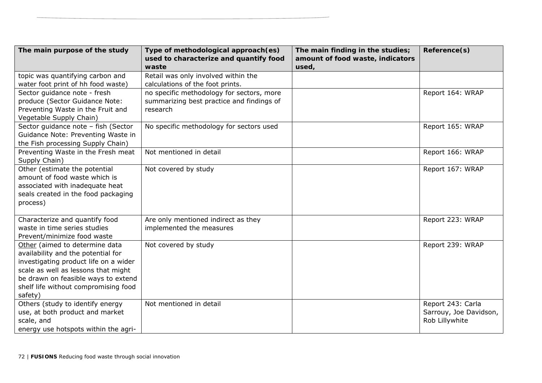| The main purpose of the study         | Type of methodological approach(es)       | The main finding in the studies; | Reference(s)           |
|---------------------------------------|-------------------------------------------|----------------------------------|------------------------|
|                                       | used to characterize and quantify food    | amount of food waste, indicators |                        |
|                                       | waste                                     | used,                            |                        |
| topic was quantifying carbon and      | Retail was only involved within the       |                                  |                        |
| water foot print of hh food waste)    | calculations of the foot prints.          |                                  |                        |
| Sector guidance note - fresh          | no specific methodology for sectors, more |                                  | Report 164: WRAP       |
| produce (Sector Guidance Note:        | summarizing best practice and findings of |                                  |                        |
| Preventing Waste in the Fruit and     | research                                  |                                  |                        |
| Vegetable Supply Chain)               |                                           |                                  |                        |
| Sector guidance note - fish (Sector   | No specific methodology for sectors used  |                                  | Report 165: WRAP       |
| Guidance Note: Preventing Waste in    |                                           |                                  |                        |
| the Fish processing Supply Chain)     |                                           |                                  |                        |
| Preventing Waste in the Fresh meat    | Not mentioned in detail                   |                                  | Report 166: WRAP       |
| Supply Chain)                         |                                           |                                  |                        |
| Other (estimate the potential         | Not covered by study                      |                                  | Report 167: WRAP       |
| amount of food waste which is         |                                           |                                  |                        |
| associated with inadequate heat       |                                           |                                  |                        |
| seals created in the food packaging   |                                           |                                  |                        |
| process)                              |                                           |                                  |                        |
|                                       |                                           |                                  |                        |
| Characterize and quantify food        | Are only mentioned indirect as they       |                                  | Report 223: WRAP       |
| waste in time series studies          | implemented the measures                  |                                  |                        |
| Prevent/minimize food waste           |                                           |                                  |                        |
| Other (aimed to determine data        | Not covered by study                      |                                  | Report 239: WRAP       |
| availability and the potential for    |                                           |                                  |                        |
| investigating product life on a wider |                                           |                                  |                        |
| scale as well as lessons that might   |                                           |                                  |                        |
| be drawn on feasible ways to extend   |                                           |                                  |                        |
| shelf life without compromising food  |                                           |                                  |                        |
| safety)                               |                                           |                                  |                        |
| Others (study to identify energy      | Not mentioned in detail                   |                                  | Report 243: Carla      |
| use, at both product and market       |                                           |                                  | Sarrouy, Joe Davidson, |
| scale, and                            |                                           |                                  | Rob Lillywhite         |
| energy use hotspots within the agri-  |                                           |                                  |                        |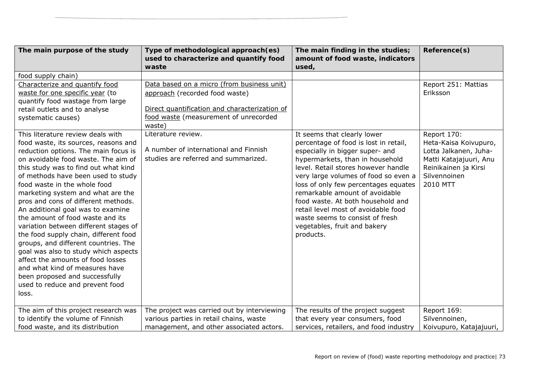| The main purpose of the study                                             | Type of methodological approach(es)<br>used to characterize and quantify food | The main finding in the studies;<br>amount of food waste, indicators | Reference(s)            |
|---------------------------------------------------------------------------|-------------------------------------------------------------------------------|----------------------------------------------------------------------|-------------------------|
|                                                                           | waste                                                                         | used,                                                                |                         |
| food supply chain)                                                        |                                                                               |                                                                      |                         |
| Characterize and quantify food                                            | Data based on a micro (from business unit)                                    |                                                                      | Report 251: Mattias     |
| waste for one specific year (to                                           | approach (recorded food waste)                                                |                                                                      | Eriksson                |
| quantify food wastage from large                                          |                                                                               |                                                                      |                         |
| retail outlets and to analyse                                             | Direct quantification and characterization of                                 |                                                                      |                         |
| systematic causes)                                                        | food waste (measurement of unrecorded<br>waste)                               |                                                                      |                         |
| This literature review deals with                                         | Literature review.                                                            | It seems that clearly lower                                          | Report 170:             |
| food waste, its sources, reasons and                                      |                                                                               | percentage of food is lost in retail,                                | Heta-Kaisa Koivupuro,   |
| reduction options. The main focus is                                      | A number of international and Finnish                                         | especially in bigger super- and                                      | Lotta Jalkanen, Juha-   |
| on avoidable food waste. The aim of                                       | studies are referred and summarized.                                          | hypermarkets, than in household                                      | Matti Katajajuuri, Anu  |
| this study was to find out what kind                                      |                                                                               | level. Retail stores however handle                                  | Reinikainen ja Kirsi    |
| of methods have been used to study                                        |                                                                               | very large volumes of food so even a                                 | Silvennoinen            |
| food waste in the whole food                                              |                                                                               | loss of only few percentages equates                                 | 2010 MTT                |
| marketing system and what are the                                         |                                                                               | remarkable amount of avoidable                                       |                         |
| pros and cons of different methods.                                       |                                                                               | food waste. At both household and                                    |                         |
| An additional goal was to examine                                         |                                                                               | retail level most of avoidable food                                  |                         |
| the amount of food waste and its                                          |                                                                               | waste seems to consist of fresh                                      |                         |
| variation between different stages of                                     |                                                                               | vegetables, fruit and bakery                                         |                         |
| the food supply chain, different food                                     |                                                                               | products.                                                            |                         |
| groups, and different countries. The                                      |                                                                               |                                                                      |                         |
| goal was also to study which aspects<br>affect the amounts of food losses |                                                                               |                                                                      |                         |
| and what kind of measures have                                            |                                                                               |                                                                      |                         |
| been proposed and successfully                                            |                                                                               |                                                                      |                         |
| used to reduce and prevent food                                           |                                                                               |                                                                      |                         |
| loss.                                                                     |                                                                               |                                                                      |                         |
|                                                                           |                                                                               |                                                                      |                         |
| The aim of this project research was                                      | The project was carried out by interviewing                                   | The results of the project suggest                                   | Report 169:             |
| to identify the volume of Finnish                                         | various parties in retail chains, waste                                       | that every year consumers, food                                      | Silvennoinen,           |
| food waste, and its distribution                                          | management, and other associated actors.                                      | services, retailers, and food industry                               | Koivupuro, Katajajuuri, |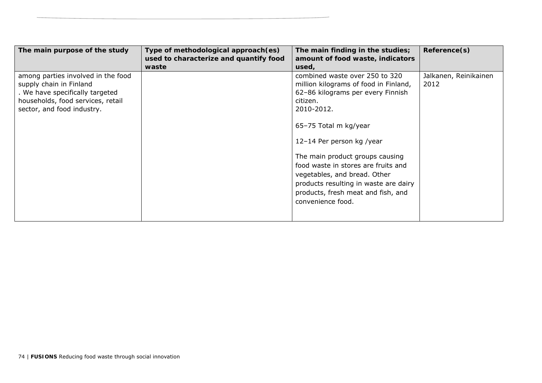| The main purpose of the study                                                                                                                                       | Type of methodological approach(es)<br>used to characterize and quantify food<br>waste | The main finding in the studies;<br>amount of food waste, indicators<br>used,                                                                                                                                                                                                                                                                                                                              | Reference(s)                  |
|---------------------------------------------------------------------------------------------------------------------------------------------------------------------|----------------------------------------------------------------------------------------|------------------------------------------------------------------------------------------------------------------------------------------------------------------------------------------------------------------------------------------------------------------------------------------------------------------------------------------------------------------------------------------------------------|-------------------------------|
| among parties involved in the food<br>supply chain in Finland<br>. We have specifically targeted<br>households, food services, retail<br>sector, and food industry. |                                                                                        | combined waste over 250 to 320<br>million kilograms of food in Finland,<br>62-86 kilograms per every Finnish<br>citizen.<br>2010-2012.<br>65-75 Total m kg/year<br>12-14 Per person kg /year<br>The main product groups causing<br>food waste in stores are fruits and<br>vegetables, and bread. Other<br>products resulting in waste are dairy<br>products, fresh meat and fish, and<br>convenience food. | Jalkanen, Reinikainen<br>2012 |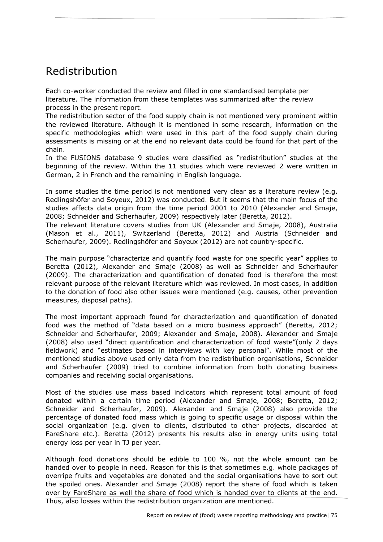# Redistribution

Each co-worker conducted the review and filled in one standardised template per literature. The information from these templates was summarized after the review process in the present report.

The redistribution sector of the food supply chain is not mentioned very prominent within the reviewed literature. Although it is mentioned in some research, information on the specific methodologies which were used in this part of the food supply chain during assessments is missing or at the end no relevant data could be found for that part of the chain.

In the FUSIONS database 9 studies were classified as "redistribution" studies at the beginning of the review. Within the 11 studies which were reviewed 2 were written in German, 2 in French and the remaining in English language.

In some studies the time period is not mentioned very clear as a literature review (e.g. Redlingshöfer and Soyeux, 2012) was conducted. But it seems that the main focus of the studies affects data origin from the time period 2001 to 2010 (Alexander and Smaje, 2008; Schneider and Scherhaufer, 2009) respectively later (Beretta, 2012).

The relevant literature covers studies from UK (Alexander and Smaje, 2008), Australia (Mason et al., 2011), Switzerland (Beretta, 2012) and Austria (Schneider and Scherhaufer, 2009). Redlingshöfer and Soyeux (2012) are not country-specific.

The main purpose "characterize and quantify food waste for one specific year" applies to Beretta (2012), Alexander and Smaje (2008) as well as Schneider and Scherhaufer (2009). The characterization and quantification of donated food is therefore the most relevant purpose of the relevant literature which was reviewed. In most cases, in addition to the donation of food also other issues were mentioned (e.g. causes, other prevention measures, disposal paths).

The most important approach found for characterization and quantification of donated food was the method of "data based on a micro business approach" (Beretta, 2012; Schneider and Scherhaufer, 2009; Alexander and Smaje, 2008). Alexander and Smaje (2008) also used "direct quantification and characterization of food waste"(only 2 days fieldwork) and "estimates based in interviews with key personal". While most of the mentioned studies above used only data from the redistribution organisations, Schneider and Scherhaufer (2009) tried to combine information from both donating business companies and receiving social organisations.

Most of the studies use mass based indicators which represent total amount of food donated within a certain time period (Alexander and Smaje, 2008; Beretta, 2012; Schneider and Scherhaufer, 2009). Alexander and Smaje (2008) also provide the percentage of donated food mass which is going to specific usage or disposal within the social organization (e.g. given to clients, distributed to other projects, discarded at FareShare etc.). Beretta (2012) presents his results also in energy units using total energy loss per year in TJ per year.

Although food donations should be edible to 100 %, not the whole amount can be handed over to people in need. Reason for this is that sometimes e.g. whole packages of overripe fruits and vegetables are donated and the social organisations have to sort out the spoiled ones. Alexander and Smaje (2008) report the share of food which is taken over by FareShare as well the share of food which is handed over to clients at the end. Thus, also losses within the redistribution organization are mentioned.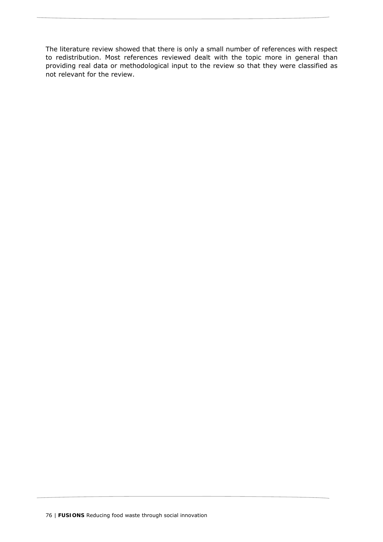The literature review showed that there is only a small number of references with respect to redistribution. Most references reviewed dealt with the topic more in general than providing real data or methodological input to the review so that they were classified as not relevant for the review.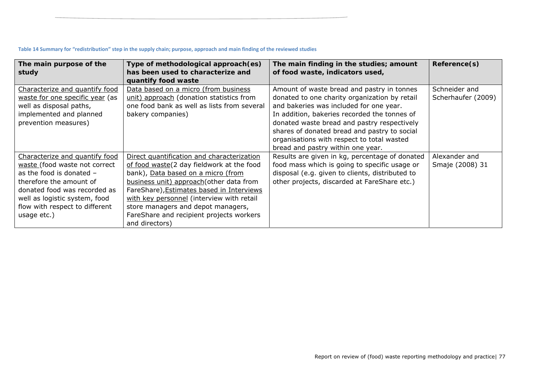| Table 14 Summary for "redistribution" step in the supply chain; purpose, approach and main finding of the reviewed studies |  |
|----------------------------------------------------------------------------------------------------------------------------|--|
|----------------------------------------------------------------------------------------------------------------------------|--|

| The main purpose of the<br>study                                                                                                                                                                                                           | Type of methodological approach (es)<br>has been used to characterize and                                                                                                                                                                                                                                                                                               | The main finding in the studies; amount<br>of food waste, indicators used,                                                                                                                                                                                                                                                                                               | Reference(s)                        |
|--------------------------------------------------------------------------------------------------------------------------------------------------------------------------------------------------------------------------------------------|-------------------------------------------------------------------------------------------------------------------------------------------------------------------------------------------------------------------------------------------------------------------------------------------------------------------------------------------------------------------------|--------------------------------------------------------------------------------------------------------------------------------------------------------------------------------------------------------------------------------------------------------------------------------------------------------------------------------------------------------------------------|-------------------------------------|
| Characterize and quantify food<br>waste for one specific year (as<br>well as disposal paths,<br>implemented and planned<br>prevention measures)                                                                                            | quantify food waste<br>Data based on a micro (from business<br>unit) approach (donation statistics from<br>one food bank as well as lists from several<br>bakery companies)                                                                                                                                                                                             | Amount of waste bread and pastry in tonnes<br>donated to one charity organization by retail<br>and bakeries was included for one year.<br>In addition, bakeries recorded the tonnes of<br>donated waste bread and pastry respectively<br>shares of donated bread and pastry to social<br>organisations with respect to total wasted<br>bread and pastry within one year. | Schneider and<br>Scherhaufer (2009) |
| Characterize and quantify food<br>waste (food waste not correct<br>as the food is donated $-$<br>therefore the amount of<br>donated food was recorded as<br>well as logistic system, food<br>flow with respect to different<br>usage etc.) | Direct quantification and characterization<br>of food waste(2 day fieldwork at the food<br>bank), Data based on a micro (from<br>business unit) approach (other data from<br>FareShare), Estimates based in Interviews<br>with key personnel (interview with retail<br>store managers and depot managers,<br>FareShare and recipient projects workers<br>and directors) | Results are given in kg, percentage of donated<br>food mass which is going to specific usage or<br>disposal (e.g. given to clients, distributed to<br>other projects, discarded at FareShare etc.)                                                                                                                                                                       | Alexander and<br>Smaje (2008) 31    |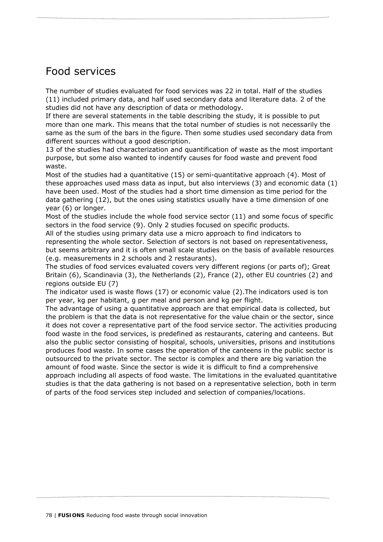# Food services

The number of studies evaluated for food services was 22 in total. Half of the studies (11) included primary data, and half used secondary data and literature data. 2 of the studies did not have any description of data or methodology.

If there are several statements in the table describing the study, it is possible to put more than one mark. This means that the total number of studies is not necessarily the same as the sum of the bars in the figure. Then some studies used secondary data from different sources without a good description.

13 of the studies had characterization and quantification of waste as the most important purpose, but some also wanted to indentify causes for food waste and prevent food waste.

Most of the studies had a quantitative (15) or semi-quantitative approach (4). Most of these approaches used mass data as input, but also interviews (3) and economic data (1) have been used. Most of the studies had a short time dimension as time period for the data gathering (12), but the ones using statistics usually have a time dimension of one year (6) or longer.

Most of the studies include the whole food service sector (11) and some focus of specific sectors in the food service (9). Only 2 studies focused on specific products.

All of the studies using primary data use a micro approach to find indicators to representing the whole sector. Selection of sectors is not based on representativeness, but seems arbitrary and it is often small scale studies on the basis of available resources (e.g. measurements in 2 schools and 2 restaurants).

The studies of food services evaluated covers very different regions (or parts of); Great Britain (6), Scandinavia (3), the Netherlands (2), France (2), other EU countries (2) and regions outside EU (7)

The indicator used is waste flows (17) or economic value (2).The indicators used is ton per year, kg per habitant, g per meal and person and kg per flight.

The advantage of using a quantitative approach are that empirical data is collected, but the problem is that the data is not representative for the value chain or the sector, since it does not cover a representative part of the food service sector. The activities producing food waste in the food services, is predefined as restaurants, catering and canteens. But also the public sector consisting of hospital, schools, universities, prisons and institutions produces food waste. In some cases the operation of the canteens in the public sector is outsourced to the private sector. The sector is complex and there are big variation the amount of food waste. Since the sector is wide it is difficult to find a comprehensive approach including all aspects of food waste. The limitations in the evaluated quantitative studies is that the data gathering is not based on a representative selection, both in term of parts of the food services step included and selection of companies/locations.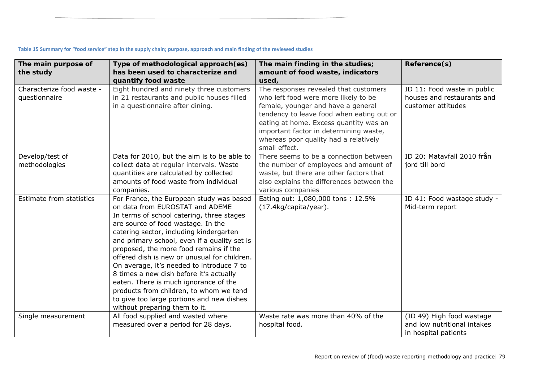| The main purpose of<br>the study           | Type of methodological approach(es)<br>has been used to characterize and<br>quantify food waste                                                                                                                                                                                                                                                                                                                                                                                                                                                                                                               | The main finding in the studies;<br>amount of food waste, indicators<br>used,                                                                                                                                                                                                                                  | Reference(s)                                                                     |
|--------------------------------------------|---------------------------------------------------------------------------------------------------------------------------------------------------------------------------------------------------------------------------------------------------------------------------------------------------------------------------------------------------------------------------------------------------------------------------------------------------------------------------------------------------------------------------------------------------------------------------------------------------------------|----------------------------------------------------------------------------------------------------------------------------------------------------------------------------------------------------------------------------------------------------------------------------------------------------------------|----------------------------------------------------------------------------------|
| Characterize food waste -<br>questionnaire | Eight hundred and ninety three customers<br>in 21 restaurants and public houses filled<br>in a questionnaire after dining.                                                                                                                                                                                                                                                                                                                                                                                                                                                                                    | The responses revealed that customers<br>who left food were more likely to be<br>female, younger and have a general<br>tendency to leave food when eating out or<br>eating at home. Excess quantity was an<br>important factor in determining waste,<br>whereas poor quality had a relatively<br>small effect. | ID 11: Food waste in public<br>houses and restaurants and<br>customer attitudes  |
| Develop/test of<br>methodologies           | Data for 2010, but the aim is to be able to<br>collect data at regular intervals. Waste<br>quantities are calculated by collected<br>amounts of food waste from individual<br>companies.                                                                                                                                                                                                                                                                                                                                                                                                                      | There seems to be a connection between<br>the number of employees and amount of<br>waste, but there are other factors that<br>also explains the differences between the<br>various companies                                                                                                                   | ID 20: Matavfall 2010 från<br>jord till bord                                     |
| Estimate from statistics                   | For France, the European study was based<br>on data from EUROSTAT and ADEME<br>In terms of school catering, three stages<br>are source of food wastage. In the<br>catering sector, including kindergarten<br>and primary school, even if a quality set is<br>proposed, the more food remains if the<br>offered dish is new or unusual for children.<br>On average, it's needed to introduce 7 to<br>8 times a new dish before it's actually<br>eaten. There is much ignorance of the<br>products from children, to whom we tend<br>to give too large portions and new dishes<br>without preparing them to it. | Eating out: 1,080,000 tons: 12.5%<br>(17.4kg/capita/year).                                                                                                                                                                                                                                                     | ID 41: Food wastage study -<br>Mid-term report                                   |
| Single measurement                         | All food supplied and wasted where<br>measured over a period for 28 days.                                                                                                                                                                                                                                                                                                                                                                                                                                                                                                                                     | Waste rate was more than 40% of the<br>hospital food.                                                                                                                                                                                                                                                          | (ID 49) High food wastage<br>and low nutritional intakes<br>in hospital patients |

#### Table 15 Summary for "food service" step in the supply chain; purpose, approach and main finding of the reviewed studies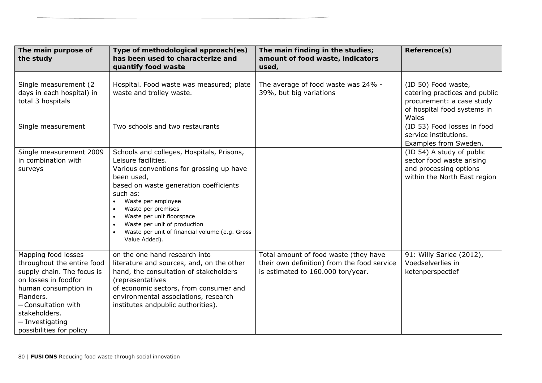| The main purpose of<br>the study                                                                                                                                                                                                    | Type of methodological approach(es)<br>has been used to characterize and<br>quantify food waste                                                                                                                                                                                                                                                                                                     | The main finding in the studies;<br>amount of food waste, indicators<br>used,                                             | Reference(s)                                                                                                              |
|-------------------------------------------------------------------------------------------------------------------------------------------------------------------------------------------------------------------------------------|-----------------------------------------------------------------------------------------------------------------------------------------------------------------------------------------------------------------------------------------------------------------------------------------------------------------------------------------------------------------------------------------------------|---------------------------------------------------------------------------------------------------------------------------|---------------------------------------------------------------------------------------------------------------------------|
|                                                                                                                                                                                                                                     |                                                                                                                                                                                                                                                                                                                                                                                                     |                                                                                                                           |                                                                                                                           |
| Single measurement (2)<br>days in each hospital) in<br>total 3 hospitals                                                                                                                                                            | Hospital. Food waste was measured; plate<br>waste and trolley waste.                                                                                                                                                                                                                                                                                                                                | The average of food waste was 24% -<br>39%, but big variations                                                            | (ID 50) Food waste,<br>catering practices and public<br>procurement: a case study<br>of hospital food systems in<br>Wales |
| Single measurement                                                                                                                                                                                                                  | Two schools and two restaurants                                                                                                                                                                                                                                                                                                                                                                     |                                                                                                                           | (ID 53) Food losses in food<br>service institutions.<br>Examples from Sweden.                                             |
| Single measurement 2009<br>in combination with<br>surveys                                                                                                                                                                           | Schools and colleges, Hospitals, Prisons,<br>Leisure facilities.<br>Various conventions for grossing up have<br>been used,<br>based on waste generation coefficients<br>such as:<br>Waste per employee<br>Waste per premises<br>$\bullet$<br>Waste per unit floorspace<br>Waste per unit of production<br>$\bullet$<br>Waste per unit of financial volume (e.g. Gross<br>$\bullet$<br>Value Added). |                                                                                                                           | (ID 54) A study of public<br>sector food waste arising<br>and processing options<br>within the North East region          |
| Mapping food losses<br>throughout the entire food<br>supply chain. The focus is<br>on losses in foodfor<br>human consumption in<br>Flanders.<br>- Consultation with<br>stakeholders.<br>- Investigating<br>possibilities for policy | on the one hand research into<br>literature and sources, and, on the other<br>hand, the consultation of stakeholders<br>(representatives<br>of economic sectors, from consumer and<br>environmental associations, research<br>institutes andpublic authorities).                                                                                                                                    | Total amount of food waste (they have<br>their own definition) from the food service<br>is estimated to 160.000 ton/year. | 91: Willy Sarlee (2012),<br>Voedselverlies in<br>ketenperspectief                                                         |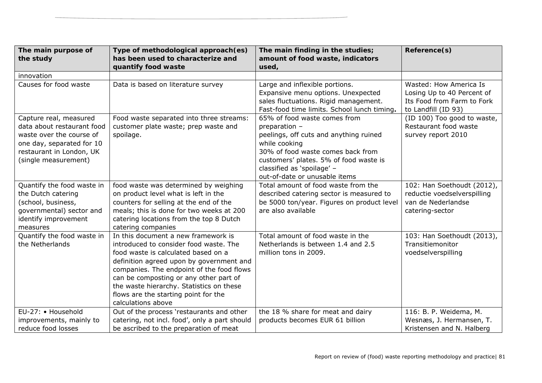| The main purpose of<br>the study                                                                                                                                  | Type of methodological approach(es)<br>has been used to characterize and<br>quantify food waste                                                                                                                                                                                                                                                                   | The main finding in the studies;<br>amount of food waste, indicators<br>used,                                                                                                                                                                          | Reference(s)                                                                                              |
|-------------------------------------------------------------------------------------------------------------------------------------------------------------------|-------------------------------------------------------------------------------------------------------------------------------------------------------------------------------------------------------------------------------------------------------------------------------------------------------------------------------------------------------------------|--------------------------------------------------------------------------------------------------------------------------------------------------------------------------------------------------------------------------------------------------------|-----------------------------------------------------------------------------------------------------------|
| innovation                                                                                                                                                        |                                                                                                                                                                                                                                                                                                                                                                   |                                                                                                                                                                                                                                                        |                                                                                                           |
| Causes for food waste                                                                                                                                             | Data is based on literature survey                                                                                                                                                                                                                                                                                                                                | Large and inflexible portions.<br>Expansive menu options. Unexpected<br>sales fluctuations. Rigid management.<br>Fast-food time limits. School lunch timing.                                                                                           | Wasted: How America Is<br>Losing Up to 40 Percent of<br>Its Food from Farm to Fork<br>to Landfill (ID 93) |
| Capture real, measured<br>data about restaurant food<br>waste over the course of<br>one day, separated for 10<br>restaurant in London, UK<br>(single measurement) | Food waste separated into three streams:<br>customer plate waste; prep waste and<br>spoilage.                                                                                                                                                                                                                                                                     | 65% of food waste comes from<br>preparation -<br>peelings, off cuts and anything ruined<br>while cooking<br>30% of food waste comes back from<br>customers' plates. 5% of food waste is<br>classified as 'spoilage' -<br>out-of-date or unusable items | (ID 100) Too good to waste,<br>Restaurant food waste<br>survey report 2010                                |
| Quantify the food waste in<br>the Dutch catering<br>(school, business,<br>governmental) sector and<br>identify improvement<br>measures                            | food waste was determined by weighing<br>on product level what is left in the<br>counters for selling at the end of the<br>meals; this is done for two weeks at 200<br>catering locations from the top 8 Dutch<br>catering companies                                                                                                                              | Total amount of food waste from the<br>described catering sector is measured to<br>be 5000 ton/year. Figures on product level<br>are also available                                                                                                    | 102: Han Soethoudt (2012),<br>reductie voedselverspilling<br>van de Nederlandse<br>catering-sector        |
| Quantify the food waste in<br>the Netherlands                                                                                                                     | In this document a new framework is<br>introduced to consider food waste. The<br>food waste is calculated based on a<br>definition agreed upon by government and<br>companies. The endpoint of the food flows<br>can be composting or any other part of<br>the waste hierarchy. Statistics on these<br>flows are the starting point for the<br>calculations above | Total amount of food waste in the<br>Netherlands is between 1.4 and 2.5<br>million tons in 2009.                                                                                                                                                       | 103: Han Soethoudt (2013),<br>Transitiemonitor<br>voedselverspilling                                      |
| EU-27: • Household<br>improvements, mainly to<br>reduce food losses                                                                                               | Out of the process 'restaurants and other<br>catering, not incl. food', only a part should<br>be ascribed to the preparation of meat                                                                                                                                                                                                                              | the 18 % share for meat and dairy<br>products becomes EUR 61 billion                                                                                                                                                                                   | 116: B. P. Weidema, M.<br>Wesnæs, J. Hermansen, T.<br>Kristensen and N. Halberg                           |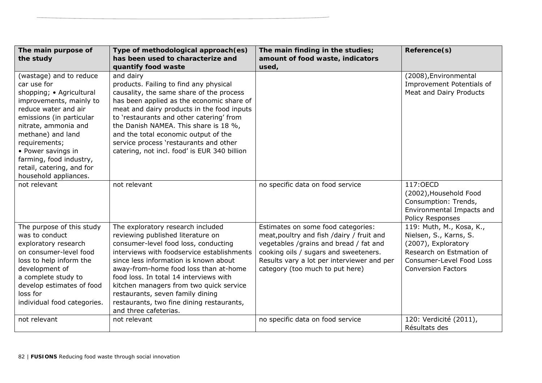| The main purpose of<br>the study                                                                                                                                                                                                                                                                                       | Type of methodological approach(es)<br>has been used to characterize and<br>quantify food waste                                                                                                                                                                                                                                                                                                                                               | The main finding in the studies;<br>amount of food waste, indicators<br>used,                                                                                                                                                                       | Reference(s)                                                                                                                                                   |
|------------------------------------------------------------------------------------------------------------------------------------------------------------------------------------------------------------------------------------------------------------------------------------------------------------------------|-----------------------------------------------------------------------------------------------------------------------------------------------------------------------------------------------------------------------------------------------------------------------------------------------------------------------------------------------------------------------------------------------------------------------------------------------|-----------------------------------------------------------------------------------------------------------------------------------------------------------------------------------------------------------------------------------------------------|----------------------------------------------------------------------------------------------------------------------------------------------------------------|
| (wastage) and to reduce<br>car use for<br>shopping; • Agricultural<br>improvements, mainly to<br>reduce water and air<br>emissions (in particular<br>nitrate, ammonia and<br>methane) and land<br>requirements;<br>• Power savings in<br>farming, food industry,<br>retail, catering, and for<br>household appliances. | and dairy<br>products. Failing to find any physical<br>causality, the same share of the process<br>has been applied as the economic share of<br>meat and dairy products in the food inputs<br>to 'restaurants and other catering' from<br>the Danish NAMEA. This share is 18 %,<br>and the total economic output of the<br>service process 'restaurants and other<br>catering, not incl. food' is EUR 340 billion                             |                                                                                                                                                                                                                                                     | (2008), Environmental<br>Improvement Potentials of<br>Meat and Dairy Products                                                                                  |
| not relevant                                                                                                                                                                                                                                                                                                           | not relevant                                                                                                                                                                                                                                                                                                                                                                                                                                  | no specific data on food service                                                                                                                                                                                                                    | 117:0ECD<br>(2002), Household Food<br>Consumption: Trends,<br>Environmental Impacts and<br>Policy Responses                                                    |
| The purpose of this study<br>was to conduct<br>exploratory research<br>on consumer-level food<br>loss to help inform the<br>development of<br>a complete study to<br>develop estimates of food<br>loss for<br>individual food categories.                                                                              | The exploratory research included<br>reviewing published literature on<br>consumer-level food loss, conducting<br>interviews with foodservice establishments<br>since less information is known about<br>away-from-home food loss than at-home<br>food loss. In total 14 interviews with<br>kitchen managers from two quick service<br>restaurants, seven family dining<br>restaurants, two fine dining restaurants,<br>and three cafeterias. | Estimates on some food categories:<br>meat, poultry and fish /dairy / fruit and<br>vegetables /grains and bread / fat and<br>cooking oils / sugars and sweeteners.<br>Results vary a lot per interviewer and per<br>category (too much to put here) | 119: Muth, M., Kosa, K.,<br>Nielsen, S., Karns, S.<br>(2007), Exploratory<br>Research on Estmation of<br>Consumer-Level Food Loss<br><b>Conversion Factors</b> |
| not relevant                                                                                                                                                                                                                                                                                                           | not relevant                                                                                                                                                                                                                                                                                                                                                                                                                                  | no specific data on food service                                                                                                                                                                                                                    | 120: Verdicité (2011),<br>Résultats des                                                                                                                        |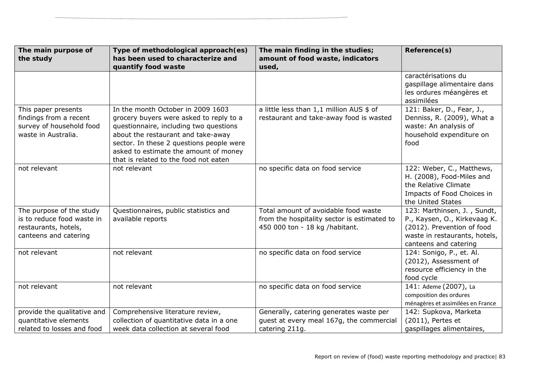| The main purpose of<br>the study                                                                        | Type of methodological approach(es)<br>has been used to characterize and<br>quantify food waste                                                                                                                                                                                            | The main finding in the studies;<br>amount of food waste, indicators<br>used,                                         | Reference(s)                                                                                                                                        |
|---------------------------------------------------------------------------------------------------------|--------------------------------------------------------------------------------------------------------------------------------------------------------------------------------------------------------------------------------------------------------------------------------------------|-----------------------------------------------------------------------------------------------------------------------|-----------------------------------------------------------------------------------------------------------------------------------------------------|
|                                                                                                         |                                                                                                                                                                                                                                                                                            |                                                                                                                       | caractérisations du<br>gaspillage alimentaire dans<br>les ordures méangères et<br>assimilées                                                        |
| This paper presents<br>findings from a recent<br>survey of household food<br>waste in Australia.        | In the month October in 2009 1603<br>grocery buyers were asked to reply to a<br>questionnaire, including two questions<br>about the restaurant and take-away<br>sector. In these 2 questions people were<br>asked to estimate the amount of money<br>that is related to the food not eaten | a little less than 1,1 million AUS \$ of<br>restaurant and take-away food is wasted                                   | 121: Baker, D., Fear, J.,<br>Denniss, R. (2009), What a<br>waste: An analysis of<br>household expenditure on<br>food                                |
| not relevant                                                                                            | not relevant                                                                                                                                                                                                                                                                               | no specific data on food service                                                                                      | 122: Weber, C., Matthews,<br>H. (2008), Food-Miles and<br>the Relative Climate<br>Impacts of Food Choices in<br>the United States                   |
| The purpose of the study<br>is to reduce food waste in<br>restaurants, hotels,<br>canteens and catering | Questionnaires, public statistics and<br>available reports                                                                                                                                                                                                                                 | Total amount of avoidable food waste<br>from the hospitality sector is estimated to<br>450 000 ton - 18 kg /habitant. | 123: Marthinsen, J., Sundt,<br>P., Kaysen, O., Kirkevaag K.<br>(2012). Prevention of food<br>waste in restaurants, hotels,<br>canteens and catering |
| not relevant                                                                                            | not relevant                                                                                                                                                                                                                                                                               | no specific data on food service                                                                                      | 124: Sonigo, P., et. Al.<br>(2012), Assessment of<br>resource efficiency in the<br>food cycle                                                       |
| not relevant                                                                                            | not relevant                                                                                                                                                                                                                                                                               | no specific data on food service                                                                                      | 141: Ademe (2007), La<br>composition des ordures<br>ménagères et assimilées en France                                                               |
| provide the qualitative and<br>quantitative elements<br>related to losses and food                      | Comprehensive literature review,<br>collection of quantitative data in a one<br>week data collection at several food                                                                                                                                                                       | Generally, catering generates waste per<br>guest at every meal 167g, the commercial<br>catering 211g.                 | 142: Supkova, Marketa<br>(2011), Pertes et<br>gaspillages alimentaires,                                                                             |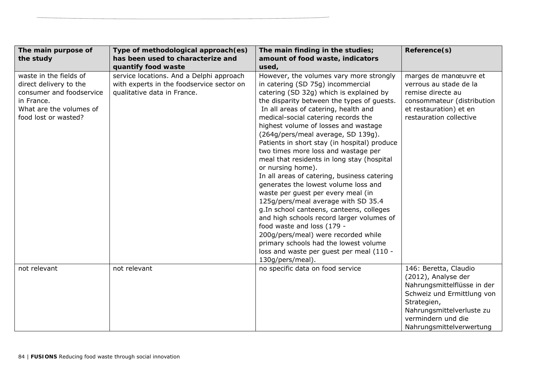| The main purpose of      | Type of methodological approach(es)       | The main finding in the studies;             | Reference(s)                |
|--------------------------|-------------------------------------------|----------------------------------------------|-----------------------------|
| the study                | has been used to characterize and         | amount of food waste, indicators             |                             |
|                          | quantify food waste                       | used,                                        |                             |
| waste in the fields of   | service locations. And a Delphi approach  | However, the volumes vary more strongly      | marges de manœuvre et       |
| direct delivery to the   | with experts in the foodservice sector on | in catering (SD 75g) incommercial            | verrous au stade de la      |
| consumer and foodservice | qualitative data in France.               | catering (SD 32g) which is explained by      | remise directe au           |
| in France.               |                                           | the disparity between the types of guests.   | consommateur (distribution  |
| What are the volumes of  |                                           | In all areas of catering, health and         | et restauration) et en      |
| food lost or wasted?     |                                           | medical-social catering records the          | restauration collective     |
|                          |                                           | highest volume of losses and wastage         |                             |
|                          |                                           | (264g/pers/meal average, SD 139g).           |                             |
|                          |                                           | Patients in short stay (in hospital) produce |                             |
|                          |                                           | two times more loss and wastage per          |                             |
|                          |                                           | meal that residents in long stay (hospital   |                             |
|                          |                                           | or nursing home).                            |                             |
|                          |                                           | In all areas of catering, business catering  |                             |
|                          |                                           | generates the lowest volume loss and         |                             |
|                          |                                           | waste per guest per every meal (in           |                             |
|                          |                                           | 125g/pers/meal average with SD 35.4          |                             |
|                          |                                           | g. In school canteens, canteens, colleges    |                             |
|                          |                                           | and high schools record larger volumes of    |                             |
|                          |                                           | food waste and loss (179 -                   |                             |
|                          |                                           | 200g/pers/meal) were recorded while          |                             |
|                          |                                           | primary schools had the lowest volume        |                             |
|                          |                                           | loss and waste per guest per meal (110 -     |                             |
|                          |                                           | 130g/pers/meal).                             |                             |
| not relevant             | not relevant                              | no specific data on food service             | 146: Beretta, Claudio       |
|                          |                                           |                                              | (2012), Analyse der         |
|                          |                                           |                                              | Nahrungsmittelflüsse in der |
|                          |                                           |                                              | Schweiz und Ermittlung von  |
|                          |                                           |                                              | Strategien,                 |
|                          |                                           |                                              | Nahrungsmittelverluste zu   |
|                          |                                           |                                              | vermindern und die          |
|                          |                                           |                                              | Nahrungsmittelverwertung    |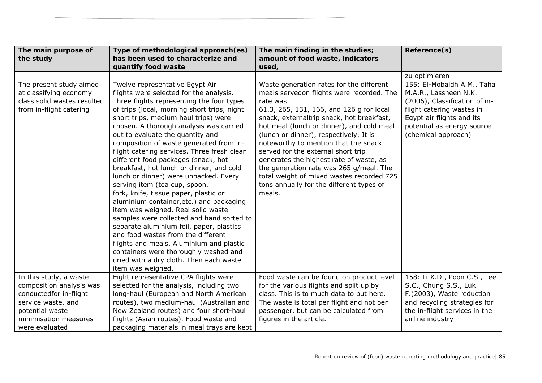| The main purpose of<br>the study | Type of methodological approach(es)<br>has been used to characterize and | The main finding in the studies;<br>amount of food waste, indicators | Reference(s)                  |
|----------------------------------|--------------------------------------------------------------------------|----------------------------------------------------------------------|-------------------------------|
|                                  | quantify food waste                                                      | used,                                                                |                               |
|                                  |                                                                          |                                                                      | zu optimieren                 |
| The present study aimed          | Twelve representative Egypt Air                                          | Waste generation rates for the different                             | 155: El-Mobaidh A.M., Taha    |
| at classifying economy           | flights were selected for the analysis.                                  | meals servedon flights were recorded. The                            | M.A.R., Lassheen N.K.         |
| class solid wastes resulted      | Three flights representing the four types                                | rate was                                                             | (2006), Classification of in- |
| from in-flight catering          | of trips (local, morning short trips, night                              | 61.3, 265, 131, 166, and 126 g for local                             | flight catering wastes in     |
|                                  | short trips, medium haul trips) were                                     | snack, externaltrip snack, hot breakfast,                            | Egypt air flights and its     |
|                                  | chosen. A thorough analysis was carried                                  | hot meal (lunch or dinner), and cold meal                            | potential as energy source    |
|                                  | out to evaluate the quantity and                                         | (lunch or dinner), respectively. It is                               | (chemical approach)           |
|                                  | composition of waste generated from in-                                  | noteworthy to mention that the snack                                 |                               |
|                                  | flight catering services. Three fresh clean                              | served for the external short trip                                   |                               |
|                                  | different food packages (snack, hot                                      | generates the highest rate of waste, as                              |                               |
|                                  | breakfast, hot lunch or dinner, and cold                                 | the generation rate was 265 g/meal. The                              |                               |
|                                  | lunch or dinner) were unpacked. Every                                    | total weight of mixed wastes recorded 725                            |                               |
|                                  | serving item (tea cup, spoon,                                            | tons annually for the different types of                             |                               |
|                                  | fork, knife, tissue paper, plastic or                                    | meals.                                                               |                               |
|                                  | aluminium container, etc.) and packaging                                 |                                                                      |                               |
|                                  | item was weighed. Real solid waste                                       |                                                                      |                               |
|                                  | samples were collected and hand sorted to                                |                                                                      |                               |
|                                  | separate aluminium foil, paper, plastics                                 |                                                                      |                               |
|                                  | and food wastes from the different                                       |                                                                      |                               |
|                                  | flights and meals. Aluminium and plastic                                 |                                                                      |                               |
|                                  | containers were thoroughly washed and                                    |                                                                      |                               |
|                                  | dried with a dry cloth. Then each waste                                  |                                                                      |                               |
|                                  | item was weighed.                                                        |                                                                      |                               |
| In this study, a waste           | Eight representative CPA flights were                                    | Food waste can be found on product level                             | 158: Li X.D., Poon C.S., Lee  |
| composition analysis was         | selected for the analysis, including two                                 | for the various flights and split up by                              | S.C., Chung S.S., Luk         |
| conductedfor in-flight           | long-haul (European and North American                                   | class. This is to much data to put here.                             | F.(2003), Waste reduction     |
| service waste, and               | routes), two medium-haul (Australian and                                 | The waste is total per flight and not per                            | and recycling strategies for  |
| potential waste                  | New Zealand routes) and four short-haul                                  | passenger, but can be calculated from                                | the in-flight services in the |
| minimisation measures            | flights (Asian routes). Food waste and                                   | figures in the article.                                              | airline industry              |
| were evaluated                   | packaging materials in meal trays are kept                               |                                                                      |                               |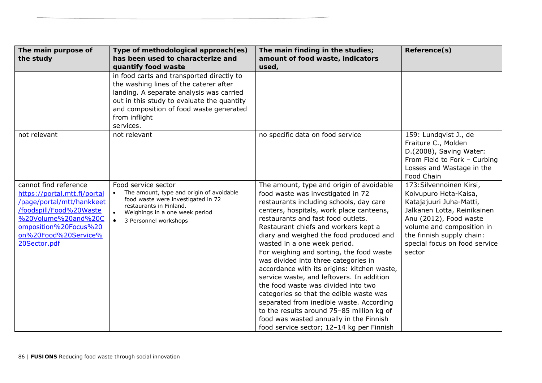| The main purpose of<br>the study                                                                                                                                                                      | Type of methodological approach(es)<br>has been used to characterize and<br>quantify food waste                                                                                                                                                        | The main finding in the studies;<br>amount of food waste, indicators<br>used,                                                                                                                                                                                                                                                                                                                                                                                                                                                                                                                                                                                                                                                                                                    | Reference(s)                                                                                                                                                                                                                               |
|-------------------------------------------------------------------------------------------------------------------------------------------------------------------------------------------------------|--------------------------------------------------------------------------------------------------------------------------------------------------------------------------------------------------------------------------------------------------------|----------------------------------------------------------------------------------------------------------------------------------------------------------------------------------------------------------------------------------------------------------------------------------------------------------------------------------------------------------------------------------------------------------------------------------------------------------------------------------------------------------------------------------------------------------------------------------------------------------------------------------------------------------------------------------------------------------------------------------------------------------------------------------|--------------------------------------------------------------------------------------------------------------------------------------------------------------------------------------------------------------------------------------------|
|                                                                                                                                                                                                       | in food carts and transported directly to<br>the washing lines of the caterer after<br>landing. A separate analysis was carried<br>out in this study to evaluate the quantity<br>and composition of food waste generated<br>from inflight<br>services. |                                                                                                                                                                                                                                                                                                                                                                                                                                                                                                                                                                                                                                                                                                                                                                                  |                                                                                                                                                                                                                                            |
| not relevant                                                                                                                                                                                          | not relevant                                                                                                                                                                                                                                           | no specific data on food service                                                                                                                                                                                                                                                                                                                                                                                                                                                                                                                                                                                                                                                                                                                                                 | 159: Lundqvist J., de<br>Fraiture C., Molden<br>D.(2008), Saving Water:<br>From Field to Fork - Curbing<br>Losses and Wastage in the<br>Food Chain                                                                                         |
| cannot find reference<br>https://portal.mtt.fi/portal<br>/page/portal/mtt/hankkeet<br>/foodspill/Food%20Waste<br>%20Volume%20and%20C<br>omposition%20Focus%20<br>on%20Food%20Service%<br>20Sector.pdf | Food service sector<br>The amount, type and origin of avoidable<br>food waste were investigated in 72<br>restaurants in Finland.<br>Weighings in a one week period<br>$\bullet$<br>3 Personnel workshops                                               | The amount, type and origin of avoidable<br>food waste was investigated in 72<br>restaurants including schools, day care<br>centers, hospitals, work place canteens,<br>restaurants and fast food outlets.<br>Restaurant chiefs and workers kept a<br>diary and weighed the food produced and<br>wasted in a one week period.<br>For weighing and sorting, the food waste<br>was divided into three categories in<br>accordance with its origins: kitchen waste,<br>service waste, and leftovers. In addition<br>the food waste was divided into two<br>categories so that the edible waste was<br>separated from inedible waste. According<br>to the results around 75-85 million kg of<br>food was wasted annually in the Finnish<br>food service sector; 12-14 kg per Finnish | 173: Silvennoinen Kirsi,<br>Koivupuro Heta-Kaisa,<br>Katajajuuri Juha-Matti,<br>Jalkanen Lotta, Reinikainen<br>Anu (2012), Food waste<br>volume and composition in<br>the finnish supply chain:<br>special focus on food service<br>sector |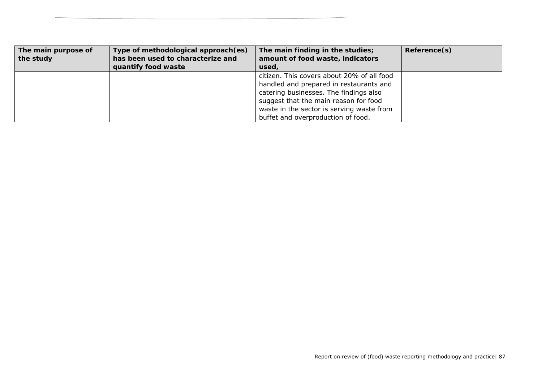| The main purpose of | Type of methodological approach (es) | The main finding in the studies;           | Reference(s) |
|---------------------|--------------------------------------|--------------------------------------------|--------------|
| the study           | has been used to characterize and    | amount of food waste, indicators           |              |
|                     | quantify food waste                  | used,                                      |              |
|                     |                                      | citizen. This covers about 20% of all food |              |
|                     |                                      | handled and prepared in restaurants and    |              |
|                     |                                      | catering businesses. The findings also     |              |
|                     |                                      | suggest that the main reason for food      |              |
|                     |                                      | waste in the sector is serving waste from  |              |
|                     |                                      | buffet and overproduction of food.         |              |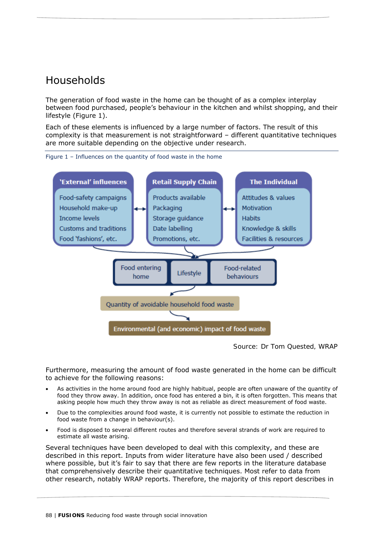# Households

The generation of food waste in the home can be thought of as a complex interplay between food purchased, people's behaviour in the kitchen and whilst shopping, and their lifestyle (Figure 1).

Each of these elements is influenced by a large number of factors. The result of this complexity is that measurement is not straightforward – different quantitative techniques are more suitable depending on the objective under research.



Figure 1 – Influences on the quantity of food waste in the home

*Source: Dr Tom Quested, WRAP* 

Furthermore, measuring the amount of food waste generated in the home can be difficult to achieve for the following reasons:

- As activities in the home around food are highly habitual, people are often unaware of the quantity of food they throw away. In addition, once food has entered a bin, it is often forgotten. This means that asking people how much they throw away is not as reliable as direct measurement of food waste.
- Due to the complexities around food waste, it is currently not possible to estimate the reduction in food waste from a change in behaviour(s).
- Food is disposed to several different routes and therefore several strands of work are required to estimate all waste arising.

Several techniques have been developed to deal with this complexity, and these are described in this report. Inputs from wider literature have also been used / described where possible, but it's fair to say that there are few reports in the literature database that comprehensively describe their quantitative techniques. Most refer to data from other research, notably WRAP reports. Therefore, the majority of this report describes in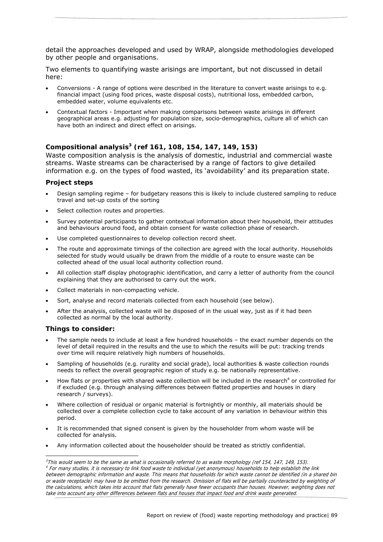detail the approaches developed and used by WRAP, alongside methodologies developed by other people and organisations.

Two elements to quantifying waste arisings are important, but not discussed in detail here:

- Conversions A range of options were described in the literature to convert waste arisings to e.g. financial impact (using food prices, waste disposal costs), nutritional loss, embedded carbon, embedded water, volume equivalents etc.
- Contextual factors Important when making comparisons between waste arisings in different geographical areas e.g. adjusting for population size, socio-demographics, culture all of which can have both an indirect and direct effect on arisings.

# **Compositional analysis3 (ref 161, 108, 154, 147, 149, 153)**

Waste composition analysis is the analysis of domestic, industrial and commercial waste streams. Waste streams can be characterised by a range of factors to give detailed information e.g. on the types of food wasted, its 'avoidability' and its preparation state.

#### **Project steps**

- Design sampling regime for budgetary reasons this is likely to include clustered sampling to reduce travel and set-up costs of the sorting
- Select collection routes and properties.
- Survey potential participants to gather contextual information about their household, their attitudes and behaviours around food, and obtain consent for waste collection phase of research.
- Use completed questionnaires to develop collection record sheet.
- The route and approximate timings of the collection are agreed with the local authority. Households selected for study would usually be drawn from the middle of a route to ensure waste can be collected ahead of the usual local authority collection round.
- All collection staff display photographic identification, and carry a letter of authority from the council explaining that they are authorised to carry out the work.
- Collect materials in non-compacting vehicle.
- Sort, analyse and record materials collected from each household (see below).
- After the analysis, collected waste will be disposed of in the usual way, just as if it had been collected as normal by the local authority.

#### **Things to consider:**

-

- The sample needs to include at least a few hundred households the exact number depends on the level of detail required in the results and the use to which the results will be put: tracking trends over time will require relatively high numbers of households.
- Sampling of households (e.g. rurality and social grade), local authorities & waste collection rounds needs to reflect the overall geographic region of study e.g. be nationally representative.
- How flats or properties with shared waste collection will be included in the research<sup>4</sup> or controlled for if excluded (e.g. through analysing differences between flatted properties and houses in diary research / surveys).
- Where collection of residual or organic material is fortnightly or monthly, all materials should be collected over a complete collection cycle to take account of any variation in behaviour within this period.
- It is recommended that signed consent is given by the householder from whom waste will be collected for analysis.
- Any information collected about the householder should be treated as strictly confidential.

 $3$ This would seem to be the same as what is occasionally referred to as waste morphology (ref 154, 147, 149, 153).

<sup>4</sup> For many studies, it is necessary to link food waste to individual (yet anonymous) households to help establish the link between demographic information and waste. This means that households for which waste cannot be identified (in a shared bin or waste receptacle) may have to be omitted from the research. Omission of flats will be partially counteracted by weighting of the calculations, which takes into account that flats generally have fewer occupants than houses. However, weighting does not take into account any other differences between flats and houses that impact food and drink waste generated.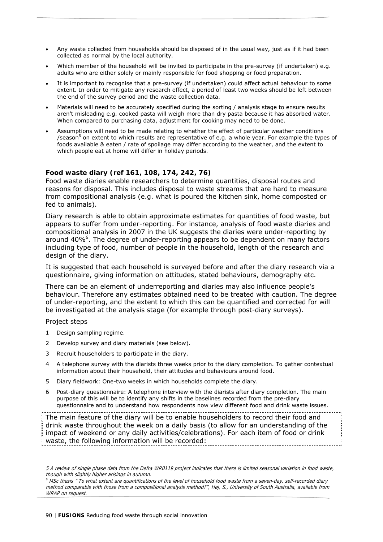- Any waste collected from households should be disposed of in the usual way, just as if it had been collected as normal by the local authority.
- Which member of the household will be invited to participate in the pre-survey (if undertaken) e.g. adults who are either solely or mainly responsible for food shopping or food preparation.
- It is important to recognise that a pre-survey (if undertaken) could affect actual behaviour to some extent. In order to mitigate any research effect, a period of least two weeks should be left between the end of the survey period and the waste collection data.
- Materials will need to be accurately specified during the sorting / analysis stage to ensure results aren't misleading e.g. cooked pasta will weigh more than dry pasta because it has absorbed water. When compared to purchasing data, adjustment for cooking may need to be done.
- Assumptions will need to be made relating to whether the effect of particular weather conditions /season<sup>5</sup> on extent to which results are representative of e.g. a whole year. For example the types of foods available & eaten / rate of spoilage may differ according to the weather, and the extent to which people eat at home will differ in holiday periods.

# **Food waste diary (ref 161, 108, 174, 242, 76)**

Food waste diaries enable researchers to determine quantities, disposal routes and reasons for disposal. This includes disposal to waste streams that are hard to measure from compositional analysis (e.g. what is poured the kitchen sink, home composted or fed to animals).

Diary research is able to obtain approximate estimates for quantities of food waste, but appears to suffer from under-reporting. For instance, analysis of food waste diaries and compositional analysis in 2007 in the UK suggests the diaries were under-reporting by around 40%<sup>6</sup>. The degree of under-reporting appears to be dependent on many factors including type of food, number of people in the household, length of the research and design of the diary.

It is suggested that each household is surveyed before and after the diary research via a questionnaire, giving information on attitudes, stated behaviours, demography etc.

There can be an element of underreporting and diaries may also influence people's behaviour. Therefore any estimates obtained need to be treated with caution. The degree of under-reporting, and the extent to which this can be quantified and corrected for will be investigated at the analysis stage (for example through post-diary surveys).

#### Project steps

- 1 Design sampling regime.
- 2 Develop survey and diary materials (see below).
- 3 Recruit householders to participate in the diary.
- 4 A telephone survey with the diarists three weeks prior to the diary completion. To gather contextual information about their household, their attitudes and behaviours around food.
- 5 Diary fieldwork: One-two weeks in which households complete the diary.
- 6 Post-diary questionnaire: A telephone interview with the diarists after diary completion. The main purpose of this will be to identify any shifts in the baselines recorded from the pre-diary questionnaire and to understand how respondents now view different food and drink waste issues.

The main feature of the diary will be to enable householders to record their food and drink waste throughout the week on a daily basis (to allow for an understanding of the impact of weekend or any daily activities/celebrations). For each item of food or drink waste, the following information will be recorded:

 $^6$  MSc thesis " To what extent are quantifications of the level of household food waste from a seven-day, self-recorded diary method comparable with those from a compositional analysis method?", Høj, S., University of South Australia, available from WRAP on request.

<sup>5</sup> A review of single phase data from the Defra WR0119 project indicates that there is limited seasonal variation in food waste, though with slightly higher arisings in autumn.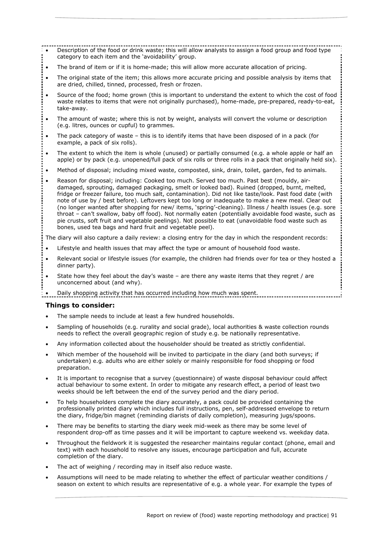- Description of the food or drink waste; this will allow analysts to assign a food group and food type category to each item and the 'avoidability' group.
- The brand of item or if it is home-made; this will allow more accurate allocation of pricing.
- The original state of the item; this allows more accurate pricing and possible analysis by items that are dried, chilled, tinned, processed, fresh or frozen.
- Source of the food; home grown (this is important to understand the extent to which the cost of food waste relates to items that were not originally purchased), home-made, pre-prepared, ready-to-eat, take-away.
- The amount of waste; where this is not by weight, analysts will convert the volume or description (e.g. litres, ounces or cupful) to grammes.
- The pack category of waste this is to identify items that have been disposed of in a pack (for example, a pack of six rolls).
- The extent to which the item is whole (unused) or partially consumed (e.g. a whole apple or half an apple) or by pack (e.g. unopened/full pack of six rolls or three rolls in a pack that originally held six).
- Method of disposal; including mixed waste, composted, sink, drain, toilet, garden, fed to animals.
- Reason for disposal; including: Cooked too much. Served too much. Past best (mouldy, airdamaged, sprouting, damaged packaging, smelt or looked bad). Ruined (dropped, burnt, melted, fridge or freezer failure, too much salt, contamination). Did not like taste/look. Past food date (with note of use by / best before). Leftovers kept too long or inadequate to make a new meal. Clear out (no longer wanted after shopping for new/ items, 'spring'-cleaning). Illness / health issues (e.g. sore throat – can't swallow, baby off food). Not normally eaten (potentially avoidable food waste, such as pie crusts, soft fruit and vegetable peelings). Not possible to eat (unavoidable food waste such as bones, used tea bags and hard fruit and vegetable peel).

The diary will also capture a daily review: a closing entry for the day in which the respondent records:

- Lifestyle and health issues that may affect the type or amount of household food waste.
- Relevant social or lifestyle issues (for example, the children had friends over for tea or they hosted a dinner party).
- State how they feel about the day's waste are there any waste items that they regret / are unconcerned about (and why).

Daily shopping activity that has occurred including how much was spent.

#### **Things to consider:**

- The sample needs to include at least a few hundred households.
- Sampling of households (e.g. rurality and social grade), local authorities & waste collection rounds needs to reflect the overall geographic region of study e.g. be nationally representative.
- Any information collected about the householder should be treated as strictly confidential.
- Which member of the household will be invited to participate in the diary (and both surveys; if undertaken) e.g. adults who are either solely or mainly responsible for food shopping or food preparation.
- It is important to recognise that a survey (questionnaire) of waste disposal behaviour could affect actual behaviour to some extent. In order to mitigate any research effect, a period of least two weeks should be left between the end of the survey period and the diary period.
- To help householders complete the diary accurately, a pack could be provided containing the professionally printed diary which includes full instructions, pen, self-addressed envelope to return the diary, fridge/bin magnet (reminding diarists of daily completion), measuring jugs/spoons.
- There may be benefits to starting the diary week mid-week as there may be some level of respondent drop-off as time passes and it will be important to capture weekend vs. weekday data.
- Throughout the fieldwork it is suggested the researcher maintains regular contact (phone, email and text) with each household to resolve any issues, encourage participation and full, accurate completion of the diary.
- The act of weighing / recording may in itself also reduce waste.
- Assumptions will need to be made relating to whether the effect of particular weather conditions / season on extent to which results are representative of e.g. a whole year. For example the types of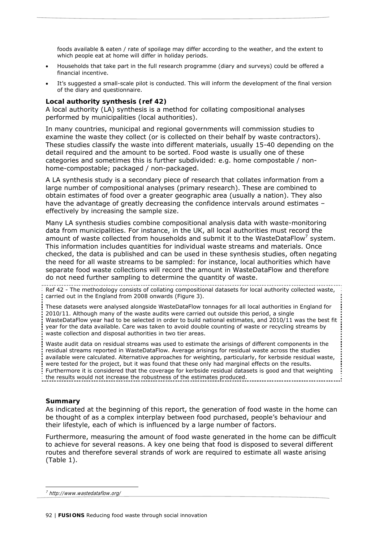foods available & eaten / rate of spoilage may differ according to the weather, and the extent to which people eat at home will differ in holiday periods.

- Households that take part in the full research programme (diary and surveys) could be offered a financial incentive.
- It's suggested a small-scale pilot is conducted. This will inform the development of the final version of the diary and questionnaire.

#### **Local authority synthesis (ref 42)**

A local authority (LA) synthesis is a method for collating compositional analyses performed by municipalities (local authorities).

In many countries, municipal and regional governments will commission studies to examine the waste they collect (or is collected on their behalf by waste contractors). These studies classify the waste into different materials, usually 15-40 depending on the detail required and the amount to be sorted. Food waste is usually one of these categories and sometimes this is further subdivided: e.g. home compostable / nonhome-compostable; packaged / non-packaged.

A LA synthesis study is a secondary piece of research that collates information from a large number of compositional analyses (primary research). These are combined to obtain estimates of food over a greater geographic area (usually a nation). They also have the advantage of greatly decreasing the confidence intervals around estimates – effectively by increasing the sample size.

Many LA synthesis studies combine compositional analysis data with waste-monitoring data from municipalities. For instance, in the UK, all local authorities must record the amount of waste collected from households and submit it to the WasteDataFlow<sup>7</sup> system. This information includes quantities for individual waste streams and materials. Once checked, the data is published and can be used in these synthesis studies, often negating the need for all waste streams to be sampled: for instance, local authorities which have separate food waste collections will record the amount in WasteDataFlow and therefore do not need further sampling to determine the quantity of waste.

Ref 42 - The methodology consists of collating compositional datasets for local authority collected waste, carried out in the *England* from *2008* onwards (Figure 3).

These datasets were analysed alongside WasteDataFlow tonnages for all local authorities in *England* for *2010/11*. Although many of the waste audits were carried out outside this period, a single WasteDataFlow year had to be selected in order to build national estimates, and 2010/11 was the best fit year for the data available. Care was taken to avoid double counting of waste or recycling streams by waste collection and disposal authorities in two tier areas.

Waste audit data on residual streams was used to estimate the arisings of different components in the residual streams reported in WasteDataFlow. Average arisings for residual waste across the studies available were calculated. Alternative approaches for weighting, particularly, for kerbside residual waste, were tested for the project, but it was found that these only had marginal effects on the results. Furthermore it is considered that the coverage for kerbside residual datasets is good and that weighting the results would not increase the robustness of the estimates produced.

#### **Summary**

As indicated at the beginning of this report, the generation of food waste in the home can be thought of as a complex interplay between food purchased, people's behaviour and their lifestyle, each of which is influenced by a large number of factors.

Furthermore, measuring the amount of food waste generated in the home can be difficult to achieve for several reasons. A key one being that food is disposed to several different routes and therefore several strands of work are required to estimate *all* waste arising (Table 1).

<sup>7</sup> http://www.wastedataflow.org/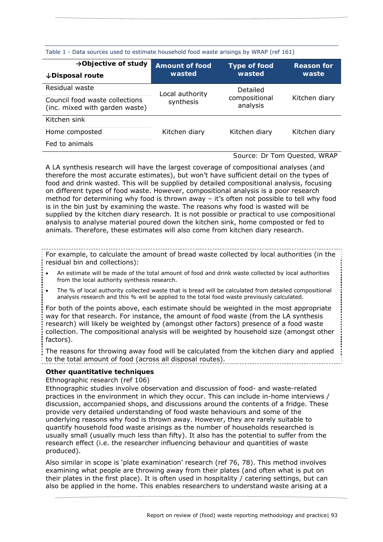| Table T  Data sources ased to estimate nousenoid rood waste ansings by WINNI (Tel 101) |                                 |                           |                            |  |  |
|----------------------------------------------------------------------------------------|---------------------------------|---------------------------|----------------------------|--|--|
| $\rightarrow$ Objective of study<br>↓Disposal route                                    | <b>Amount of food</b><br>wasted | Type of food<br>wasted    | <b>Reason for</b><br>waste |  |  |
| Residual waste                                                                         | Local authority                 | Detailed                  |                            |  |  |
| Council food waste collections<br>(inc. mixed with garden waste)                       | synthesis                       | compositional<br>analysis | Kitchen diary              |  |  |
| Kitchen sink                                                                           |                                 |                           |                            |  |  |
| Home composted                                                                         | Kitchen diary                   | Kitchen diary             | Kitchen diary              |  |  |
| Fed to animals                                                                         |                                 |                           |                            |  |  |

# Table 1 - Data sources used to estimate household food waste arisings by WRAP (ref 161)

# *Source: Dr Tom Quested, WRAP*

A LA synthesis research will have the largest coverage of compositional analyses (and therefore the most accurate estimates), but won't have sufficient detail on the types of food and drink wasted. This will be supplied by detailed compositional analysis, focusing on different types of food waste. However, compositional analysis is a poor research method for determining why food is thrown away – it's often not possible to tell why food is in the bin just by examining the waste. The reasons why food is wasted will be supplied by the kitchen diary research. It is not possible or practical to use compositional analysis to analyse material poured down the kitchen sink, home composted or fed to animals. Therefore, these estimates will also come from kitchen diary research.

For example, to calculate the amount of bread waste collected by local authorities (in the residual bin and collections):

- An estimate will be made of the total amount of food and drink waste collected by local authorities from the local authority synthesis research.
- The % of local authority collected waste that is bread will be calculated from detailed compositional analysis research and this % will be applied to the total food waste previously calculated.

For both of the points above, each estimate should be weighted in the most appropriate way for that research. For instance, the amount of food waste (from the LA synthesis research) will likely be weighted by (amongst other factors) presence of a food waste collection. The compositional analysis will be weighted by household size (amongst other factors).

The reasons for throwing away food will be calculated from the kitchen diary and applied to the total amount of food (across all disposal routes).

# **Other quantitative techniques**

Ethnographic research (ref 106)

Ethnographic studies involve observation and discussion of food- and waste-related practices in the environment in which they occur. This can include in-home interviews / discussion, accompanied shops, and discussions around the contents of a fridge. These provide very detailed understanding of food waste behaviours and some of the underlying reasons why food is thrown away. However, they are rarely suitable to quantify household food waste arisings as the number of households researched is usually small (usually much less than fifty). It also has the potential to suffer from the research effect (i.e. the researcher influencing behaviour and quantities of waste produced).

Also similar in scope is 'plate examination' research (ref 76, 78). This method involves examining what people are throwing away from their plates (and often what is put on their plates in the first place). It is often used in hospitality / catering settings, but can also be applied in the home. This enables researchers to understand waste arising at a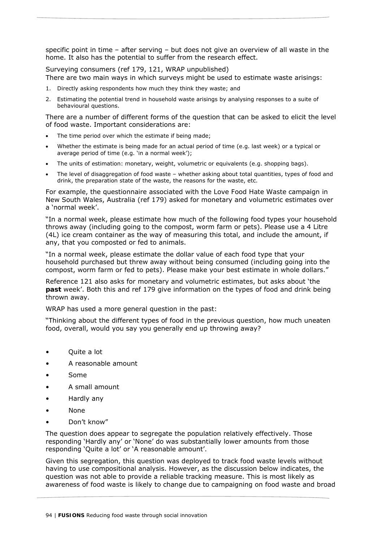specific point in time – after serving – but does not give an overview of all waste in the home. It also has the potential to suffer from the research effect.

Surveying consumers (ref 179, 121, WRAP unpublished) There are two main ways in which surveys might be used to estimate waste arisings:

- 1. Directly asking respondents how much they think they waste; and
- 2. Estimating the potential trend in household waste arisings by analysing responses to a suite of behavioural questions.

There are a number of different forms of the question that can be asked to elicit the level of food waste. Important considerations are:

- The time period over which the estimate if being made;
- Whether the estimate is being made for an actual period of time (e.g. last week) or a typical or average period of time (e.g. 'in a normal week');
- The units of estimation: monetary, weight, volumetric or equivalents (e.g. shopping bags).
- The level of disaggregation of food waste whether asking about total quantities, types of food and drink, the preparation state of the waste, the reasons for the waste, etc.

For example, the questionnaire associated with the *Love Food Hate Waste* campaign in New South Wales, Australia (ref 179) asked for monetary and volumetric estimates over a 'normal week'.

"In a normal week, please estimate how much of the following food types your household throws away (including going to the compost, worm farm or pets). Please use a 4 Litre (4L) ice cream container as the way of measuring this total, and include the amount, if any, that you composted or fed to animals.

"In a normal week, please estimate the dollar value of each food type that your household purchased but threw away without being consumed (including going into the compost, worm farm or fed to pets). Please make your best estimate in whole dollars."

Reference 121 also asks for monetary and volumetric estimates, but asks about 'the **past** week'. Both this and ref 179 give information on the types of food and drink being thrown away.

WRAP has used a more general question in the past:

"Thinking about the different types of food in the previous question, how much uneaten food, overall, would you say you generally end up throwing away?

- Quite a lot
- A reasonable amount
- Some
- A small amount
- Hardly any
- None
- Don't know"

The question does appear to segregate the population relatively effectively. Those responding 'Hardly any' or 'None' do was substantially lower amounts from those responding 'Quite a lot' or 'A reasonable amount'.

Given this segregation, this question was deployed to track food waste levels without having to use compositional analysis. However, as the discussion below indicates, the question was not able to provide a reliable tracking measure. This is most likely as awareness of food waste is likely to change due to campaigning on food waste and broad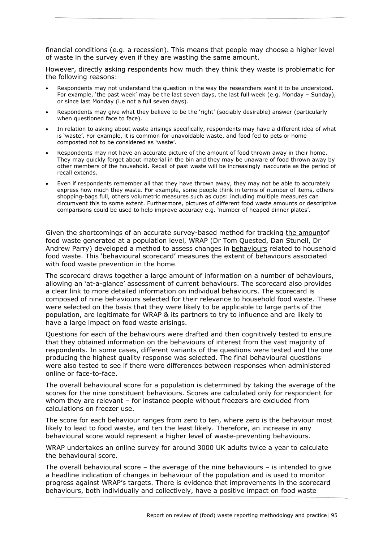financial conditions (e.g. a recession). This means that people may choose a higher level of waste in the survey even if they are wasting the same amount.

However, directly asking respondents how much they think they waste is problematic for the following reasons:

- Respondents may not understand the question in the way the researchers want it to be understood. For example, 'the past week' may be the last seven days, the last full week (e.g. Monday – Sunday), or since last Monday (i.e not a full seven days).
- Respondents may give what they believe to be the 'right' (sociably desirable) answer (particularly when questioned face to face).
- In relation to asking about waste arisings specifically, respondents may have a different idea of what is 'waste'. For example, it is common for unavoidable waste, and food fed to pets or home composted not to be considered as 'waste'.
- Respondents may not have an accurate picture of the amount of food thrown away in their home. They may quickly forget about material in the bin and they may be unaware of food thrown away by other members of the household. Recall of past waste will be increasingly inaccurate as the period of recall extends.
- Even if respondents remember all that they have thrown away, they may not be able to accurately express how much they waste. For example, some people think in terms of number of items, others shopping-bags full, others volumetric measures such as cups: including multiple measures can circumvent this to some extent. Furthermore, pictures of different food waste amounts or descriptive comparisons could be used to help improve accuracy e.g. 'number of heaped dinner plates'.

Given the shortcomings of an accurate survey-based method for tracking the amountof food waste generated at a population level, WRAP (Dr Tom Quested, Dan Stunell, Dr Andrew Parry) developed a method to assess changes in behaviours related to household food waste. This 'behavioural scorecard' measures the extent of behaviours associated with food waste prevention in the home.

The scorecard draws together a large amount of information on a number of behaviours, allowing an 'at-a-glance' assessment of current behaviours. The scorecard also provides a clear link to more detailed information on individual behaviours. The scorecard is composed of nine behaviours selected for their relevance to household food waste. These were selected on the basis that they were likely to be applicable to large parts of the population, are legitimate for WRAP & its partners to try to influence and are likely to have a large impact on food waste arisings.

Questions for each of the behaviours were drafted and then cognitively tested to ensure that they obtained information on the behaviours of interest from the vast majority of respondents. In some cases, different variants of the questions were tested and the one producing the highest quality response was selected. The final behavioural questions were also tested to see if there were differences between responses when administered online or face-to-face.

The overall behavioural score for a population is determined by taking the average of the scores for the nine constituent behaviours. Scores are calculated only for respondent for whom they are relevant – for instance people without freezers are excluded from calculations on freezer use.

The score for each behaviour ranges from zero to ten, where zero is the behaviour most likely to lead to food waste, and ten the least likely. Therefore, an increase in any behavioural score would represent a higher level of waste-preventing behaviours.

WRAP undertakes an online survey for around 3000 UK adults twice a year to calculate the behavioural score.

The overall behavioural score – the average of the nine behaviours – is intended to give a headline indication of changes in behaviour of the population and is used to monitor progress against WRAP's targets. There is evidence that improvements in the scorecard behaviours, both individually and collectively, have a positive impact on food waste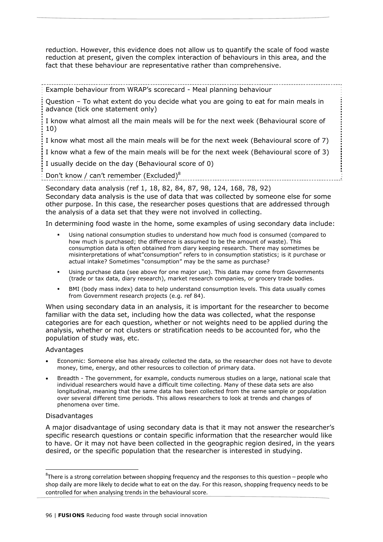reduction. However, this evidence does not allow us to quantify the scale of food waste reduction at present, given the complex interaction of behaviours in this area, and the fact that these behaviour are representative rather than comprehensive.

Example behaviour from WRAP's scorecard - Meal planning behaviour

Question – To what extent do you decide what you are going to eat for main meals in advance (tick one statement only)

I know what almost all the main meals will be for the next week (Behavioural score of 10)

I know what most all the main meals will be for the next week (Behavioural score of 7)

I know what a few of the main meals will be for the next week (Behavioural score of 3)

I usually decide on the day (Behavioural score of 0)

Don't know / can't remember (Excluded)<sup>8</sup>

Secondary data analysis (ref 1, 18, 82, 84, 87, 98, 124, 168, 78, 92)

Secondary data analysis is the use of data that was collected by someone else for some other purpose. In this case, the researcher poses questions that are addressed through the analysis of a data set that they were not involved in collecting.

In determining food waste in the home, some examples of using secondary data include:

- Using national consumption studies to understand how much food is consumed (compared to how much is purchased; the difference is assumed to be the amount of waste). This consumption data is often obtained from diary keeping research. There may sometimes be misinterpretations of what"consumption" refers to in consumption statistics; is it purchase or actual intake? Sometimes "consumption" may be the same as purchase?
- Using purchase data (see above for one major use). This data may come from Governments (trade or tax data, diary research), market research companies, or grocery trade bodies.
- BMI (body mass index) data to help understand consumption levels. This data usually comes from Government research projects (e.g. ref 84).

When using secondary data in an analysis, it is important for the researcher to become familiar with the data set, including how the data was collected, what the response categories are for each question, whether or not weights need to be applied during the analysis, whether or not clusters or stratification needs to be accounted for, who the population of study was, etc.

# Advantages

- Economic: Someone else has already collected the data, so the researcher does not have to devote money, time, energy, and other resources to collection of primary data.
- Breadth The government, for example, conducts numerous studies on a large, national scale that individual researchers would have a difficult time collecting. Many of these data sets are also longitudinal, meaning that the same data has been collected from the same sample or population over several different time periods. This allows researchers to look at trends and changes of phenomena over time.

# Disadvantages

A major disadvantage of using secondary data is that it may not answer the researcher's specific research questions or contain specific information that the researcher would like to have. Or it may not have been collected in the geographic region desired, in the years desired, or the specific population that the researcher is interested in studying.

 ${}^{8}$ There is a strong correlation between shopping frequency and the responses to this question – people who shop daily are more likely to decide what to eat on the day. For this reason, shopping frequency needs to be controlled for when analysing trends in the behavioural score.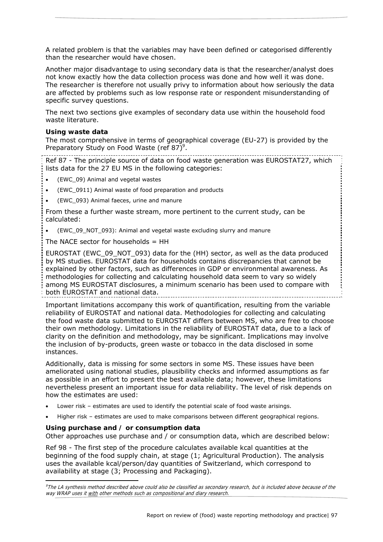A related problem is that the variables may have been defined or categorised differently than the researcher would have chosen.

Another major disadvantage to using secondary data is that the researcher/analyst does not know exactly how the data collection process was done and how well it was done. The researcher is therefore not usually privy to information about how seriously the data are affected by problems such as low response rate or respondent misunderstanding of specific survey questions.

The next two sections give examples of secondary data use within the household food waste literature.

# **Using waste data**

The most comprehensive in terms of geographical coverage (EU-27) is provided by the Preparatory Study on Food Waste (ref 87)<sup>9</sup>.

Ref 87 - The principle source of data on food waste generation was EUROSTAT27, which lists data for the 27 EU MS in the following categories:

- (EWC\_09) Animal and vegetal wastes
- (EWC\_0911) Animal waste of food preparation and products
- (EWC\_093) Animal faeces, urine and manure

From these a further waste stream, more pertinent to the current study, can be calculated:

(EWC\_09\_NOT\_093): Animal and vegetal waste excluding slurry and manure

The NACE sector for households  $=$  HH

EUROSTAT (EWC\_09\_NOT\_093) data for the (HH) sector, as well as the data produced by MS studies. EUROSTAT data for households contains discrepancies that cannot be explained by other factors, such as differences in GDP or environmental awareness. As methodologies for collecting and calculating household data seem to vary so widely among MS EUROSTAT disclosures, a minimum scenario has been used to compare with both EUROSTAT and national data.

Important limitations accompany this work of quantification, resulting from the variable reliability of EUROSTAT and national data. Methodologies for collecting and calculating the food waste data submitted to EUROSTAT differs between MS, who are free to choose their own methodology. Limitations in the reliability of EUROSTAT data, due to a lack of clarity on the definition and methodology, may be significant. Implications may involve the inclusion of by-products, green waste or tobacco in the data disclosed in some instances.

Additionally, data is missing for some sectors in some MS. These issues have been ameliorated using national studies, plausibility checks and informed assumptions as far as possible in an effort to present the best available data; however, these limitations nevertheless present an important issue for data reliability. The level of risk depends on how the estimates are used:

- Lower risk estimates are used to identify the potential scale of food waste arisings.
- Higher risk estimates are used to make comparisons between different geographical regions.

# **Using purchase and / or consumption data**

-

Other approaches use purchase and / or consumption data, which are described below:

Ref 98 - The first step of the procedure calculates available kcal quantities at the beginning of the food supply chain, at stage (1; Agricultural Production). The analysis uses the available kcal/person/day quantities of Switzerland, which correspond to availability at stage (3; Processing and Packaging).

<sup>&</sup>lt;sup>9</sup>The LA synthesis method described above could also be classified as secondary research, but is included above because of the way WRAP uses it with other methods such as compositional and diary research.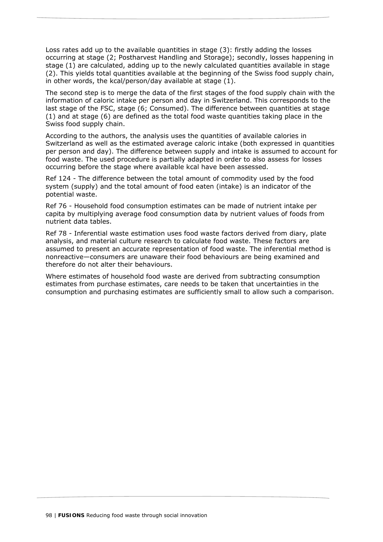Loss rates add up to the available quantities in stage (3): firstly adding the losses occurring at stage (2; Postharvest Handling and Storage); secondly, losses happening in stage (1) are calculated, adding up to the newly calculated quantities available in stage (2). This yields total quantities available at the beginning of the Swiss food supply chain, in other words, the kcal/person/day available at stage (1).

The second step is to merge the data of the first stages of the food supply chain with the information of caloric intake per person and day in Switzerland. This corresponds to the last stage of the FSC, stage (6; Consumed). The difference between quantities at stage (1) and at stage (6) are defined as the total food waste quantities taking place in the Swiss food supply chain.

According to the authors, the analysis uses the quantities of available calories in Switzerland as well as the estimated average caloric intake (both expressed in quantities per person and day). The difference between supply and intake is assumed to account for food waste. The used procedure is partially adapted in order to also assess for losses occurring before the stage where available kcal have been assessed.

Ref 124 - The difference between the total amount of commodity used by the food system (supply) and the total amount of food eaten (intake) is an indicator of the potential waste.

Ref 76 - Household food consumption estimates can be made of nutrient intake per capita by multiplying average food consumption data by nutrient values of foods from nutrient data tables.

Ref 78 - Inferential waste estimation uses food waste factors derived from diary, plate analysis, and material culture research to calculate food waste. These factors are assumed to present an accurate representation of food waste. The inferential method is nonreactive—consumers are unaware their food behaviours are being examined and therefore do not alter their behaviours.

Where estimates of household food waste are derived from subtracting consumption estimates from purchase estimates, care needs to be taken that uncertainties in the consumption and purchasing estimates are sufficiently small to allow such a comparison.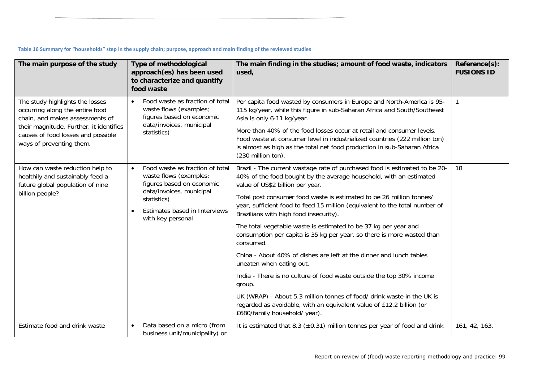|  |  | Table 16 Summary for "households" step in the supply chain; purpose, approach and main finding of the reviewed studies |
|--|--|------------------------------------------------------------------------------------------------------------------------|
|--|--|------------------------------------------------------------------------------------------------------------------------|

| The main purpose of the study                                                                                                                                                                                      | <b>Type of methodological</b><br>approach(es) has been used<br>to characterize and quantify<br>food waste                                                                                            | The main finding in the studies; amount of food waste, indicators<br>used,                                                                                                                                                                                                                                                                                                                                                                                                                                                                                                                                                                                                                                                                                                                                                                                                                                              | Reference(s):<br><b>FUSIONS ID</b> |
|--------------------------------------------------------------------------------------------------------------------------------------------------------------------------------------------------------------------|------------------------------------------------------------------------------------------------------------------------------------------------------------------------------------------------------|-------------------------------------------------------------------------------------------------------------------------------------------------------------------------------------------------------------------------------------------------------------------------------------------------------------------------------------------------------------------------------------------------------------------------------------------------------------------------------------------------------------------------------------------------------------------------------------------------------------------------------------------------------------------------------------------------------------------------------------------------------------------------------------------------------------------------------------------------------------------------------------------------------------------------|------------------------------------|
| The study highlights the losses<br>occurring along the entire food<br>chain, and makes assessments of<br>their magnitude. Further, it identifies<br>causes of food losses and possible<br>ways of preventing them. | Food waste as fraction of total<br>waste flows (examples;<br>figures based on economic<br>data/invoices, municipal<br>statistics)                                                                    | Per capita food wasted by consumers in Europe and North-America is 95-<br>115 kg/year, while this figure in sub-Saharan Africa and South/Southeast<br>Asia is only 6-11 kg/year.<br>More than 40% of the food losses occur at retail and consumer levels.<br>Food waste at consumer level in industrialized countries (222 million ton)<br>is almost as high as the total net food production in sub-Saharan Africa<br>(230 million ton).                                                                                                                                                                                                                                                                                                                                                                                                                                                                               |                                    |
| How can waste reduction help to<br>healthily and sustainably feed a<br>future global population of nine<br>billion people?                                                                                         | Food waste as fraction of total<br>$\bullet$<br>waste flows (examples;<br>figures based on economic<br>data/invoices, municipal<br>statistics)<br>Estimates based in Interviews<br>with key personal | Brazil - The current wastage rate of purchased food is estimated to be 20-<br>40% of the food bought by the average household, with an estimated<br>value of US\$2 billion per year.<br>Total post consumer food waste is estimated to be 26 million tonnes/<br>year, sufficient food to feed 15 million (equivalent to the total number of<br>Brazilians with high food insecurity).<br>The total vegetable waste is estimated to be 37 kg per year and<br>consumption per capita is 35 kg per year, so there is more wasted than<br>consumed.<br>China - About 40% of dishes are left at the dinner and lunch tables<br>uneaten when eating out.<br>India - There is no culture of food waste outside the top 30% income<br>group.<br>UK (WRAP) - About 5.3 million tonnes of food/ drink waste in the UK is<br>regarded as avoidable, with an equivalent value of £12.2 billion (or<br>£680/family household/ year). | 18                                 |
| Estimate food and drink waste                                                                                                                                                                                      | Data based on a micro (from<br>$\bullet$<br>business unit/municipality) or                                                                                                                           | It is estimated that 8.3 ( $\pm$ 0.31) million tonnes per year of food and drink                                                                                                                                                                                                                                                                                                                                                                                                                                                                                                                                                                                                                                                                                                                                                                                                                                        | 161, 42, 163,                      |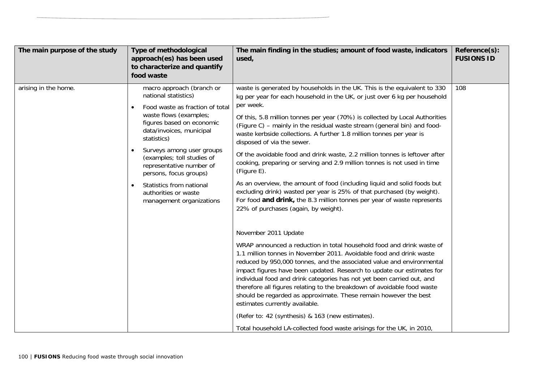| arising in the home.<br>macro approach (branch or<br>waste is generated by households in the UK. This is the equivalent to 330<br>108<br>national statistics)<br>kg per year for each household in the UK, or just over 6 kg per household<br>per week.<br>Food waste as fraction of total<br>waste flows (examples;<br>Of this, 5.8 million tonnes per year (70%) is collected by Local Authorities<br>figures based on economic<br>(Figure C) – mainly in the residual waste stream (general bin) and food-<br>data/invoices, municipal<br>waste kerbside collections. A further 1.8 million tonnes per year is<br>statistics)<br>disposed of via the sewer.<br>Surveys among user groups<br>Of the avoidable food and drink waste, 2.2 million tonnes is leftover after<br>(examples; toll studies of<br>cooking, preparing or serving and 2.9 million tonnes is not used in time<br>representative number of<br>(Figure E).<br>persons, focus groups)<br>As an overview, the amount of food (including liquid and solid foods but<br>Statistics from national<br>$\bullet$<br>excluding drink) wasted per year is 25% of that purchased (by weight).<br>authorities or waste<br>For food and drink, the 8.3 million tonnes per year of waste represents<br>management organizations<br>22% of purchases (again, by weight).<br>November 2011 Update<br>WRAP announced a reduction in total household food and drink waste of<br>1.1 million tonnes in November 2011. Avoidable food and drink waste<br>reduced by 950,000 tonnes, and the associated value and environmental<br>impact figures have been updated. Research to update our estimates for<br>individual food and drink categories has not yet been carried out, and<br>therefore all figures relating to the breakdown of avoidable food waste<br>should be regarded as approximate. These remain however the best<br>estimates currently available.<br>(Refer to: 42 (synthesis) & 163 (new estimates). | The main purpose of the study | Type of methodological<br>approach(es) has been used<br>to characterize and quantify<br>food waste | The main finding in the studies; amount of food waste, indicators<br>used, | Reference(s):<br><b>FUSIONS ID</b> |
|---------------------------------------------------------------------------------------------------------------------------------------------------------------------------------------------------------------------------------------------------------------------------------------------------------------------------------------------------------------------------------------------------------------------------------------------------------------------------------------------------------------------------------------------------------------------------------------------------------------------------------------------------------------------------------------------------------------------------------------------------------------------------------------------------------------------------------------------------------------------------------------------------------------------------------------------------------------------------------------------------------------------------------------------------------------------------------------------------------------------------------------------------------------------------------------------------------------------------------------------------------------------------------------------------------------------------------------------------------------------------------------------------------------------------------------------------------------------------------------------------------------------------------------------------------------------------------------------------------------------------------------------------------------------------------------------------------------------------------------------------------------------------------------------------------------------------------------------------------------------------------------------------------------------------------------------------------------------------|-------------------------------|----------------------------------------------------------------------------------------------------|----------------------------------------------------------------------------|------------------------------------|
| Total household LA-collected food waste arisings for the UK, in 2010,                                                                                                                                                                                                                                                                                                                                                                                                                                                                                                                                                                                                                                                                                                                                                                                                                                                                                                                                                                                                                                                                                                                                                                                                                                                                                                                                                                                                                                                                                                                                                                                                                                                                                                                                                                                                                                                                                                     |                               |                                                                                                    |                                                                            |                                    |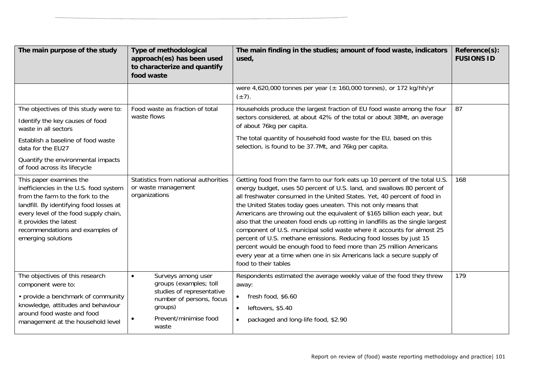| The main purpose of the study                                                                                                                                                                                                                                                | Type of methodological<br>approach(es) has been used<br>to characterize and quantify<br>food waste                                                              | The main finding in the studies; amount of food waste, indicators<br>used,                                                                                                                                                                                                                                                                                                                                                                                                                                                                                                                                                                                                                                                                                                                   | Reference(s):<br><b>FUSIONS ID</b> |
|------------------------------------------------------------------------------------------------------------------------------------------------------------------------------------------------------------------------------------------------------------------------------|-----------------------------------------------------------------------------------------------------------------------------------------------------------------|----------------------------------------------------------------------------------------------------------------------------------------------------------------------------------------------------------------------------------------------------------------------------------------------------------------------------------------------------------------------------------------------------------------------------------------------------------------------------------------------------------------------------------------------------------------------------------------------------------------------------------------------------------------------------------------------------------------------------------------------------------------------------------------------|------------------------------------|
|                                                                                                                                                                                                                                                                              |                                                                                                                                                                 | were 4,620,000 tonnes per year ( $\pm$ 160,000 tonnes), or 172 kg/hh/yr<br>$(\pm 7)$ .                                                                                                                                                                                                                                                                                                                                                                                                                                                                                                                                                                                                                                                                                                       |                                    |
| The objectives of this study were to:<br>Identify the key causes of food<br>waste in all sectors<br>Establish a baseline of food waste<br>data for the EU27                                                                                                                  | Food waste as fraction of total<br>waste flows                                                                                                                  | Households produce the largest fraction of EU food waste among the four<br>sectors considered, at about 42% of the total or about 38Mt, an average<br>of about 76kg per capita.<br>The total quantity of household food waste for the EU, based on this<br>selection, is found to be 37.7Mt, and 76kg per capita.                                                                                                                                                                                                                                                                                                                                                                                                                                                                            | 87                                 |
| Quantify the environmental impacts<br>of food across its lifecycle                                                                                                                                                                                                           |                                                                                                                                                                 |                                                                                                                                                                                                                                                                                                                                                                                                                                                                                                                                                                                                                                                                                                                                                                                              |                                    |
| This paper examines the<br>inefficiencies in the U.S. food system<br>from the farm to the fork to the<br>landfill. By identifying food losses at<br>every level of the food supply chain,<br>it provides the latest<br>recommendations and examples of<br>emerging solutions | Statistics from national authorities<br>or waste management<br>organizations                                                                                    | Getting food from the farm to our fork eats up 10 percent of the total U.S.<br>energy budget, uses 50 percent of U.S. land, and swallows 80 percent of<br>all freshwater consumed in the United States. Yet, 40 percent of food in<br>the United States today goes uneaten. This not only means that<br>Americans are throwing out the equivalent of \$165 billion each year, but<br>also that the uneaten food ends up rotting in landfills as the single largest<br>component of U.S. municipal solid waste where it accounts for almost 25<br>percent of U.S. methane emissions. Reducing food losses by just 15<br>percent would be enough food to feed more than 25 million Americans<br>every year at a time when one in six Americans lack a secure supply of<br>food to their tables | 168                                |
| The objectives of this research<br>component were to:<br>• provide a benchmark of community<br>knowledge, attitudes and behaviour<br>around food waste and food<br>management at the household level                                                                         | Surveys among user<br>$\bullet$<br>groups (examples; toll<br>studies of representative<br>number of persons, focus<br>groups)<br>Prevent/minimise food<br>waste | Respondents estimated the average weekly value of the food they threw<br>away:<br>fresh food, \$6.60<br>leftovers, \$5.40<br>$\bullet$<br>packaged and long-life food, \$2.90<br>$\bullet$                                                                                                                                                                                                                                                                                                                                                                                                                                                                                                                                                                                                   | 179                                |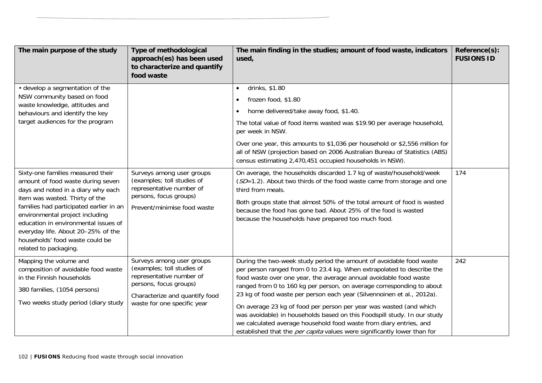| The main purpose of the study                                                                                                                                                                                                                                                                                                                                          | Type of methodological<br>approach(es) has been used<br>to characterize and quantify<br>food waste                                                                             | The main finding in the studies; amount of food waste, indicators<br>used,                                                                                                                                                                                                                                                                                                                                                                                                                                                                                                                                                                                                       | Reference(s):<br><b>FUSIONS ID</b> |
|------------------------------------------------------------------------------------------------------------------------------------------------------------------------------------------------------------------------------------------------------------------------------------------------------------------------------------------------------------------------|--------------------------------------------------------------------------------------------------------------------------------------------------------------------------------|----------------------------------------------------------------------------------------------------------------------------------------------------------------------------------------------------------------------------------------------------------------------------------------------------------------------------------------------------------------------------------------------------------------------------------------------------------------------------------------------------------------------------------------------------------------------------------------------------------------------------------------------------------------------------------|------------------------------------|
| • develop a segmentation of the<br>NSW community based on food<br>waste knowledge, attitudes and<br>behaviours and identify the key<br>target audiences for the program                                                                                                                                                                                                |                                                                                                                                                                                | drinks, \$1.80<br>$\bullet$<br>frozen food, \$1.80<br>$\bullet$<br>home delivered/take away food, \$1.40.<br>$\bullet$<br>The total value of food items wasted was \$19.90 per average household,<br>per week in NSW.<br>Over one year, this amounts to \$1,036 per household or \$2,556 million for<br>all of NSW (projection based on 2006 Australian Bureau of Statistics (ABS)<br>census estimating 2,470,451 occupied households in NSW).                                                                                                                                                                                                                                   |                                    |
| Sixty-one families measured their<br>amount of food waste during seven<br>days and noted in a diary why each<br>item was wasted. Thirty of the<br>families had participated earlier in an<br>environmental project including<br>education in environmental issues of<br>everyday life. About 20-25% of the<br>households' food waste could be<br>related to packaging. | Surveys among user groups<br>(examples; toll studies of<br>representative number of<br>persons, focus groups)<br>Prevent/minimise food waste                                   | On average, the households discarded 1.7 kg of waste/household/week<br>(SD=1.2). About two thirds of the food waste came from storage and one<br>third from meals.<br>Both groups state that almost 50% of the total amount of food is wasted<br>because the food has gone bad. About 25% of the food is wasted<br>because the households have prepared too much food.                                                                                                                                                                                                                                                                                                           | 174                                |
| Mapping the volume and<br>composition of avoidable food waste<br>in the Finnish households<br>380 families, (1054 persons)<br>Two weeks study period (diary study                                                                                                                                                                                                      | Surveys among user groups<br>(examples; toll studies of<br>representative number of<br>persons, focus groups)<br>Characterize and quantify food<br>waste for one specific year | During the two-week study period the amount of avoidable food waste<br>per person ranged from 0 to 23.4 kg. When extrapolated to describe the<br>food waste over one year, the average annual avoidable food waste<br>ranged from 0 to 160 kg per person, on average corresponding to about<br>23 kg of food waste per person each year (Silvennoinen et al., 2012a).<br>On average 23 kg of food per person per year was wasted (and which<br>was avoidable) in households based on this Foodspill study. In our study<br>we calculated average household food waste from diary entries, and<br>established that the <i>per capita</i> values were significantly lower than for | 242                                |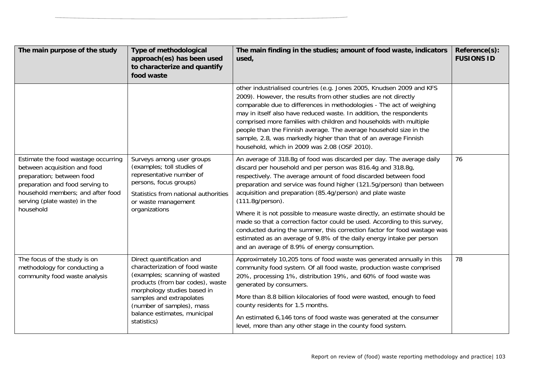| The main purpose of the study                                                                                                                                                                                         | Type of methodological<br>approach(es) has been used<br>to characterize and quantify<br>food waste                                                                                                                                                                      | The main finding in the studies; amount of food waste, indicators<br>used,                                                                                                                                                                                                                                                                                                                                                                                                                                                                                                                                                                                                                                                            | Reference(s):<br><b>FUSIONS ID</b> |
|-----------------------------------------------------------------------------------------------------------------------------------------------------------------------------------------------------------------------|-------------------------------------------------------------------------------------------------------------------------------------------------------------------------------------------------------------------------------------------------------------------------|---------------------------------------------------------------------------------------------------------------------------------------------------------------------------------------------------------------------------------------------------------------------------------------------------------------------------------------------------------------------------------------------------------------------------------------------------------------------------------------------------------------------------------------------------------------------------------------------------------------------------------------------------------------------------------------------------------------------------------------|------------------------------------|
|                                                                                                                                                                                                                       |                                                                                                                                                                                                                                                                         | other industrialised countries (e.g. Jones 2005, Knudsen 2009 and KFS<br>2009). However, the results from other studies are not directly<br>comparable due to differences in methodologies - The act of weighing<br>may in itself also have reduced waste. In addition, the respondents<br>comprised more families with children and households with multiple<br>people than the Finnish average. The average household size in the<br>sample, 2.8, was markedly higher than that of an average Finnish<br>household, which in 2009 was 2.08 (OSF 2010).                                                                                                                                                                              |                                    |
| Estimate the food wastage occurring<br>between acquisition and food<br>preparation; between food<br>preparation and food serving to<br>household members; and after food<br>serving (plate waste) in the<br>household | Surveys among user groups<br>(examples; toll studies of<br>representative number of<br>persons, focus groups)<br>Statistics from national authorities<br>or waste management<br>organizations                                                                           | An average of 318.8g of food was discarded per day. The average daily<br>discard per household and per person was 816.4g and 318.8g,<br>respectively. The average amount of food discarded between food<br>preparation and service was found higher (121.5g/person) than between<br>acquisition and preparation (85.4g/person) and plate waste<br>$(111.8g/person)$ .<br>Where it is not possible to measure waste directly, an estimate should be<br>made so that a correction factor could be used. According to this survey,<br>conducted during the summer, this correction factor for food wastage was<br>estimated as an average of 9.8% of the daily energy intake per person<br>and an average of 8.9% of energy consumption. | 76                                 |
| The focus of the study is on<br>methodology for conducting a<br>community food waste analysis                                                                                                                         | Direct quantification and<br>characterization of food waste<br>(examples; scanning of wasted<br>products (from bar codes), waste<br>morphology studies based in<br>samples and extrapolates<br>(number of samples), mass<br>balance estimates, municipal<br>statistics) | Approximately 10,205 tons of food waste was generated annually in this<br>community food system. Of all food waste, production waste comprised<br>20%, processing 1%, distribution 19%, and 60% of food waste was<br>generated by consumers.<br>More than 8.8 billion kilocalories of food were wasted, enough to feed<br>county residents for 1.5 months.<br>An estimated 6,146 tons of food waste was generated at the consumer<br>level, more than any other stage in the county food system.                                                                                                                                                                                                                                      | 78                                 |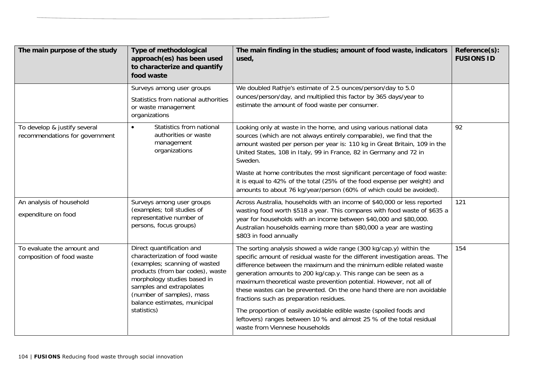| The main purpose of the study                                  | Type of methodological<br>approach(es) has been used<br>to characterize and quantify<br>food waste                                                                                                                                                                      | The main finding in the studies; amount of food waste, indicators<br>used,                                                                                                                                                                                                                                                                                                                                                                                                                                                                                                                                                                                               | Reference(s):<br><b>FUSIONS ID</b> |
|----------------------------------------------------------------|-------------------------------------------------------------------------------------------------------------------------------------------------------------------------------------------------------------------------------------------------------------------------|--------------------------------------------------------------------------------------------------------------------------------------------------------------------------------------------------------------------------------------------------------------------------------------------------------------------------------------------------------------------------------------------------------------------------------------------------------------------------------------------------------------------------------------------------------------------------------------------------------------------------------------------------------------------------|------------------------------------|
|                                                                | Surveys among user groups<br>Statistics from national authorities<br>or waste management<br>organizations                                                                                                                                                               | We doubled Rathje's estimate of 2.5 ounces/person/day to 5.0<br>ounces/person/day, and multiplied this factor by 365 days/year to<br>estimate the amount of food waste per consumer.                                                                                                                                                                                                                                                                                                                                                                                                                                                                                     |                                    |
| To develop & justify several<br>recommendations for government | Statistics from national<br>$\bullet$<br>authorities or waste<br>management<br>organizations                                                                                                                                                                            | Looking only at waste in the home, and using various national data<br>sources (which are not always entirely comparable), we find that the<br>amount wasted per person per year is: 110 kg in Great Britain, 109 in the<br>United States, 108 in Italy, 99 in France, 82 in Germany and 72 in<br>Sweden.                                                                                                                                                                                                                                                                                                                                                                 | 92                                 |
|                                                                |                                                                                                                                                                                                                                                                         | Waste at home contributes the most significant percentage of food waste:<br>it is equal to 42% of the total (25% of the food expense per weight) and<br>amounts to about 76 kg/year/person (60% of which could be avoided).                                                                                                                                                                                                                                                                                                                                                                                                                                              |                                    |
| An analysis of household<br>expenditure on food                | Surveys among user groups<br>(examples; toll studies of<br>representative number of<br>persons, focus groups)                                                                                                                                                           | Across Australia, households with an income of \$40,000 or less reported<br>wasting food worth \$518 a year. This compares with food waste of \$635 a<br>year for households with an income between \$40,000 and \$80,000.<br>Australian households earning more than \$80,000 a year are wasting<br>\$803 in food annually                                                                                                                                                                                                                                                                                                                                              | 121                                |
| To evaluate the amount and<br>composition of food waste        | Direct quantification and<br>characterization of food waste<br>(examples; scanning of wasted<br>products (from bar codes), waste<br>morphology studies based in<br>samples and extrapolates<br>(number of samples), mass<br>balance estimates, municipal<br>statistics) | The sorting analysis showed a wide range (300 kg/cap.y) within the<br>specific amount of residual waste for the different investigation areas. The<br>difference between the maximum and the minimum edible related waste<br>generation amounts to 200 kg/cap.y. This range can be seen as a<br>maximum theoretical waste prevention potential. However, not all of<br>these wastes can be prevented. On the one hand there are non avoidable<br>fractions such as preparation residues.<br>The proportion of easily avoidable edible waste (spoiled foods and<br>leftovers) ranges between 10 % and almost 25 % of the total residual<br>waste from Viennese households | 154                                |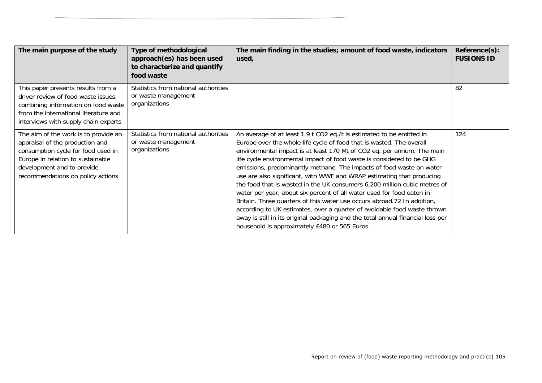| The main purpose of the study                                                                                                                                                                                         | Type of methodological<br>approach(es) has been used<br>to characterize and quantify<br>food waste | The main finding in the studies; amount of food waste, indicators<br>used,                                                                                                                                                                                                                                                                                                                                                                                                                                                                                                                                                                                                                                                                                                                                                                                                                        | Reference(s):<br><b>FUSIONS ID</b> |
|-----------------------------------------------------------------------------------------------------------------------------------------------------------------------------------------------------------------------|----------------------------------------------------------------------------------------------------|---------------------------------------------------------------------------------------------------------------------------------------------------------------------------------------------------------------------------------------------------------------------------------------------------------------------------------------------------------------------------------------------------------------------------------------------------------------------------------------------------------------------------------------------------------------------------------------------------------------------------------------------------------------------------------------------------------------------------------------------------------------------------------------------------------------------------------------------------------------------------------------------------|------------------------------------|
| This paper presents results from a<br>driver review of food waste issues,<br>combining information on food waste<br>from the international literature and<br>interviews with supply chain experts                     | Statistics from national authorities<br>or waste management<br>organizations                       |                                                                                                                                                                                                                                                                                                                                                                                                                                                                                                                                                                                                                                                                                                                                                                                                                                                                                                   | 82                                 |
| The aim of the work is to provide an<br>appraisal of the production and<br>consumption cycle for food used in<br>Europe in relation to sustainable<br>development and to provide<br>recommendations on policy actions | Statistics from national authorities<br>or waste management<br>organizations                       | An average of at least 1.9 t CO2 eq./t is estimated to be emitted in<br>Europe over the whole life cycle of food that is wasted. The overall<br>environmental impact is at least 170 Mt of CO2 eq. per annum. The main<br>life cycle environmental impact of food waste is considered to be GHG<br>emissions, predominantly methane. The impacts of food waste on water<br>use are also significant, with WWF and WRAP estimating that producing<br>the food that is wasted in the UK consumers 6,200 million cubic metres of<br>water per year, about six percent of all water used for food eaten in<br>Britain. Three quarters of this water use occurs abroad.72 In addition,<br>according to UK estimates, over a quarter of avoidable food waste thrown<br>away is still in its original packaging and the total annual financial loss per<br>household is approximately £480 or 565 Euros. | 124                                |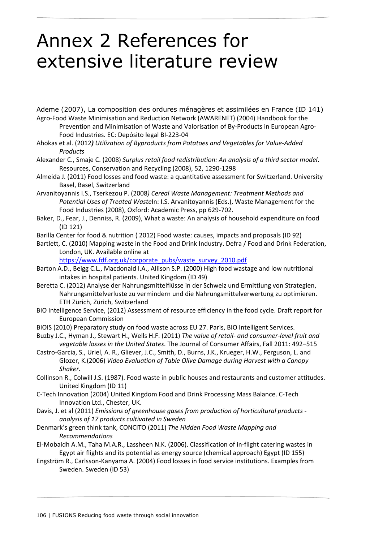# Annex 2 References for extensive literature review

Ademe (2007), La composition des ordures ménagères et assimilées en France (ID 141) Agro‐Food Waste Minimisation and Reduction Network (AWARENET) (2004) Handbook for the

Prevention and Minimisation of Waste and Valorisation of By‐Products in European Agro‐ Food Industries. EC: Depósito legal BI‐223‐04

- Ahokas et al. (2012*) Utilization of Byproducts from Potatoes and Vegetables for Value‐Added Products*
- Alexander C., Smaje C. (2008) *Surplus retail food redistribution: An analysis of a third sector model*. Resources, Conservation and Recycling (2008), 52, 1290‐1298
- Almeida J. (2011) Food losses and food waste: a quantitative assessment for Switzerland. University Basel, Basel, Switzerland
- Arvanitoyannis I.S., Tserkezou P. (2008*) Cereal Waste Management: Treatment Methods and Potential Uses of Treated Waste*In: I.S. Arvanitoyannis (Eds.), Waste Management for the Food Industries (2008), Oxford: Academic Press, pp 629‐702.
- Baker, D., Fear, J., Denniss, R. (2009), What a waste: An analysis of household expenditure on food (ID 121)
- Barilla Center for food & nutrition ( 2012) Food waste: causes, impacts and proposals (ID 92)

Bartlett, C. (2010) Mapping waste in the Food and Drink Industry. Defra / Food and Drink Federation, London, UK. Available online at

https://www.fdf.org.uk/corporate\_pubs/waste\_survey\_2010.pdf

- Barton A.D., Beigg C.L., Macdonald I.A., Allison S.P. (2000) High food wastage and low nutritional intakes in hospital patients. United Kingdom (ID 49)
- Beretta C. (2012) Analyse der Nahrungsmittelflüsse in der Schweiz und Ermittlung von Strategien, Nahrungsmittelverluste zu vermindern und die Nahrungsmittelverwertung zu optimieren. ETH Zürich, Zürich, Switzerland
- BIO Intelligence Service, (2012) Assessment of resource efficiency in the food cycle. Draft report for European Commission
- BIOIS (2010) Preparatory study on food waste across EU 27. Paris, BIO Intelligent Services.
- Buzby J.C., Hyman J., Stewart H., Wells H.F. (2011) *The value of retail‐ and consumer‐level fruit and vegetable losses in the United States*. The Journal of Consumer Affairs, Fall 2011: 492–515
- Castro‐Garcia, S., Uriel, A. R., Gliever, J.C., Smith, D., Burns, J.K., Krueger, H.W., Ferguson, L. and Glozer, K.(2006) *Video Evaluation of Table Olive Damage during Harvest with a Canopy Shaker.*

Collinson R., Colwill J.S. (1987). Food waste in public houses and restaurants and customer attitudes. United Kingdom (ID 11)

- C‐Tech Innovation (2004) United Kingdom Food and Drink Processing Mass Balance. C‐Tech Innovation Ltd., Chester, UK.
- Davis, J. et al (2011) *Emissions of greenhouse gases from production of horticultural products ‐ analysis of 17 products cultivated in Sweden*
- Denmark's green think tank, CONCITO (2011) *The Hidden Food Waste Mapping and Recommendations*
- El‐Mobaidh A.M., Taha M.A.R., Lassheen N.K. (2006). Classification of in‐flight catering wastes in Egypt air flights and its potential as energy source (chemical approach) Egypt (ID 155)
- Engström R., Carlsson‐Kanyama A. (2004) Food losses in food service institutions. Examples from Sweden. Sweden (ID 53)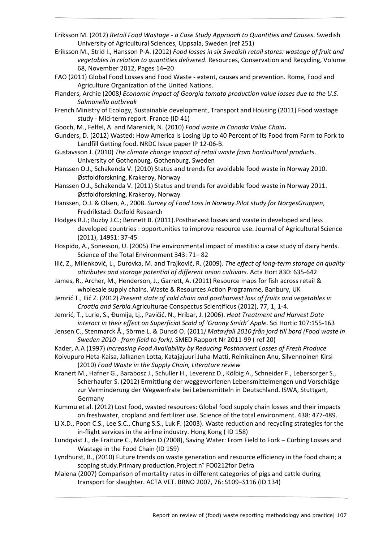- Eriksson M. (2012) *Retail Food Wastage ‐ a Case Study Approach to Quantities and Causes*. Swedish University of Agricultural Sciences, Uppsala, Sweden (ref 251)
- Eriksson M., Strid I., Hansson P‐A. (2012) *Food losses in six Swedish retail stores: wastage of fruit and vegetables in relation to quantities delivered*. Resources, Conservation and Recycling, Volume 68, November 2012, Pages 14–20
- FAO (2011) Global Food Losses and Food Waste ‐ extent, causes and prevention. Rome, Food and Agriculture Organization of the United Nations.
- Flanders, Archie (2008*) Economic impact of Georgia tomato production value losses due to the U.S. Salmonella outbreak*
- French Ministry of Ecology, Sustainable development, Transport and Housing (2011) Food wastage study ‐ Mid‐term report. France (ID 41)
- Gooch, M., Felfel, A. and Marenick, N. (2010) *Food waste in Canada Value Chain***.**
- Gunders, D. (2012) Wasted: How America Is Losing Up to 40 Percent of Its Food from Farm to Fork to Landfill Getting food. NRDC Issue paper IP 12‐06‐B.
- Gustavsson J. (2010) *The climate change impact of retail waste from horticultural products*. University of Gothenburg, Gothenburg, Sweden
- Hanssen O.J., Schakenda V. (2010) Status and trends for avoidable food waste in Norway 2010. Østfoldforskning, Krakeroy, Norway
- Hanssen O.J., Schakenda V. (2011) Status and trends for avoidable food waste in Norway 2011. Østfoldforskning, Krakeroy, Norway
- Hanssen, O.J. & Olsen, A., 2008. *Survey of Food Loss in Norway.Pilot study for NorgesGruppen*, Fredrikstad: Ostfold Research
- Hodges R.J.; Buzby J.C.; Bennett B. (2011).Postharvest losses and waste in developed and less developed countries : opportunities to improve resource use. Journal of Agricultural Science (2011), 149S1: 37‐45
- Hospido, A., Sonesson, U. (2005) The environmental impact of mastitis: a case study of dairy herds. Science of the Total Environment 343: 71– 82
- Ilić, Z., Milenković, L., Durovka, M. and Trajković, R. (2009). *The effect of long‐term storage on quality attributes and storage potential of different onion cultivars*. Acta Hort 830: 635‐642
- James, R., Archer, M., Henderson, J., Garrett, A. (2011) Resource maps for fish across retail & wholesale supply chains. Waste & Resources Action Programme, Banbury, UK
- Jemrić T., Ilić Z. (2012) *Present state of cold chain and postharvest loss of fruits and vegetables in Croatia and Serbia.*Agriculturae Conspectus Scientificus (2012), 77, 1, 1‐4.
- Jemrić, T., Lurie, S., Đumija, Lj., Pavičić, N., Hribar, J. (2006). *Heat Treatment and Harvest Date interact in their effect on Superficial Scald of 'Granny Smith' Apple*. Sci Hortic 107:155‐163
- Jensen C., Stenmarck Å., Sörme L. & Dunsö O. (2011*) Matavfall 2010 från jord till bord (Food waste in Sweden 2010 ‐ from field to fork)*. SMED Rapport Nr 2011‐99 ( ref 20)
- Kader, A.A (1997) *Increasing Food Availability by Reducing Postharvest Losses of Fresh Produce*
- Koivupuro Heta‐Kaisa, Jalkanen Lotta, Katajajuuri Juha‐Matti, Reinikainen Anu, Silvennoinen Kirsi (2010) *Food Waste in the Supply Chain, Literature review*
- Kranert M., Hafner G., Barabosz J., Schuller H., Leverenz D., Kölbig A., Schneider F., Lebersorger S., Scherhaufer S. (2012) Ermittlung der weggeworfenen Lebensmittelmengen und Vorschläge zur Verminderung der Wegwerfrate bei Lebensmitteln in Deutschland. ISWA, Stuttgart, Germany
- Kummu et al. (2012) Lost food, wasted resources: Global food supply chain losses and their impacts on freshwater, cropland and fertilizer use. Science of the total environment. 438: 477‐489.
- Li X.D., Poon C.S., Lee S.C., Chung S.S., Luk F. (2003). Waste reduction and recycling strategies for the in‐flight services in the airline industry. Hong Kong ( ID 158)
- Lundqvist J., de Fraiture C., Molden D.(2008), Saving Water: From Field to Fork Curbing Losses and Wastage in the Food Chain (ID 159)
- Lyndhurst, B., (2010) Future trends on waste generation and resource efficiency in the food chain; a scoping study.Primary production.Project n° FO0212for Defra
- Malena (2007) Comparison of mortality rates in different categories of pigs and cattle during transport for slaughter. ACTA VET. BRNO 2007, 76: S109–S116 (ID 134)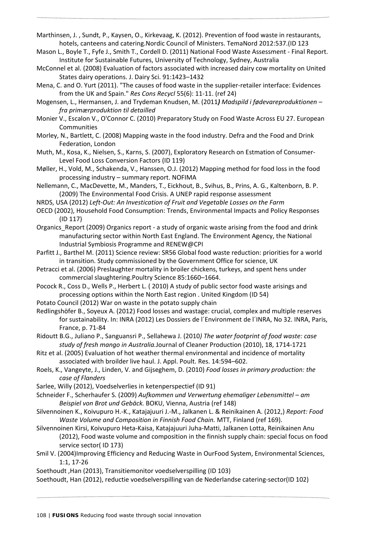Marthinsen, J. , Sundt, P., Kaysen, O., Kirkevaag, K. (2012). Prevention of food waste in restaurants, hotels, canteens and catering.Nordic Council of Ministers. TemaNord 2012:537.(ID 123

- Mason L., Boyle T., Fyfe J., Smith T., Cordell D. (2011) National Food Waste Assessment ‐ Final Report. Institute for Sustainable Futures, University of Technology, Sydney, Australia
- McConnel et al. (2008) Evaluation of factors associated with increased dairy cow mortality on United States dairy operations. J. Dairy Sci. 91:1423–1432
- Mena, C. and O. Yurt (2011). "The causes of food waste in the supplier‐retailer interface: Evidences from the UK and Spain." *Res Cons Recycl* 55(6): 11‐11. (ref 24)
- Mogensen, L., Hermansen, J. and Trydeman Knudsen, M. (2011*) Madspild i fødevareproduktionen – fra primærproduktion til detailled*
- Monier V., Escalon V., O'Connor C. (2010) Preparatory Study on Food Waste Across EU 27. European Communities
- Morley, N., Bartlett, C. (2008) Mapping waste in the food industry. Defra and the Food and Drink Federation, London
- Muth, M., Kosa, K., Nielsen, S., Karns, S. (2007), Exploratory Research on Estmation of Consumer‐ Level Food Loss Conversion Factors (ID 119)
- Møller, H., Vold, M., Schakenda, V., Hanssen, O.J. (2012) Mapping method for food loss in the food processing industry – summary report. NOFIMA
- Nellemann, C., MacDevette, M., Manders, T., Eickhout, B., Svihus, B., Prins, A. G., Kaltenborn, B. P. (2009) The Environmental Food Crisis. A UNEP rapid response assessment
- NRDS, USA (2012) *Left‐Out: An Investication of Fruit and Vegetable Losses on the Farm*
- OECD (2002), Household Food Consumption: Trends, Environmental Impacts and Policy Responses (ID 117)
- Organics Report (2009) Organics report a study of organic waste arising from the food and drink manufacturing sector within North East England. The Environment Agency, the National Industrial Symbiosis Programme and RENEW@CPI
- Parfitt J., Barthel M. (2011) Science review: SR56 Global food waste reduction: priorities for a world in transition. Study commissioned by the Government Office for science, UK
- Petracci et al. (2006) Preslaughter mortality in broiler chickens, turkeys, and spent hens under commercial slaughtering.Poultry Science 85:1660–1664.
- Pocock R., Coss D., Wells P., Herbert L. ( 2010) A study of public sector food waste arisings and processing options within the North East region . United Kingdom (ID 54)
- Potato Council (2012) War on waste in the potato supply chain
- Redlingshöfer B., Soyeux A. (2012) Food losses and wastage: crucial, complex and multiple reserves for sustainability. In: INRA (2012) Les Dossiers de l´Environment de l´INRA, No 32. INRA, Paris, France, p. 71‐84
- Ridoutt B.G., Juliano P., Sanguansri P., Sellahewa J. (2010*) The water footprint of food waste: case study of fresh mango in Australia.*Journal of Cleaner Production (2010), 18, 1714‐1721
- Ritz et al. (2005) Evaluation of hot weather thermal environmental and incidence of mortality associated with broilder live haul. J. Appl. Poult. Res. 14:594–602.
- Roels, K., Vangeyte, J., Linden, V. and Gijseghem, D. (2010) *Food losses in primary production: the case of Flanders*
- Sarlee, Willy (2012), Voedselverlies in ketenperspectief (ID 91)
- Schneider F., Scherhaufer S. (2009) *Aufkommen und Verwertung ehemaliger Lebensmittel – am Beispiel von Brot und Gebäck.* BOKU, Vienna, Austria (ref 148)
- Silvennoinen K., Koivupuro H.‐K., Katajajuuri J.‐M., Jalkanen L. & Reinikainen A. (2012,) *Report: Food Waste Volume and Composition in Finnish Food Chain.* MTT, Finland (ref 169).
- Silvennoinen Kirsi, Koivupuro Heta‐Kaisa, Katajajuuri Juha‐Matti, Jalkanen Lotta, Reinikainen Anu (2012), Food waste volume and composition in the finnish supply chain: special focus on food service sector( ID 173)
- Smil V. (2004)Improving Efficiency and Reducing Waste in OurFood System, Environmental Sciences, 1:1, 17‐26
- Soethoudt ,Han (2013), Transitiemonitor voedselverspilling (ID 103)
- Soethoudt, Han (2012), reductie voedselverspilling van de Nederlandse catering‐sector(ID 102)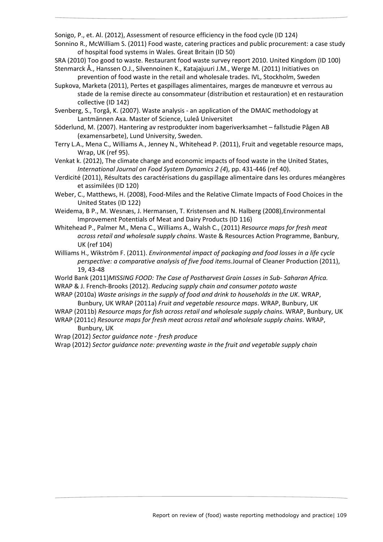Sonigo, P., et. Al. (2012), Assessment of resource efficiency in the food cycle (ID 124)

Sonnino R., McWilliam S. (2011) Food waste, catering practices and public procurement: a case study of hospital food systems in Wales. Great Britain (ID 50)

SRA (2010) Too good to waste. Restaurant food waste survey report 2010. United Kingdom (ID 100) Stenmarck Å., Hanssen O.J., Silvennoinen K., Katajajuuri J.M., Werge M. (2011) Initiatives on

prevention of food waste in the retail and wholesale trades. IVL, Stockholm, Sweden Supkova, Marketa (2011), Pertes et gaspillages alimentaires, marges de manœuvre et verrous au stade de la remise directe au consommateur (distribution et restauration) et en restauration collective (ID 142)

Svenberg, S., Torgå, K. (2007). Waste analysis ‐ an application of the DMAIC methodology at Lantmännen Axa. Master of Science, Luleå Universitet

- Söderlund, M. (2007). Hantering av restprodukter inom bageriverksamhet fallstudie Pågen AB (examensarbete), Lund University, Sweden.
- Terry L.A., Mena C., Williams A., Jenney N., Whitehead P. (2011), Fruit and vegetable resource maps, Wrap, UK (ref 95).

Venkat k. (2012), The climate change and economic impacts of food waste in the United States, *International Journal on Food System Dynamics 2 (4*), pp. 431‐446 (ref 40).

Verdicité (2011), Résultats des caractérisations du gaspillage alimentaire dans les ordures méangères et assimilées (ID 120)

- Weber, C., Matthews, H. (2008), Food‐Miles and the Relative Climate Impacts of Food Choices in the United States (ID 122)
- Weidema, B P., M. Wesnæs, J. Hermansen, T. Kristensen and N. Halberg (2008),Environmental Improvement Potentials of Meat and Dairy Products (ID 116)
- Whitehead P., Palmer M., Mena C., Williams A., Walsh C., (2011) *Resource maps for fresh meat across retail and wholesale supply chains*. Waste & Resources Action Programme, Banbury, UK (ref 104)
- Williams H., Wikström F. (2011). *Environmental impact of packaging and food losses in a life cycle perspective: a comparative analysis of five food items.*Journal of Cleaner Production (2011), 19, 43‐48
- World Bank (2011)*MISSING FOOD: The Case of Postharvest Grain Losses in Sub‐ Saharan Africa.* WRAP & J. French‐Brooks (2012). *Reducing supply chain and consumer potato waste*
- WRAP (2010a) *Waste arisings in the supply of food and drink to households in the UK*. WRAP, Bunbury, UK WRAP (2011a) *Fruit and vegetable resource maps*. WRAP, Bunbury, UK
- WRAP (2011b) *Resource maps for fish across retail and wholesale supply chains*. WRAP, Bunbury, UK WRAP (2011c) *Resource maps for fresh meat across retail and wholesale supply chains*. WRAP,

## Bunbury, UK

Wrap (2012) *Sector guidance note ‐ fresh produce*

Wrap (2012) *Sector guidance note: preventing waste in the fruit and vegetable supply chain*